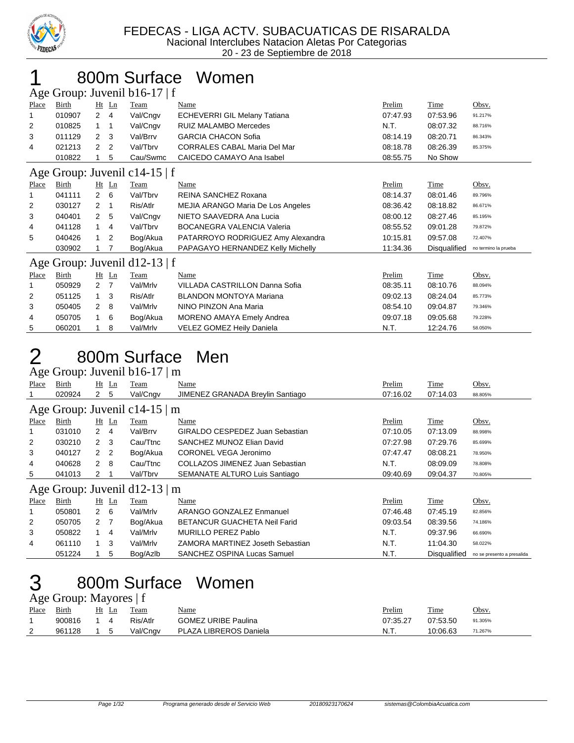

#### 800m Surface Women

|       | Age Group: Juvenil b16-17   f |                |                |                               |                                     |          |              |                      |  |  |  |
|-------|-------------------------------|----------------|----------------|-------------------------------|-------------------------------------|----------|--------------|----------------------|--|--|--|
| Place | Birth                         |                | $Ht$ Ln        | Team                          | Name                                | Prelim   | Time         | Obsv.                |  |  |  |
| 1     | 010907                        | $\overline{2}$ | $\overline{4}$ | Val/Cngv                      | <b>ECHEVERRI GIL Melany Tatiana</b> | 07:47.93 | 07:53.96     | 91.217%              |  |  |  |
| 2     | 010825                        | 1.             | $\overline{1}$ | Val/Cngv                      | <b>RUIZ MALAMBO Mercedes</b>        | N.T.     | 08:07.32     | 88.716%              |  |  |  |
| 3     | 011129                        | $\overline{2}$ | 3              | Val/Brrv                      | <b>GARCIA CHACON Sofia</b>          | 08:14.19 | 08:20.71     | 86.343%              |  |  |  |
| 4     | 021213                        | 2              | $\overline{2}$ | Val/Tbrv                      | <b>CORRALES CABAL Maria Del Mar</b> | 08:18.78 | 08:26.39     | 85.375%              |  |  |  |
|       | 010822                        |                | 5              | Cau/Swmc                      | CAICEDO CAMAYO Ana Isabel           | 08:55.75 | No Show      |                      |  |  |  |
|       |                               |                |                | Age Group: Juvenil c14-15   f |                                     |          |              |                      |  |  |  |
| Place | Birth                         |                | $Ht$ Ln        | Team                          | Name                                | Prelim   | Time         | Obsv.                |  |  |  |
| 1     | 041111                        | $\overline{2}$ | 6              | Val/Tbrv                      | REINA SANCHEZ Roxana                | 08:14.37 | 08:01.46     | 89.796%              |  |  |  |
| 2     | 030127                        | 2              | -1             | Ris/Atlr                      | MEJIA ARANGO Maria De Los Angeles   | 08:36.42 | 08:18.82     | 86.671%              |  |  |  |
| 3     | 040401                        | 2              | 5              | Val/Cngv                      | NIETO SAAVEDRA Ana Lucia            | 08:00.12 | 08:27.46     | 85.195%              |  |  |  |
| 4     | 041128                        | 1.             | $\overline{4}$ | Val/Tbrv                      | <b>BOCANEGRA VALENCIA Valeria</b>   | 08:55.52 | 09:01.28     | 79.872%              |  |  |  |
| 5     | 040426                        |                | $\overline{2}$ | Bog/Akua                      | PATARROYO RODRIGUEZ Amy Alexandra   | 10:15.81 | 09:57.08     | 72.407%              |  |  |  |
|       | 030902                        |                | 7              | Bog/Akua                      | PAPAGAYO HERNANDEZ Kelly Michelly   | 11:34.36 | Disqualified | no termino la prueba |  |  |  |
|       |                               |                |                | Age Group: Juvenil d12-13   f |                                     |          |              |                      |  |  |  |
| Place | Birth                         |                | $Ht$ Ln        | Team                          | Name                                | Prelim   | Time         | Obsv.                |  |  |  |
|       | 050929                        | $\overline{2}$ | -7             | Val/Mrlv                      | VILLADA CASTRILLON Danna Sofia      | 08:35.11 | 08:10.76     | 88.094%              |  |  |  |
| 2     | 051125                        | $\mathbf{1}$   | 3              | Ris/Atlr                      | <b>BLANDON MONTOYA Mariana</b>      | 09:02.13 | 08:24.04     | 85.773%              |  |  |  |
| 3     | 050405                        | 2              | 8              | Val/Mrlv                      | NINO PINZON Ana Maria               | 08:54.10 | 09:04.87     | 79.346%              |  |  |  |
| 4     | 050705                        | $\overline{1}$ | 6              | Bog/Akua                      | <b>MORENO AMAYA Emely Andrea</b>    | 09:07.18 | 09:05.68     | 79.228%              |  |  |  |
| 5     | 060201                        |                | 8              | Val/Mrlv                      | <b>VELEZ GOMEZ Heily Daniela</b>    | N.T.     | 12:24.76     | 58.050%              |  |  |  |

#### 800m Surface Men  $G$ roup: Juvenil b16-17  $\mid m$

|              | $\angle$ Age Oroup. Juvenil DTO-17   III |               |                |                                    |                                     |          |              |                            |  |  |  |  |
|--------------|------------------------------------------|---------------|----------------|------------------------------------|-------------------------------------|----------|--------------|----------------------------|--|--|--|--|
| <b>Place</b> | Birth                                    |               | $Ht$ Ln        | Team                               | Name                                | Prelim   | <b>Time</b>  | Obsv.                      |  |  |  |  |
|              | 020924                                   | $\mathbf{2}$  | -5             | Val/Cngv                           | JIMENEZ GRANADA Breylin Santiago    | 07:16.02 | 07:14.03     | 88.805%                    |  |  |  |  |
|              |                                          |               |                | Age Group: Juvenil c14-15 $\mid$ m |                                     |          |              |                            |  |  |  |  |
| Place        | Birth                                    |               | $Ht$ Ln        | Team                               | Name                                | Prelim   | Time         | Obsv.                      |  |  |  |  |
|              | 031010                                   | $2 \quad 4$   |                | Val/Brrv                           | GIRALDO CESPEDEZ Juan Sebastian     | 07:10.05 | 07:13.09     | 88.998%                    |  |  |  |  |
| 2            | 030210                                   | $2 \quad 3$   |                | Cau/Ttnc                           | SANCHEZ MUNOZ Elian David           | 07:27.98 | 07:29.76     | 85.699%                    |  |  |  |  |
| 3            | 040127                                   | 2             | -2             | Bog/Akua                           | CORONEL VEGA Jeronimo               | 07:47.47 | 08:08.21     | 78.950%                    |  |  |  |  |
| 4            | 040628                                   | $\mathcal{P}$ | -8             | Cau/Ttnc                           | COLLAZOS JIMENEZ Juan Sebastian     | N.T.     | 08:09.09     | 78.808%                    |  |  |  |  |
| 5            | 041013                                   | $\mathbf{2}$  |                | Val/Tbrv                           | SEMANATE ALTURO Luis Santiago       | 09:40.69 | 09:04.37     | 70.805%                    |  |  |  |  |
|              |                                          |               |                | Age Group: Juvenil d12-13 $\mid$ m |                                     |          |              |                            |  |  |  |  |
| Place        | Birth                                    |               | $Ht$ Ln        | Team                               | Name                                | Prelim   | Time         | Obsv.                      |  |  |  |  |
| 1            | 050801                                   | $\mathbf{2}$  | 6              | Val/Mrlv                           | ARANGO GONZALEZ Enmanuel            | 07:46.48 | 07:45.19     | 82.856%                    |  |  |  |  |
| 2            | 050705                                   | 2             | $\overline{7}$ | Bog/Akua                           | <b>BETANCUR GUACHETA Neil Farid</b> | 09:03.54 | 08:39.56     | 74.186%                    |  |  |  |  |
| 3            | 050822                                   |               | 4              | Val/Mrlv                           | <b>MURILLO PEREZ Pablo</b>          | N.T.     | 09:37.96     | 66.690%                    |  |  |  |  |
| 4            | 061110                                   |               | 3              | Val/Mrlv                           | ZAMORA MARTINEZ Joseth Sebastian    | N.T.     | 11:04.30     | 58.022%                    |  |  |  |  |
|              | 051224                                   |               | 5              | Bog/Azlb                           | SANCHEZ OSPINA Lucas Samuel         | N.T.     | Disqualified | no se presento a presalida |  |  |  |  |

# 800m Surface Women

|       | Age Group: Mayores   f |         |    |          |                            |               |          |              |  |  |  |  |
|-------|------------------------|---------|----|----------|----------------------------|---------------|----------|--------------|--|--|--|--|
| Place | Birth                  | $Ht$ Ln |    | Team     | <u>Name</u>                | <b>Prelim</b> | Time     | <u>Obsv.</u> |  |  |  |  |
|       | 900816                 |         | 4  | Ris/Atlr | <b>GOMEZ URIBE Paulina</b> | 07:35.27      | 07:53.50 | 91.305%      |  |  |  |  |
| 2     | 961128                 |         | .5 | Val/Cngv | PLAZA LIBREROS Daniela     | .N.T          | 10:06.63 | 71.267%      |  |  |  |  |
|       |                        |         |    |          |                            |               |          |              |  |  |  |  |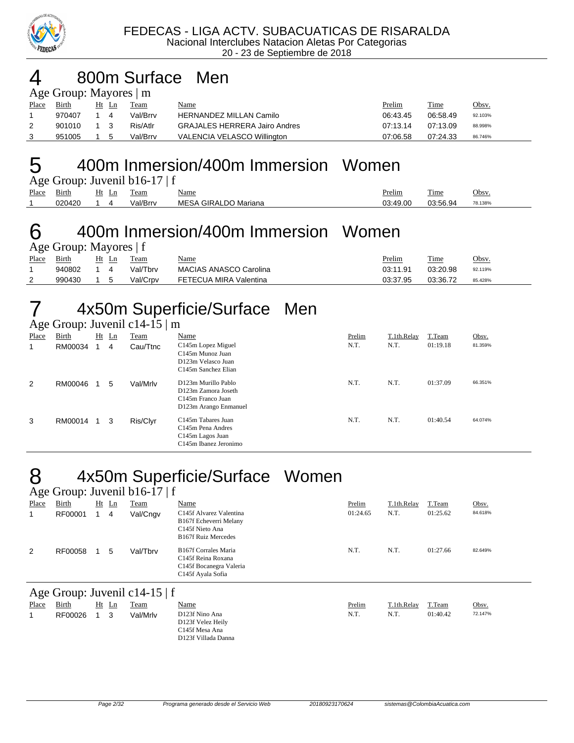

#### 4 800m Surface Men  $\mathbf{M}\sim\mathbf{M}$

| $\Delta g$ C Oroup. Mayores $\parallel$ III |              |    |       |          |                                      |               |          |              |  |  |  |  |
|---------------------------------------------|--------------|----|-------|----------|--------------------------------------|---------------|----------|--------------|--|--|--|--|
| Place                                       | <b>Birth</b> |    | Ht Ln | Team     | <u>Name</u>                          | <u>Prelim</u> | Time     | <u>Obsv.</u> |  |  |  |  |
|                                             | 970407       | 14 |       | Val/Brrv | <b>HERNANDEZ MILLAN Camilo</b>       | 06:43.45      | 06.58.49 | 92.103%      |  |  |  |  |
|                                             | 901010 1 3   |    |       | Ris/Atlr | <b>GRAJALES HERRERA Jairo Andres</b> | 07:13.14      | 07:13.09 | 88.998%      |  |  |  |  |
|                                             | 951005       |    | . 5   | Val/Brrv | VALENCIA VELASCO Willington          | 07:06.58      | 07:24.33 | 86.746%      |  |  |  |  |

#### 5 400m Inmersion/400m Immersion Women

|       | Age Group: Juvenil b16-17   f |  |       |          |                      |               |          |         |  |  |  |
|-------|-------------------------------|--|-------|----------|----------------------|---------------|----------|---------|--|--|--|
| Place | Birth                         |  | Ht Ln | Team     | Name                 | <u>Prelim</u> | Time     | Obsv.   |  |  |  |
|       | 020420                        |  |       | Val/Brrv | MESA GIRALDO Mariana | 03:49.00      | 03:56.94 | 78.138% |  |  |  |

#### 6 400m Inmersion/400m Immersion Women  $\sin$ <sup>.</sup> Mayores | f

|       | $\Delta \ge 0.000$ . Mayoros   1 |  |       |          |                        |               |          |         |  |  |  |  |  |
|-------|----------------------------------|--|-------|----------|------------------------|---------------|----------|---------|--|--|--|--|--|
| Place | Birth                            |  | Ht Ln | Team     | <u>Name</u>            | <u>Prelim</u> | Time     | Obsv.   |  |  |  |  |  |
|       | 940802                           |  |       | Val/Tbrv | MACIAS ANASCO Carolina | 03:11.91      | 03:20.98 | 92.119% |  |  |  |  |  |
| 2     | 990430                           |  |       | Val/Crpv | FETECUA MIRA Valentina | 03:37.95      | 03:36.72 | 85.428% |  |  |  |  |  |

# 7 4x50m Superficie/Surface Men

|       | Age Group: Juvenil c14-15   m |    |                |          |                                                                                                                |        |             |          |         |  |  |  |
|-------|-------------------------------|----|----------------|----------|----------------------------------------------------------------------------------------------------------------|--------|-------------|----------|---------|--|--|--|
| Place | Birth                         | Ht | $_{\text{Ln}}$ | Team     | Name                                                                                                           | Prelim | T.1th.Relay | T.Team   | Obsv.   |  |  |  |
|       | RM00034                       |    | 4              | Cau/Ttnc | C145m Lopez Miguel<br>C <sub>145</sub> m Munoz Juan<br>D123m Velasco Juan<br>C <sub>145</sub> m Sanchez Elian  | N.T.   | N.T.        | 01:19.18 | 81.359% |  |  |  |
| 2     | RM00046                       |    | 5              | Val/Mrlv | D123m Murillo Pablo<br>D123m Zamora Joseth<br>C <sub>145</sub> m Franco Juan<br>D123m Arango Enmanuel          | N.T.   | N.T.        | 01:37.09 | 66.351% |  |  |  |
| 3     | RM00014                       |    | 3              | Ris/Clyr | C145m Tabares Juan<br>C <sub>145</sub> m Pena Andres<br>C <sub>145</sub> m Lagos Juan<br>C145m Ibanez Jeronimo | N.T.   | N.T.        | 01:40.54 | 64.074% |  |  |  |

# 8 4x50m Superficie/Surface Women

|                               | Age Group: Juvenil $b16-17 \mid f$ |  |         |             |                                                                                                                |          |             |          |         |  |  |  |
|-------------------------------|------------------------------------|--|---------|-------------|----------------------------------------------------------------------------------------------------------------|----------|-------------|----------|---------|--|--|--|
| Place                         | <b>Birth</b>                       |  | $Ht$ Ln | <u>Team</u> | Name                                                                                                           | Prelim   | T.1th.Relay | T.Team   | Obsv.   |  |  |  |
|                               | RF00001                            |  | 4       | Val/Cngv    | C145f Alvarez Valentina<br>B167f Echeverri Melany<br>C145f Nieto Ana<br><b>B167f Ruiz Mercedes</b>             | 01:24.65 | N.T.        | 01:25.62 | 84.618% |  |  |  |
| 2                             | RF00058                            |  | 5       | Val/Tbrv    | <b>B167f Corrales Maria</b><br>C <sub>145</sub> f Reina Roxana<br>C145f Bocanegra Valeria<br>C145f Ayala Sofia | N.T.     | N.T.        | 01:27.66 | 82.649% |  |  |  |
| Age Group: Juvenil c14-15   f |                                    |  |         |             |                                                                                                                |          |             |          |         |  |  |  |

|       | $1.80$ Oroup. Juvenill C1--12   1 |    |    |          |                                                                              |        |             |          |         |  |  |  |  |
|-------|-----------------------------------|----|----|----------|------------------------------------------------------------------------------|--------|-------------|----------|---------|--|--|--|--|
| Place | Birth                             | Ht | Ln | Team     | <u>Name</u>                                                                  | Prelim | T.1th.Relay | T.Team   | Obsv.   |  |  |  |  |
|       | RF00026                           |    |    | Val/Mrlv | D123f Nino Ana<br>D123f Velez Heily<br>C145f Mesa Ana<br>D123f Villada Danna | N.T.   | N.T.        | 01:40.42 | 72.147% |  |  |  |  |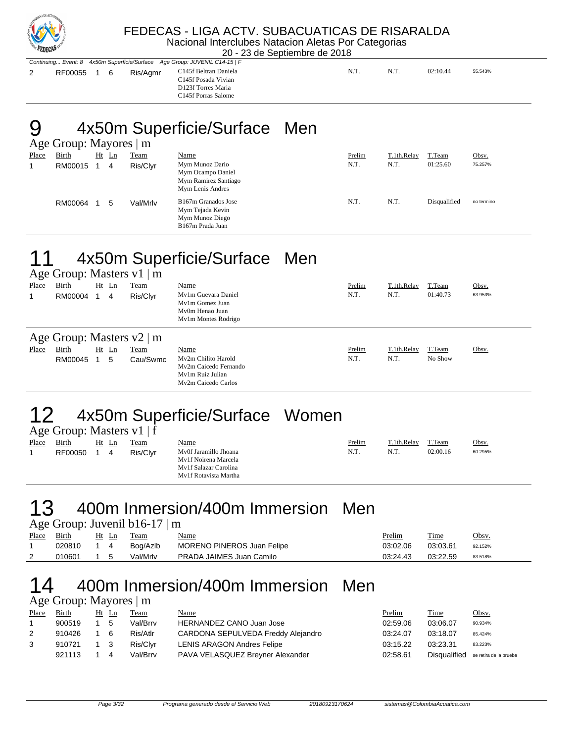

#### FEDECAS - LIGA ACTV. SUBACUATICAS DE RISARALDA Nacional Interclubes Natacion Aletas Por Categorias

20 - 23 de Septiembre de 2018

|             |  |          | Continuing Event: 8 4x50m Superficie/Surface Age Group: JUVENIL C14-15   F |     |      |          |         |
|-------------|--|----------|----------------------------------------------------------------------------|-----|------|----------|---------|
| RF00055 1 6 |  | Ris/Agmr | C145f Beltran Daniela<br>C145f Posada Vivian<br>D123f Torres Maria         | N.T | N.T. | 02:10.44 | 55.543% |

Torres Maria C145f Porras Salome

# 9 4x50m Superficie/Surface Men

|       | Age Group: Mayores   m |  |         |             |                                                                                  |        |             |              |            |  |  |
|-------|------------------------|--|---------|-------------|----------------------------------------------------------------------------------|--------|-------------|--------------|------------|--|--|
| Place | <b>Birth</b>           |  | $Ht$ Ln | <b>Team</b> | Name                                                                             | Prelim | T.1th.Relay | T.Team       | Obsv.      |  |  |
|       | RM00015                |  | 4       | Ris/Clyr    | Mym Munoz Dario<br>Mym Ocampo Daniel<br>Mym Ramirez Santiago<br>Mym Lenis Andres | N.T.   | N.T.        | 01:25.60     | 75.257%    |  |  |
|       | RM00064                |  | 5       | Val/Mrlv    | B167m Granados Jose<br>Mym Tejada Kevin<br>Mym Munoz Diego<br>B167m Prada Juan   | N.T.   | N.T.        | Disqualified | no termino |  |  |

# 11 4x50m Superficie/Surface Men

|       |                                |                     | Age Group: Masters $v1 \mid m$ |                                                                                         |        |             |          |         |  |  |  |
|-------|--------------------------------|---------------------|--------------------------------|-----------------------------------------------------------------------------------------|--------|-------------|----------|---------|--|--|--|
| Place | Birth                          | $Ht$ Ln             | Team                           | Name                                                                                    | Prelim | T.1th.Relay | T.Team   | Obsv.   |  |  |  |
|       | RM00004                        | 4<br>$\overline{1}$ | Ris/Clyr                       | My1m Guevara Daniel<br>My1m Gomez Juan<br>My0m Henao Juan<br>My1m Montes Rodrigo        | N.T.   | N.T.        | 01:40.73 | 63.953% |  |  |  |
|       | Age Group: Masters $v2 \mid m$ |                     |                                |                                                                                         |        |             |          |         |  |  |  |
| Place | Birth                          | $Ht$ Ln             | Team                           | Name                                                                                    | Prelim | T.1th.Relay | T.Team   | Obsv.   |  |  |  |
|       | RM00045                        | 5                   | Cau/Swmc                       | My2m Chilito Harold<br>My2m Caicedo Fernando<br>My1m Ruiz Julian<br>My2m Caicedo Carlos | N.T.   | N.T.        | No Show  |         |  |  |  |

# 12 4x50m Superficie/Surface Women

|       | Age Group: Masters $v1$   f |  |       |          |                                                                                                 |        |             |          |         |  |  |  |  |
|-------|-----------------------------|--|-------|----------|-------------------------------------------------------------------------------------------------|--------|-------------|----------|---------|--|--|--|--|
| Place | Birth                       |  | Ht Ln | Team     | <u>Name</u>                                                                                     | Prelim | T.1th.Relay | T.Team   | Obsv.   |  |  |  |  |
|       | RF00050                     |  | 4     | Ris/Clvr | Mv0f Jaramillo Jhoana<br>My1f Noirena Marcela<br>My1f Salazar Carolina<br>My1f Rotavista Martha | N.T.   | N.T.        | 02:00.16 | 60.295% |  |  |  |  |

#### 13 400m Inmersion/400m Immersion Men Age Group: Juvenil b16-17 | m

|             |            |            |       | $\Delta \text{SC}$ Oroup. Juvenil $U10$ -17   III |                            |               |          |         |
|-------------|------------|------------|-------|---------------------------------------------------|----------------------------|---------------|----------|---------|
| Place Birth |            |            | Ht Ln | Team                                              | <u>Name</u>                | <b>Prelim</b> | Time     | Obsy.   |
|             | 020810 1 4 |            |       | Bog/Azlb                                          | MORENO PINEROS Juan Felipe | 03:02.06      | 03:03.61 | 92.152% |
|             | 010601     | $1\quad 5$ |       | Val/Mrlv                                          | PRADA JAIMES Juan Camilo   | 03:24.43      | 03:22.59 | 83.518% |
|             |            |            |       |                                                   |                            |               |          |         |

#### 14 400m Inmersion/400m Immersion Men Age Group: Mayores | m

|                | $A\&\cup$ Oroup. Mayores $\parallel$ III |       |     |          |                                    |          |              |                        |  |  |  |
|----------------|------------------------------------------|-------|-----|----------|------------------------------------|----------|--------------|------------------------|--|--|--|
| Place          | Birth                                    | Ht Ln |     | Team     | Name                               | Prelim   | <b>Time</b>  | Obsv.                  |  |  |  |
|                | 900519                                   |       | -5  | Val/Brrv | <b>HERNANDEZ CANO Juan Jose</b>    | 02:59.06 | 03:06.07     | 90.934%                |  |  |  |
| $\overline{2}$ | 910426                                   |       | - 6 | Ris/Atlr | CARDONA SEPULVEDA Freddy Alejandro | 03:24.07 | 03:18.07     | 85.424%                |  |  |  |
| 3              | 910721                                   | 1 3   |     | Ris/Clvr | <b>LENIS ARAGON Andres Felipe</b>  | 03:15.22 | 03:23.31     | 83.223%                |  |  |  |
|                | 921113                                   |       | 4   | Val/Brrv | PAVA VELASQUEZ Breyner Alexander   | 02:58.61 | Disgualified | se retira de la prueba |  |  |  |
|                |                                          |       |     |          |                                    |          |              |                        |  |  |  |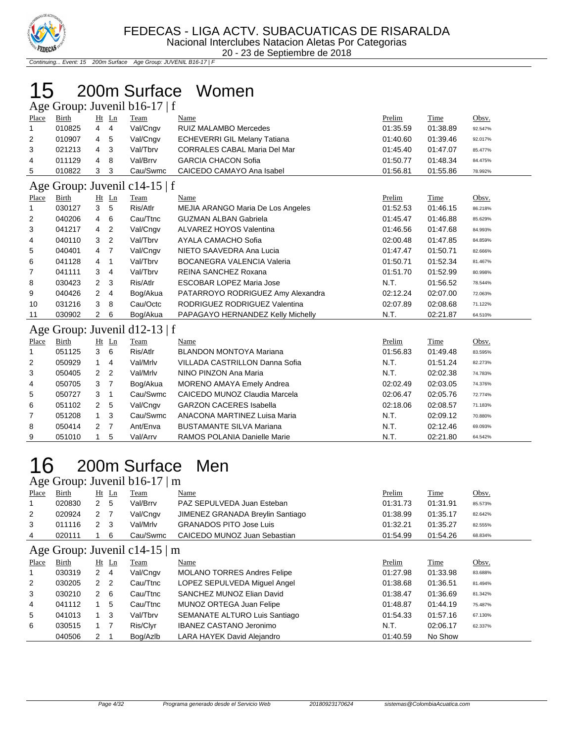

Continuing... Event: 15 200m Surface Age Group: JUVENIL B16-17 | F

### 200m Surface Women

| Age Group: Juvenil b16-17   f |              |                |                |                               |                                          |          |             |         |  |  |
|-------------------------------|--------------|----------------|----------------|-------------------------------|------------------------------------------|----------|-------------|---------|--|--|
| Place                         | Birth        |                | $Ht$ Ln        | Team                          | Name                                     | Prelim   | <b>Time</b> | Obsv.   |  |  |
| 1                             | 010825       | 4              | 4              | Val/Cngv                      | <b>RUIZ MALAMBO Mercedes</b>             | 01:35.59 | 01:38.89    | 92.547% |  |  |
| $\overline{2}$                | 010907       | 4              | 5              | Val/Cngv                      | <b>ECHEVERRI GIL Melany Tatiana</b>      | 01:40.60 | 01:39.46    | 92.017% |  |  |
| 3                             | 021213       | 4              | 3              | Val/Tbrv                      | <b>CORRALES CABAL Maria Del Mar</b>      | 01:45.40 | 01:47.07    | 85.477% |  |  |
| 4                             | 011129       | 4              | 8              | Val/Brrv                      | <b>GARCIA CHACON Sofia</b>               | 01:50.77 | 01:48.34    | 84.475% |  |  |
| 5                             | 010822       | 3              | 3              | Cau/Swmc                      | CAICEDO CAMAYO Ana Isabel                | 01:56.81 | 01:55.86    | 78.992% |  |  |
| Age                           |              |                |                | Group: Juvenil c14-15   f     |                                          |          |             |         |  |  |
| Place                         | Birth        |                | $Ht$ Ln        | Team                          | Name                                     | Prelim   | Time        | Obsv.   |  |  |
| 1                             | 030127       | 3              | 5              | Ris/Atlr                      | <b>MEJIA ARANGO Maria De Los Angeles</b> | 01:52.53 | 01:46.15    | 86.218% |  |  |
| 2                             | 040206       | 4              | 6              | Cau/Ttnc                      | <b>GUZMAN ALBAN Gabriela</b>             | 01:45.47 | 01:46.88    | 85.629% |  |  |
| 3                             | 041217       | 4              | 2              | Val/Cngv                      | ALVAREZ HOYOS Valentina                  | 01:46.56 | 01:47.68    | 84.993% |  |  |
| 4                             | 040110       | 3              | $\overline{2}$ | Val/Tbrv                      | AYALA CAMACHO Sofia                      | 02:00.48 | 01:47.85    | 84.859% |  |  |
| 5                             | 040401       | 4              | 7              | Val/Cngv                      | NIETO SAAVEDRA Ana Lucia                 | 01:47.47 | 01:50.71    | 82.666% |  |  |
| 6                             | 041128       | 4              | 1              | Val/Tbrv                      | <b>BOCANEGRA VALENCIA Valeria</b>        | 01:50.71 | 01:52.34    | 81.467% |  |  |
| 7                             | 041111       | 3              | 4              | Val/Tbrv                      | REINA SANCHEZ Roxana                     | 01:51.70 | 01:52.99    | 80.998% |  |  |
| 8                             | 030423       | 2              | 3              | Ris/Atlr                      | <b>ESCOBAR LOPEZ Maria Jose</b>          | N.T.     | 01:56.52    | 78.544% |  |  |
| 9                             | 040426       | $\overline{2}$ | 4              | Bog/Akua                      | PATARROYO RODRIGUEZ Amy Alexandra        | 02:12.24 | 02:07.00    | 72.063% |  |  |
| 10                            | 031216       | 3              | 8              | Cau/Octc                      | RODRIGUEZ RODRIGUEZ Valentina            | 02:07.89 | 02:08.68    | 71.122% |  |  |
| 11                            | 030902       | 2              | 6              | Bog/Akua                      | PAPAGAYO HERNANDEZ Kelly Michelly        | N.T.     | 02:21.87    | 64.510% |  |  |
|                               |              |                |                | Age Group: Juvenil d12-13   f |                                          |          |             |         |  |  |
| <b>Place</b>                  | <b>Birth</b> |                | Ht Ln          | Team                          | Name                                     | Prelim   | Time        | Obsv.   |  |  |
| 1                             | 051125       | 3              | 6              | Ris/Atlr                      | <b>BLANDON MONTOYA Mariana</b>           | 01:56.83 | 01:49.48    | 83.595% |  |  |
| 2                             | 050929       | $\mathbf{1}$   | 4              | Val/Mrlv                      | VILLADA CASTRILLON Danna Sofia           | N.T.     | 01:51.24    | 82.273% |  |  |
| 3                             | 050405       | 2              | $\overline{2}$ | Val/Mrlv                      | NINO PINZON Ana Maria                    | N.T.     | 02:02.38    | 74.783% |  |  |
| 4                             | 050705       | 3              | 7              | Bog/Akua                      | <b>MORENO AMAYA Emely Andrea</b>         | 02:02.49 | 02:03.05    | 74.376% |  |  |
| 5                             | 050727       | 3              | $\mathbf{1}$   | Cau/Swmc                      | CAICEDO MUNOZ Claudia Marcela            | 02:06.47 | 02:05.76    | 72.774% |  |  |
| 6                             | 051102       | 2              | 5              | Val/Cngv                      | <b>GARZON CACERES Isabella</b>           | 02:18.06 | 02:08.57    | 71.183% |  |  |
| 7                             | 051208       | $\mathbf{1}$   | 3              | Cau/Swmc                      | ANACONA MARTINEZ Luisa Maria             | N.T.     | 02:09.12    | 70.880% |  |  |
| 8                             | 050414       | 2              | 7              | Ant/Enva                      | <b>BUSTAMANTE SILVA Mariana</b>          | N.T.     | 02:12.46    | 69.093% |  |  |
| 9                             | 051010       | 1              | 5              | Val/Arrv                      | RAMOS POLANIA Danielle Marie             | N.T.     | 02:21.80    | 64.542% |  |  |

# 200m Surface Men

Age Group: Juvenil b16-17 | m

| ັ              |                                    |                  |         |             |                                    |          |             |         |  |  |  |
|----------------|------------------------------------|------------------|---------|-------------|------------------------------------|----------|-------------|---------|--|--|--|
| Place          | <b>Birth</b>                       |                  | $Ht$ Ln | <b>Team</b> | <b>Name</b>                        | Prelim   | <b>Time</b> | Obsv.   |  |  |  |
| 1              | 020830                             | $\mathbf{2}$     | -5      | Val/Brrv    | PAZ SEPULVEDA Juan Esteban         | 01:31.73 | 01:31.91    | 85.573% |  |  |  |
| $\overline{2}$ | 020924                             | $2 \overline{7}$ |         | Val/Cngv    | JIMENEZ GRANADA Breylin Santiago   | 01:38.99 | 01:35.17    | 82.642% |  |  |  |
| 3              | 011116                             | $2 \quad 3$      |         | Val/Mrlv    | <b>GRANADOS PITO Jose Luis</b>     | 01:32.21 | 01:35.27    | 82.555% |  |  |  |
| 4              | 020111                             |                  | -6      | Cau/Swmc    | CAICEDO MUNOZ Juan Sebastian       | 01:54.99 | 01:54.26    | 68.834% |  |  |  |
|                | Age Group: Juvenil c14-15 $\mid$ m |                  |         |             |                                    |          |             |         |  |  |  |
| Place          | Birth                              |                  | $Ht$ Ln | Team        | Name                               | Prelim   | Time        | Obsv.   |  |  |  |
|                | 030319                             | $2 \quad 4$      |         | Val/Cngv    | <b>MOLANO TORRES Andres Felipe</b> | 01:27.98 | 01:33.98    | 83.688% |  |  |  |
| 2              | 030205                             | 2 <sub>2</sub>   |         | Cau/Ttnc    | LOPEZ SEPULVEDA Miquel Angel       | 01:38.68 | 01:36.51    | 81.494% |  |  |  |
| 3              | 030210                             | $\mathbf{2}$     | - 6     | Cau/Ttnc    | SANCHEZ MUNOZ Elian David          | 01:38.47 | 01:36.69    | 81.342% |  |  |  |
| 4              | 041112                             |                  | 5       | Cau/Ttnc    | MUNOZ ORTEGA Juan Felipe           | 01:48.87 | 01:44.19    | 75.487% |  |  |  |
| 5              | 041013                             |                  | -3      | Val/Tbrv    | SEMANATE ALTURO Luis Santiago      | 01:54.33 | 01:57.16    | 67.130% |  |  |  |

 030515 1 7 Ris/Clyr IBANEZ CASTANO Jeronimo N.T. 02:06.17 62.337% 040506 2 1 Bog/Azlb LARA HAYEK David Alejandro 11:40.59 No Show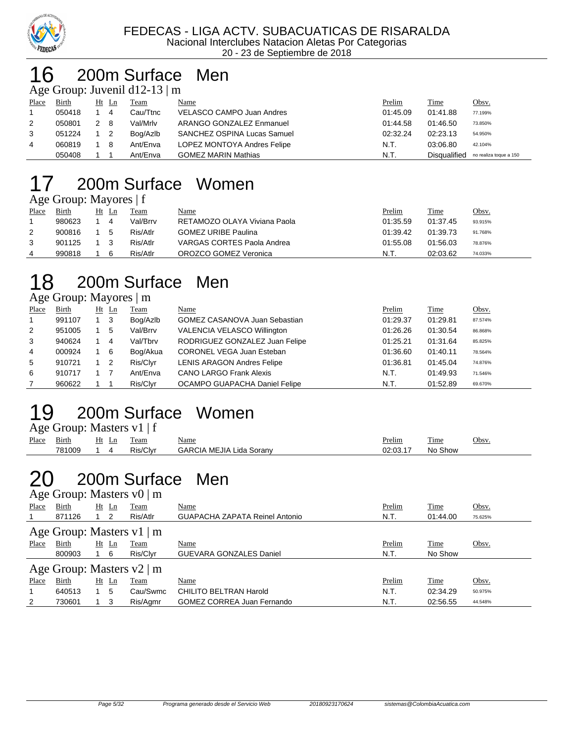

### 6 200m Surface Men

|       | Age Group: Juvenil $d12-13 \mid m$ |     |                            |          |                             |          |              |                        |  |  |  |
|-------|------------------------------------|-----|----------------------------|----------|-----------------------------|----------|--------------|------------------------|--|--|--|
| Place | Birth                              |     | Ht Ln                      | Team     | Name                        | Prelim   | Time         | Obsv.                  |  |  |  |
|       | 050418                             |     | 4                          | Cau/Ttnc | VELASCO CAMPO Juan Andres   | 01:45.09 | 01:41.88     | 77.199%                |  |  |  |
| 2     | 050801                             | 2 8 |                            | Val/Mrlv | ARANGO GONZALEZ Enmanuel    | 01:44.58 | 01:46.50     | 73.850%                |  |  |  |
| 3     | 051224                             |     | $\overline{\phantom{0}}^2$ | Bog/Azlb | SANCHEZ OSPINA Lucas Samuel | 02:32.24 | 02:23.13     | 54.950%                |  |  |  |
| 4     | 060819                             | 1 8 |                            | Ant/Enva | LOPEZ MONTOYA Andres Felipe | N.T.     | 03:06.80     | 42.104%                |  |  |  |
|       | 050408                             |     |                            | Ant/Enva | <b>GOMEZ MARIN Mathias</b>  | N.T.     | Disqualified | no realiza toque a 150 |  |  |  |

# 17 200m Surface Women

|             | Age Group: Mayores   f |      |
|-------------|------------------------|------|
| Place Birth | Ht Ln Team             | Name |

| Place | Birth  | Ht |   | Team     | <u>Name</u>                  | <b>Prelim</b> | Time     | <u>Obsv.</u> |
|-------|--------|----|---|----------|------------------------------|---------------|----------|--------------|
|       | 980623 |    | 4 | Val/Brrv | RETAMOZO OLAYA Viviana Paola | 01:35.59      | 01:37.45 | 93.915%      |
|       | 900816 |    |   | Ris/Atlr | <b>GOMEZ URIBE Paulina</b>   | 01:39.42      | 01:39.73 | 91.768%      |
|       | 901125 |    |   | Ris/Atlr | VARGAS CORTES Paola Andrea   | 01:55.08      | 01:56.03 | 78.876%      |
|       | 990818 |    |   | Ris/Atlr | OROZCO GOMEZ Veronica        | N.T.          | 02:03.62 | 74.033%      |

### 18 200m Surface Men

Age Group: Mayores | m

| Place          | Birth  |             | $Ht$ Ln | <b>Team</b> | Name                              | Prelim   | Time     | Obsv.   |
|----------------|--------|-------------|---------|-------------|-----------------------------------|----------|----------|---------|
| $\overline{1}$ | 991107 | $1 \quad 3$ |         | Bog/Azlb    | GOMEZ CASANOVA Juan Sebastian     | 01:29.37 | 01:29.81 | 87.574% |
| 2              | 951005 |             | 5       | Val/Brrv    | VALENCIA VELASCO Willington       | 01:26.26 | 01:30.54 | 86.868% |
| 3              | 940624 |             | -4      | Val/Tbrv    | RODRIGUEZ GONZALEZ Juan Felipe    | 01:25.21 | 01:31.64 | 85.825% |
| $\overline{4}$ | 000924 |             | - 6     | Bog/Akua    | <b>CORONEL VEGA Juan Esteban</b>  | 01:36.60 | 01:40.11 | 78.564% |
| 5              | 910721 | $1\quad 2$  |         | Ris/Clyr    | <b>LENIS ARAGON Andres Felipe</b> | 01:36.81 | 01:45.04 | 74.876% |
| 6              | 910717 |             |         | Ant/Enva    | <b>CANO LARGO Frank Alexis</b>    | N.T.     | 01:49.93 | 71.546% |
|                | 960622 |             |         | Ris/Clyr    | OCAMPO GUAPACHA Daniel Felipe     | N.T.     | 01:52.89 | 69.670% |

### 19 200m Surface Women

|       | Age Group: Masters $v1$   f |       |          |                          |          |         |       |  |  |  |  |  |
|-------|-----------------------------|-------|----------|--------------------------|----------|---------|-------|--|--|--|--|--|
| Place | Birth                       | Ht Ln | Team     | <u>Name</u>              | Prelim   | Time    | Obsv. |  |  |  |  |  |
|       | 781009                      |       | Ris/Clvr | GARCIA MEJIA Lida Soranv | 02:03.17 | No Show |       |  |  |  |  |  |

#### 200m Surface Men Age Group: Masters v0 | m

|       | $\Delta \ge 0$ Oroup. Masives $\mathbf{v}$   III |            |         |          |                                       |        |          |         |  |  |  |  |
|-------|--------------------------------------------------|------------|---------|----------|---------------------------------------|--------|----------|---------|--|--|--|--|
| Place | Birth                                            |            | $Ht$ Ln | Team     | Name                                  | Prelim | Time     | Obsv.   |  |  |  |  |
|       | 871126                                           | $1\quad 2$ |         | Ris/Atlr | <b>GUAPACHA ZAPATA Reinel Antonio</b> | N.T.   | 01:44.00 | 75.625% |  |  |  |  |
|       | Age Group: Masters v1   m                        |            |         |          |                                       |        |          |         |  |  |  |  |
| Place | Birth                                            |            | Ht Ln   | Team     | Name                                  | Prelim | Time     | Obsv.   |  |  |  |  |
|       | 800903                                           |            | - 6     | Ris/Clyr | <b>GUEVARA GONZALES Daniel</b>        | N.T.   | No Show  |         |  |  |  |  |
|       | Age Group: Masters $v2 \mid m$                   |            |         |          |                                       |        |          |         |  |  |  |  |
| Place | Birth                                            |            | $Ht$ Ln | Team     | Name                                  | Prelim | Time     | Obsv.   |  |  |  |  |
|       | 640513                                           |            | 5       | Cau/Swmc | CHILITO BELTRAN Harold                | N.T.   | 02:34.29 | 50.975% |  |  |  |  |
| 2     | 730601                                           |            | -3      | Ris/Agmr | <b>GOMEZ CORREA Juan Fernando</b>     | N.T.   | 02:56.55 | 44.548% |  |  |  |  |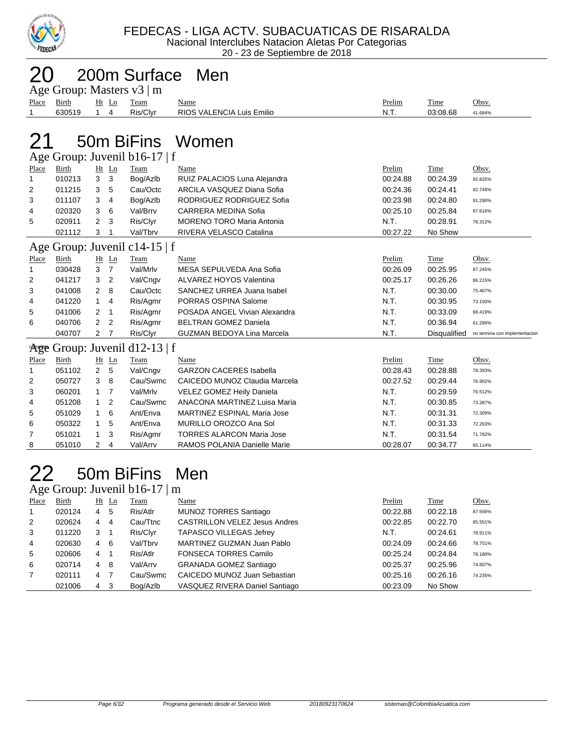

|                                |                               |                |                |                                | 200m Surface Men                   |          |              |                               |  |  |  |
|--------------------------------|-------------------------------|----------------|----------------|--------------------------------|------------------------------------|----------|--------------|-------------------------------|--|--|--|
| Age Group: Masters $v3 \mid m$ |                               |                |                |                                |                                    |          |              |                               |  |  |  |
| Place                          | <b>Birth</b>                  |                | Ht Ln          | Team                           | Name                               | Prelim   | Time         | Obsv.                         |  |  |  |
| 1                              | 630519                        | $\mathbf{1}$   | $\overline{4}$ | Ris/Clyr                       | RIOS VALENCIA Luis Emilio          | N.T.     | 03:08.68     | 41.684%                       |  |  |  |
|                                |                               |                |                |                                |                                    |          |              |                               |  |  |  |
| 50m BiFins Women               |                               |                |                |                                |                                    |          |              |                               |  |  |  |
|                                |                               |                |                | Age Group: Juvenil b16-17   f  |                                    |          |              |                               |  |  |  |
| Place                          | Birth                         |                | $Ht$ Ln        | Team                           | Name                               | Prelim   | Time         | Obsv.                         |  |  |  |
| 1                              | 010213                        | 3              | 3              | Bog/Azlb                       | RUIZ PALACIOS Luna Alejandra       | 00:24.88 | 00:24.39     | 92.825%                       |  |  |  |
| 2                              | 011215                        | 3              | 5              | Cau/Octc                       | ARCILA VASQUEZ Diana Sofia         | 00:24.36 | 00:24.41     | 92.749%                       |  |  |  |
| 3                              | 011107                        | 3              | $\overline{4}$ | Bog/Azlb                       | RODRIGUEZ RODRIGUEZ Sofia          | 00:23.98 | 00:24.80     | 91.290%                       |  |  |  |
| 4                              | 020320                        | 3              | 6              | Val/Brrv                       | <b>CARRERA MEDINA Sofia</b>        | 00:25.10 | 00:25.84     | 87.616%                       |  |  |  |
| 5                              | 020911                        | $\overline{2}$ | 3              | Ris/Clyr                       | <b>MORENO TORO Maria Antonia</b>   | N.T.     | 00:28.91     | 78.312%                       |  |  |  |
|                                | 021112                        | 3              |                | Val/Tbrv                       | RIVERA VELASCO Catalina            | 00:27.22 | No Show      |                               |  |  |  |
|                                | Age Group: Juvenil c14-15   f |                |                |                                |                                    |          |              |                               |  |  |  |
| Place                          | Birth                         |                | $Ht$ Ln        | Team                           | Name                               | Prelim   | Time         | Obsv.                         |  |  |  |
| 1                              | 030428                        | 3              | $\overline{7}$ | Val/Mrlv                       | MESA SEPULVEDA Ana Sofia           | 00:26.09 | 00:25.95     | 87.245%                       |  |  |  |
| 2                              | 041217                        | 3              | $\overline{2}$ | Val/Cngv                       | ALVAREZ HOYOS Valentina            | 00:25.17 | 00:26.26     | 86.215%                       |  |  |  |
| 3                              | 041008                        | $\overline{2}$ | 8              | Cau/Octc                       | SANCHEZ URREA Juana Isabel         | N.T.     | 00:30.00     | 75.467%                       |  |  |  |
| 4                              | 041220                        | $\mathbf{1}$   | $\overline{4}$ | Ris/Agmr                       | PORRAS OSPINA Salome               | N.T.     | 00:30.95     | 73.150%                       |  |  |  |
| 5                              | 041006                        | 2              | $\mathbf{1}$   | Ris/Agmr                       | POSADA ANGEL Vivian Alexandra      | N.T.     | 00:33.09     | 68.419%                       |  |  |  |
| 6                              | 040706                        | 2              | $\overline{2}$ | Ris/Agmr                       | <b>BELTRAN GOMEZ Daniela</b>       | N.T.     | 00:36.94     | 61.289%                       |  |  |  |
|                                | 040707                        | 2              | $\overline{7}$ | Ris/Clyr                       | <b>GUZMAN BEDOYA Lina Marcela</b>  | N.T.     | Disqualified | no termina con implementacion |  |  |  |
| Arge                           |                               |                |                | Group: Juvenil $d12-13 \mid f$ |                                    |          |              |                               |  |  |  |
| Place                          | Birth                         |                | Ht Ln          | Team                           | Name                               | Prelim   | Time         | Obsv.                         |  |  |  |
| 1                              | 051102                        | $\overline{2}$ | 5              | Val/Cngv                       | <b>GARZON CACERES Isabella</b>     | 00:28.43 | 00:28.88     | 78.393%                       |  |  |  |
| 2                              | 050727                        | 3              | 8              | Cau/Swmc                       | CAICEDO MUNOZ Claudia Marcela      | 00:27.52 | 00:29.44     | 76.902%                       |  |  |  |
| 3                              | 060201                        | 1              | $\overline{7}$ | Val/Mrlv                       | VELEZ GOMEZ Heily Daniela          | N.T.     | 00:29.59     | 76.512%                       |  |  |  |
| 4                              | 051208                        | $\mathbf{1}$   | $\overline{2}$ | Cau/Swmc                       | ANACONA MARTINEZ Luisa Maria       | N.T.     | 00:30.85     | 73.387%                       |  |  |  |
| 5                              | 051029                        | $\mathbf{1}$   | 6              | Ant/Enva                       | <b>MARTINEZ ESPINAL Maria Jose</b> | N.T.     | 00:31.31     | 72.309%                       |  |  |  |
| 6                              | 050322                        | $\mathbf{1}$   | 5              | Ant/Enva                       | MURILLO OROZCO Ana Sol             | N.T.     | 00:31.33     | 72.263%                       |  |  |  |
| 7                              | 051021                        | 1              | 3              | Ris/Agmr                       | TORRES ALARCON Maria Jose          | N.T.     | 00:31.54     | 71.782%                       |  |  |  |
| 8                              | 051010                        | 2              | $\overline{4}$ | Val/Arrv                       | RAMOS POLANIA Danielle Marie       | 00:28.07 | 00:34.77     | 65.114%                       |  |  |  |

#### 50m BiFins Men an: Juvenil b16 $\overline{17 \mid m}$

|                | $\Delta \leq$ UIUUP. JUVUIII UIU-I /   III |   |                |             |                                      |          |          |         |  |  |  |  |
|----------------|--------------------------------------------|---|----------------|-------------|--------------------------------------|----------|----------|---------|--|--|--|--|
| Place          | Birth                                      |   | $Ht$ Ln        | <b>Team</b> | Name                                 | Prelim   | Time     | Obsv.   |  |  |  |  |
| $\overline{1}$ | 020124                                     | 4 | - 5            | Ris/Atlr    | MUNOZ TORRES Santiago                | 00:22.88 | 00:22.18 | 87.556% |  |  |  |  |
| 2              | 020624                                     | 4 | $\overline{4}$ | Cau/Ttnc    | <b>CASTRILLON VELEZ Jesus Andres</b> | 00:22.85 | 00:22.70 | 85.551% |  |  |  |  |
| 3              | 011220                                     | 3 |                | Ris/Clyr    | <b>TAPASCO VILLEGAS Jefrey</b>       | N.T.     | 00:24.61 | 78.911% |  |  |  |  |
| 4              | 020630                                     | 4 | - 6            | Val/Tbrv    | MARTINEZ GUZMAN Juan Pablo           | 00:24.09 | 00:24.66 | 78.751% |  |  |  |  |
| 5              | 020606                                     | 4 |                | Ris/Atlr    | FONSECA TORRES Camilo                | 00:25.24 | 00:24.84 | 78.180% |  |  |  |  |
| 6              | 020714                                     | 4 | -8             | Val/Arrv    | <b>GRANADA GOMEZ Santiago</b>        | 00:25.37 | 00:25.96 | 74.807% |  |  |  |  |
| $\overline{7}$ | 020111                                     | 4 | $\overline{7}$ | Cau/Swmc    | CAICEDO MUNOZ Juan Sebastian         | 00:25.16 | 00:26.16 | 74.235% |  |  |  |  |
|                | 021006                                     | 4 | -3             | Bog/Azlb    | VASQUEZ RIVERA Daniel Santiago       | 00:23.09 | No Show  |         |  |  |  |  |
|                |                                            |   |                |             |                                      |          |          |         |  |  |  |  |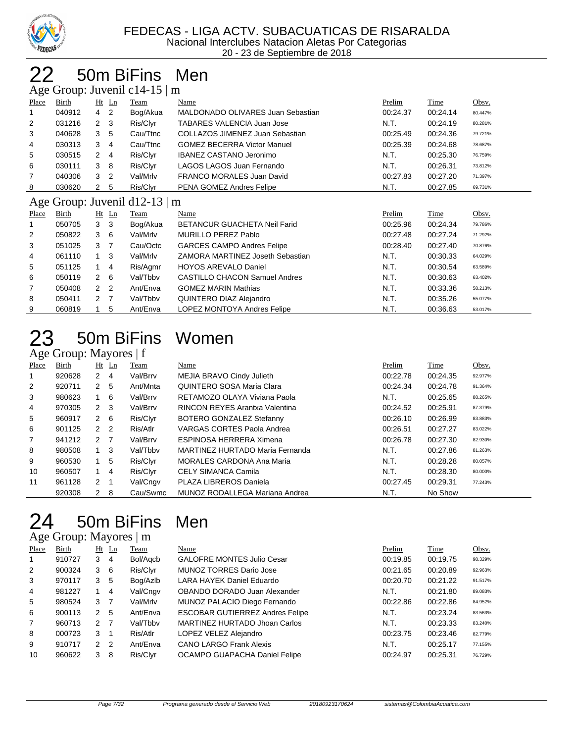

# 22 50m BiFins Men

|  |  |  | Age Group: Juvenil c14-15   m |  |
|--|--|--|-------------------------------|--|
|--|--|--|-------------------------------|--|

|                | $1.15$ Oroup. Suvenilet $1.15$   $\mu$ |                      |                |                               |                                      |          |          |         |  |  |  |
|----------------|----------------------------------------|----------------------|----------------|-------------------------------|--------------------------------------|----------|----------|---------|--|--|--|
| Place          | Birth                                  |                      | $Ht$ Ln        | Team                          | Name                                 | Prelim   | Time     | Obsv.   |  |  |  |
|                | 040912                                 | $\overline{4}$       | $\overline{2}$ | Bog/Akua                      | MALDONADO OLIVARES Juan Sebastian    | 00:24.37 | 00:24.14 | 80.447% |  |  |  |
| $\overline{2}$ | 031216                                 | $\mathbf{2}$         | -3             | Ris/Clyr                      | TABARES VALENCIA Juan Jose           | N.T.     | 00:24.19 | 80.281% |  |  |  |
| 3              | 040628                                 | 3                    | 5              | Cau/Ttnc                      | COLLAZOS JIMENEZ Juan Sebastian      | 00:25.49 | 00:24.36 | 79.721% |  |  |  |
| 4              | 030313                                 | 3                    | 4              | Cau/Ttnc                      | <b>GOMEZ BECERRA Victor Manuel</b>   | 00:25.39 | 00:24.68 | 78.687% |  |  |  |
| 5              | 030515                                 | $\mathbf{2}^{\circ}$ | $\overline{4}$ | Ris/Clyr                      | <b>IBANEZ CASTANO Jeronimo</b>       | N.T.     | 00:25.30 | 76.759% |  |  |  |
| 6              | 030111                                 | 3                    | -8             | Ris/Clyr                      | LAGOS LAGOS Juan Fernando            | N.T.     | 00:26.31 | 73.812% |  |  |  |
| 7              | 040306                                 | 3                    | $\overline{2}$ | Val/Mrlv                      | <b>FRANCO MORALES Juan David</b>     | 00:27.83 | 00:27.20 | 71.397% |  |  |  |
| 8              | 030620                                 | $\mathbf{2}$         | 5              | Ris/Clyr                      | PENA GOMEZ Andres Felipe             | N.T.     | 00:27.85 | 69.731% |  |  |  |
|                |                                        |                      |                | Age Group: Juvenil d12-13   m |                                      |          |          |         |  |  |  |
| Place          | Birth                                  |                      | $Ht$ Ln        | Team                          | Name                                 | Prelim   | Time     | Obsv.   |  |  |  |
|                | 050705                                 | 3                    | -3             | Bog/Akua                      | <b>BETANCUR GUACHETA Neil Farid</b>  | 00:25.96 | 00:24.34 | 79.786% |  |  |  |
| 2              | 050822                                 | 3                    | - 6            | Val/Mrlv                      | <b>MURILLO PEREZ Pablo</b>           | 00:27.48 | 00:27.24 | 71.292% |  |  |  |
| 3              | 051025                                 | 3                    | -7             | Cau/Octc                      | <b>GARCES CAMPO Andres Felipe</b>    | 00:28.40 | 00:27.40 | 70.876% |  |  |  |
| 4              | 061110                                 | 1                    | -3             | Val/Mrlv                      | ZAMORA MARTINEZ Joseth Sebastian     | N.T.     | 00:30.33 | 64.029% |  |  |  |
| 5              | 051125                                 | $\mathbf{1}$         | $\overline{4}$ | Ris/Agmr                      | <b>HOYOS AREVALO Daniel</b>          | N.T.     | 00:30.54 | 63.589% |  |  |  |
| 6              | 050119                                 | $\overline{2}$       | - 6            | Val/Tbby                      | <b>CASTILLO CHACON Samuel Andres</b> | N.T.     | 00:30.63 | 63.402% |  |  |  |
| 7              | 050408                                 | $\mathbf{2}$         | $\overline{2}$ | Ant/Enva                      | <b>GOMEZ MARIN Mathias</b>           | N.T.     | 00:33.36 | 58.213% |  |  |  |
| 8              | 050411                                 | 2                    |                | Val/Tbbv                      | QUINTERO DIAZ Alejandro              | N.T.     | 00:35.26 | 55.077% |  |  |  |

#### 50m BiFins Women Age Group: Mayores | f

| ب     |        |                      |                |             |                                  |          |          |         |
|-------|--------|----------------------|----------------|-------------|----------------------------------|----------|----------|---------|
| Place | Birth  | $Ht$ Ln              |                | <b>Team</b> | Name                             | Prelim   | Time     | Obsv.   |
|       | 920628 | $\mathbf{2}^{\circ}$ | -4             | Val/Brrv    | MEJIA BRAVO Cindy Julieth        | 00:22.78 | 00:24.35 | 92.977% |
| 2     | 920711 | 2                    | 5              | Ant/Mnta    | QUINTERO SOSA Maria Clara        | 00:24.34 | 00:24.78 | 91.364% |
| 3     | 980623 |                      | 6              | Val/Brrv    | RETAMOZO OLAYA Viviana Paola     | N.T.     | 00:25.65 | 88.265% |
| 4     | 970305 | $2 \quad 3$          |                | Val/Brrv    | RINCON REYES Arantxa Valentina   | 00:24.52 | 00:25.91 | 87.379% |
| 5     | 960917 | $2\quad 6$           |                | Ris/Clyr    | BOTERO GONZALEZ Stefanny         | 00:26.10 | 00:26.99 | 83.883% |
| 6     | 901125 | 2                    | -2             | Ris/Atlr    | VARGAS CORTES Paola Andrea       | 00:26.51 | 00:27.27 | 83.022% |
| 7     | 941212 | 2 7                  |                | Val/Brrv    | ESPINOSA HERRERA Ximena          | 00:26.78 | 00:27.30 | 82.930% |
| 8     | 980508 |                      | -3             | Val/Tbby    | MARTINEZ HURTADO Maria Fernanda  | N.T.     | 00:27.86 | 81.263% |
| 9     | 960530 |                      | 5              | Ris/Clyr    | <b>MORALES CARDONA Ana Maria</b> | N.T.     | 00:28.28 | 80.057% |
| 10    | 960507 |                      | $\overline{4}$ | Ris/Clyr    | <b>CELY SIMANCA Camila</b>       | N.T.     | 00:28.30 | 80.000% |
| 11    | 961128 | 2                    | -1             | Val/Cngv    | PLAZA LIBREROS Daniela           | 00:27.45 | 00:29.31 | 77.243% |
|       | 920308 | $\mathbf{2}^{\circ}$ | -8             | Cau/Swmc    | MUNOZ RODALLEGA Mariana Andrea   | N.T.     | No Show  |         |

9 060819 1 5 Ant/Enva LOPEZ MONTOYA Andres Felipe N.T. 00:36.63 53.017%

# 50m BiFins Men

| Age Group: Mayores   m |  |  |
|------------------------|--|--|
|------------------------|--|--|

| Place          | Birth  |               | $Ht$ Ln        | Team     | Name                                   | Prelim   | Time     | Obsv.   |
|----------------|--------|---------------|----------------|----------|----------------------------------------|----------|----------|---------|
| 1              | 910727 | 3             | 4              | Bol/Agcb | <b>GALOFRE MONTES Julio Cesar</b>      | 00:19.85 | 00:19.75 | 98.329% |
| $\overline{2}$ | 900324 | 3             | - 6            | Ris/Clyr | <b>MUNOZ TORRES Dario Jose</b>         | 00:21.65 | 00:20.89 | 92.963% |
| 3              | 970117 | 3             | 5              | Bog/Azlb | LARA HAYEK Daniel Eduardo              | 00:20.70 | 00:21.22 | 91.517% |
| 4              | 981227 |               | 4              | Val/Cngv | OBANDO DORADO Juan Alexander           | N.T.     | 00:21.80 | 89.083% |
| 5              | 980524 | 3             |                | Val/Mrlv | MUNOZ PALACIO Diego Fernando           | 00:22.86 | 00:22.86 | 84.952% |
| 6              | 900113 | $\mathcal{P}$ | 5              | Ant/Enva | <b>ESCOBAR GUTIERREZ Andres Felipe</b> | N.T.     | 00:23.24 | 83.563% |
| $\overline{7}$ | 960713 | $\mathcal{P}$ | - 7            | Val/Tbbv | MARTINEZ HURTADO Jhoan Carlos          | N.T.     | 00:23.33 | 83.240% |
| 8              | 000723 | 3             | -1             | Ris/Atlr | LOPEZ VELEZ Alejandro                  | 00:23.75 | 00:23.46 | 82.779% |
| 9              | 910717 | $\mathcal{P}$ | $\overline{2}$ | Ant/Enva | <b>CANO LARGO Frank Alexis</b>         | N.T.     | 00:25.17 | 77.155% |
| 10             | 960622 | 3             | -8             | Ris/Clyr | OCAMPO GUAPACHA Daniel Felipe          | 00:24.97 | 00:25.31 | 76.729% |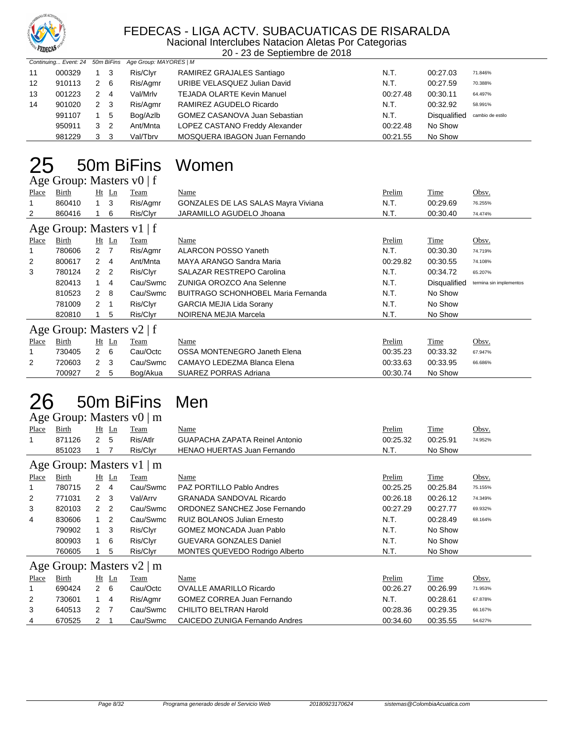

#### FEDECAS - LIGA ACTV. SUBACUATICAS DE RISARALDA Nacional Interclubes Natacion Aletas Por Categorias

20 - 23 de Septiembre de 2018

|                   |        |   |                | Continuing Event: 24 50m BiFins Age Group: MAYORES   M |                                      |          |                     |                  |
|-------------------|--------|---|----------------|--------------------------------------------------------|--------------------------------------|----------|---------------------|------------------|
| 11                | 000329 |   | - 3            | Ris/Clyr                                               | RAMIREZ GRAJALES Santiago            | N.T.     | 00:27.03            | 71.846%          |
| $12 \overline{ }$ | 910113 |   | 2 6            | Ris/Agmr                                               | URIBE VELASQUEZ Julian David         | N.T.     | 00:27.59            | 70.388%          |
| 13                | 001223 | 2 | $\overline{4}$ | Val/Mrlv                                               | <b>TEJADA OLARTE Kevin Manuel</b>    | 00:27.48 | 00:30.11            | 64.497%          |
| 14                | 901020 |   | 2 3            | Ris/Agmr                                               | RAMIREZ AGUDELO Ricardo              | N.T.     | 00:32.92            | 58.991%          |
|                   | 991107 |   | $1\quad 5$     | Bog/Azlb                                               | <b>GOMEZ CASANOVA Juan Sebastian</b> | N.T.     | <b>Disqualified</b> | cambio de estilo |
|                   | 950911 |   | 3 <sub>2</sub> | Ant/Mnta                                               | LOPEZ CASTANO Freddy Alexander       | 00:22.48 | No Show             |                  |
|                   | 981229 | 3 | - 3            | Val/Tbrv                                               | MOSQUERA IBAGON Juan Fernando        | 00:21.55 | No Show             |                  |

# 25 50m BiFins Women

|                           | Age Group: Masters v0   f |                |                  |             |                                            |               |                     |                         |  |  |  |  |
|---------------------------|---------------------------|----------------|------------------|-------------|--------------------------------------------|---------------|---------------------|-------------------------|--|--|--|--|
| Place                     | Birth                     |                | $Ht$ Ln          | Team        | Name                                       | Prelim        | Time                | Obsv.                   |  |  |  |  |
|                           | 860410                    | 1              | $_{3}$           | Ris/Agmr    | <b>GONZALES DE LAS SALAS Mayra Viviana</b> | N.T.          | 00:29.69            | 76.255%                 |  |  |  |  |
| 2                         | 860416                    |                | 6                | Ris/Clyr    | JARAMILLO AGUDELO Jhoana                   | N.T.          | 00:30.40            | 74.474%                 |  |  |  |  |
| Age Group: Masters v1   f |                           |                |                  |             |                                            |               |                     |                         |  |  |  |  |
| <b>Place</b>              | Birth                     |                | $Ht$ Ln          | <b>Team</b> | Name                                       | <b>Prelim</b> | <b>Time</b>         | Obsv.                   |  |  |  |  |
|                           | 780606                    |                | $2 \overline{7}$ | Ris/Agmr    | ALARCON POSSO Yaneth                       | N.T.          | 00:30.30            | 74.719%                 |  |  |  |  |
| 2                         | 800617                    |                | $2 \quad 4$      | Ant/Mnta    | MAYA ARANGO Sandra Maria                   | 00:29.82      | 00:30.55            | 74.108%                 |  |  |  |  |
| 3                         | 780124                    |                | 2 <sub>2</sub>   | Ris/Clyr    | SALAZAR RESTREPO Carolina                  | N.T.          | 00:34.72            | 65.207%                 |  |  |  |  |
|                           | 820413                    |                | 4                | Cau/Swmc    | ZUNIGA OROZCO Ana Selenne                  | N.T.          | <b>Disqualified</b> | termina sin implementos |  |  |  |  |
|                           | 810523                    | $\overline{2}$ | - 8              | Cau/Swmc    | <b>BUITRAGO SCHONHOBEL Maria Fernanda</b>  | N.T.          | No Show             |                         |  |  |  |  |
|                           | 781009                    | 2              | -1               | Ris/Clyr    | <b>GARCIA MEJIA Lida Sorany</b>            | N.T.          | No Show             |                         |  |  |  |  |
|                           | 820810                    |                | 5                | Ris/Clyr    | NOIRENA MEJIA Marcela                      | N.T.          | No Show             |                         |  |  |  |  |
|                           | Age Group: Masters v2   f |                |                  |             |                                            |               |                     |                         |  |  |  |  |
| Place                     | Birth                     |                | $Ht$ Ln          | Team        | Name                                       | Prelim        | Time                | Obsv.                   |  |  |  |  |
|                           | 730405                    |                | 2 6              | Cau/Octc    | OSSA MONTENEGRO Janeth Elena               | 00:35.23      | 00:33.32            | 67.947%                 |  |  |  |  |
| 2                         | 720603                    | 2              | 3                | Cau/Swmc    | CAMAYO LEDEZMA Blanca Elena                | 00:33.63      | 00:33.95            | 66.686%                 |  |  |  |  |
|                           | 700927                    | $\overline{2}$ | 5                | Bog/Akua    | <b>SUAREZ PORRAS Adriana</b>               | 00:30.74      | No Show             |                         |  |  |  |  |

#### 50m BiFins Age Group: Masters v0 | m

| Men |  |
|-----|--|
|-----|--|

|                                |        |                |                | $T_{\rm LSC}$ Oroup. IvidSters $\rm{vol}$   III |                                       |          |          |         |  |  |  |  |
|--------------------------------|--------|----------------|----------------|-------------------------------------------------|---------------------------------------|----------|----------|---------|--|--|--|--|
| Place                          | Birth  |                | Ht Ln          | Team                                            | Name                                  | Prelim   | Time     | Obsv.   |  |  |  |  |
|                                | 871126 | 2              | -5             | Ris/Atlr                                        | <b>GUAPACHA ZAPATA Reinel Antonio</b> | 00:25.32 | 00:25.91 | 74.952% |  |  |  |  |
|                                | 851023 |                | 7              | Ris/Clyr                                        | <b>HENAO HUERTAS Juan Fernando</b>    | N.T.     | No Show  |         |  |  |  |  |
| Age Group: Masters $v1 \mid m$ |        |                |                |                                                 |                                       |          |          |         |  |  |  |  |
| Place                          | Birth  |                | Ht Ln          | Team                                            | Name                                  | Prelim   | Time     | Obsv.   |  |  |  |  |
|                                | 780715 | $\mathbf{2}$   | -4             | Cau/Swmc                                        | <b>PAZ PORTILLO Pablo Andres</b>      | 00:25.25 | 00:25.84 | 75.155% |  |  |  |  |
| 2                              | 771031 | 2 <sub>3</sub> |                | Val/Arrv                                        | <b>GRANADA SANDOVAL Ricardo</b>       | 00:26.18 | 00:26.12 | 74.349% |  |  |  |  |
| 3                              | 820103 | $\mathcal{P}$  | $\overline{2}$ | Cau/Swmc                                        | ORDONEZ SANCHEZ Jose Fernando         | 00:27.29 | 00:27.77 | 69.932% |  |  |  |  |
| 4                              | 830606 |                | 2              | Cau/Swmc                                        | <b>RUIZ BOLANOS Julian Ernesto</b>    | N.T.     | 00:28.49 | 68.164% |  |  |  |  |
|                                | 790902 |                | 3              | Ris/Clyr                                        | <b>GOMEZ MONCADA Juan Pablo</b>       | N.T.     | No Show  |         |  |  |  |  |
|                                | 800903 |                | 6              | Ris/Clyr                                        | <b>GUEVARA GONZALES Daniel</b>        | N.T.     | No Show  |         |  |  |  |  |
|                                | 760605 |                | 5              | Ris/Clyr                                        | <b>MONTES QUEVEDO Rodrigo Alberto</b> | N.T.     | No Show  |         |  |  |  |  |
|                                |        |                |                | Age Group: Masters $v2 \mid m$                  |                                       |          |          |         |  |  |  |  |
| Place                          | Birth  |                | $Ht$ Ln        | Team                                            | Name                                  | Prelim   | Time     | Obsv.   |  |  |  |  |
|                                | 690424 | 2 6            |                | Cau/Octc                                        | <b>OVALLE AMARILLO Ricardo</b>        | 00:26.27 | 00:26.99 | 71.953% |  |  |  |  |
| 2                              | 730601 | $1 \quad 4$    |                | Ris/Agmr                                        | <b>GOMEZ CORREA Juan Fernando</b>     | N.T.     | 00:28.61 | 67.878% |  |  |  |  |
| 3                              | 640513 | 2 7            |                | Cau/Swmc                                        | <b>CHILITO BELTRAN Harold</b>         | 00:28.36 | 00:29.35 | 66.167% |  |  |  |  |
| 4                              | 670525 | 2              | -1             | Cau/Swmc                                        | CAICEDO ZUNIGA Fernando Andres        | 00:34.60 | 00:35.55 | 54.627% |  |  |  |  |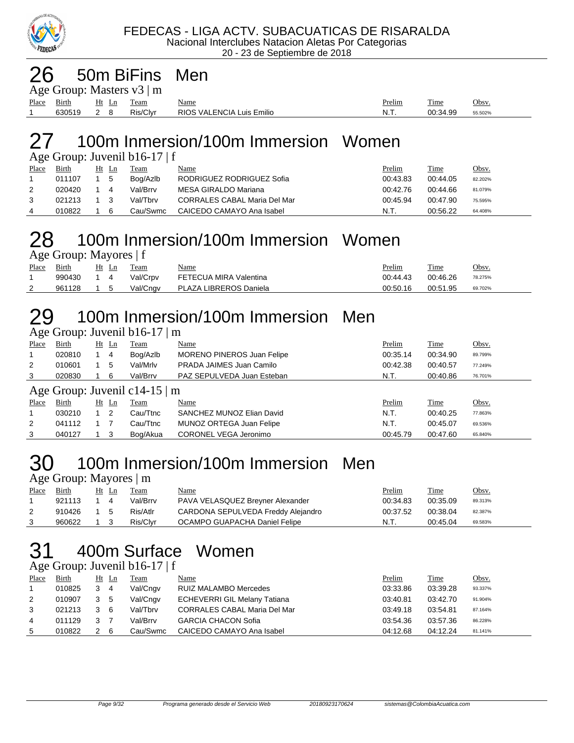

#### 26 50m BiFins Men

| Age Group: Masters $v3 \mid m$ |              |            |          |                           |               |             |         |  |  |  |
|--------------------------------|--------------|------------|----------|---------------------------|---------------|-------------|---------|--|--|--|
| Place                          | <b>Birth</b> | Ht Ln Team |          | <u>Name</u>               | <u>Prelim</u> | <b>Time</b> | Obsv.   |  |  |  |
|                                | 630519 2 8   |            | Ris/Clvr | RIOS VALENCIA Luis Emilio | - N.T.        | 00:34.99    | 55.502% |  |  |  |

### 27 100m Inmersion/100m Immersion Women

|       | Age Group: Juvenil $b16-17 \mid f$ |  |       |          |                                     |          |          |              |  |  |  |  |  |
|-------|------------------------------------|--|-------|----------|-------------------------------------|----------|----------|--------------|--|--|--|--|--|
| Place | Birth                              |  | Ht Ln | Team     | Name                                | Prelim   | Time     | <u>Obsv.</u> |  |  |  |  |  |
|       | 011107                             |  | -5    | Bog/Azlb | RODRIGUEZ RODRIGUEZ Sofia           | 00:43.83 | 00:44.05 | 82.202%      |  |  |  |  |  |
| 2     | 020420                             |  | 4     | Val/Brrv | MESA GIRALDO Mariana                | 00:42.76 | 00:44.66 | 81.079%      |  |  |  |  |  |
| 3     | 021213                             |  |       | Val/Tbrv | <b>CORRALES CABAL Maria Del Mar</b> | 00:45.94 | 00:47.90 | 75.595%      |  |  |  |  |  |
| 4     | 010822                             |  | 6     | Cau/Swmc | CAICEDO CAMAYO Ana Isabel           | N.T.     | 00:56.22 | 64.408%      |  |  |  |  |  |

# 28 100m Inmersion/100m Immersion Women

Age Group: Mayores | f

| Place    | Birth  | Ht | Team     | Name                   | Prelim<br>____ | Time     | Obsv.   |
|----------|--------|----|----------|------------------------|----------------|----------|---------|
|          | 990430 |    | Val/Crpv | FETECUA MIRA Valentina | 00:44.43       | 00:46.26 | 78.275% |
| <u>_</u> | 961128 |    | Val/Cngv | PLAZA LIBREROS Daniela | 00:50.16       | 00:51.95 | 69.702% |

#### 29 100m Inmersion/100m Immersion Men  $G$ roup: Juvenil b16-17  $\mid$  m

|       | $1.8$ C OTOUP. JUVCHII $0.10$ <sup>-1</sup> /   III |                            |             |                                   |          |             |         |  |  |  |  |
|-------|-----------------------------------------------------|----------------------------|-------------|-----------------------------------|----------|-------------|---------|--|--|--|--|
| Place | Birth                                               | $Ht$ Ln                    | Team        | Name                              | Prelim   | Time        | Obsv.   |  |  |  |  |
|       | 020810                                              | 4                          | Bog/Azlb    | <b>MORENO PINEROS Juan Felipe</b> | 00:35.14 | 00:34.90    | 89.799% |  |  |  |  |
| 2     | 010601                                              | 5                          | Val/Mrlv    | PRADA JAIMES Juan Camilo          | 00:42.38 | 00:40.57    | 77.249% |  |  |  |  |
| 3     | 020830                                              | 6                          | Val/Brrv    | PAZ SEPULVEDA Juan Esteban        | N.T.     | 00:40.86    | 76.701% |  |  |  |  |
|       | Age Group: Juvenil c14-15 $\mid$ m                  |                            |             |                                   |          |             |         |  |  |  |  |
| Place | Birth                                               | $Ht$ Ln                    | <b>Team</b> | Name                              | Prelim   | <b>Time</b> | Obsv.   |  |  |  |  |
|       | 030210                                              | $\overline{\phantom{0}}^2$ | Cau/Ttnc    | SANCHEZ MUNOZ Elian David         | N.T.     | 00:40.25    | 77.863% |  |  |  |  |
| 2     | 041112                                              |                            | Cau/Ttnc    | MUNOZ ORTEGA Juan Felipe          | N.T.     | 00:45.07    | 69.536% |  |  |  |  |
| 3     | 040127                                              | - 3                        | Bog/Akua    | CORONEL VEGA Jeronimo             | 00:45.79 | 00:47.60    | 65.840% |  |  |  |  |

#### 30 100m Inmersion/100m Immersion Men  $\mathbf{M}$ <sub>ay</sub>  $\mathbf{M}$

| $\Delta \xi \bar{\zeta}$ UTOUP. Maybe $\vert \bar{\zeta} \vert$ |        |     |       |          |                                    |          |          |              |  |  |
|-----------------------------------------------------------------|--------|-----|-------|----------|------------------------------------|----------|----------|--------------|--|--|
| Place                                                           | Birth  |     | Ht Ln | Team     | Name                               | Prelim   | Time     | <u>Obsv.</u> |  |  |
|                                                                 | 921113 |     | 4     | Val/Brrv | PAVA VELASQUEZ Breyner Alexander   | 00:34.83 | 00:35.09 | 89.313%      |  |  |
|                                                                 | 910426 | 1 5 |       | Ris/Atlr | CARDONA SEPULVEDA Freddy Alejandro | 00:37.52 | 00:38.04 | 82.387%      |  |  |
|                                                                 | 960622 |     |       | Ris/Clvr | OCAMPO GUAPACHA Daniel Felipe      | N.T.     | 00.45.04 | 69.583%      |  |  |

# 31 400m Surface Women

#### Age Group: Juvenil b16-17 | f

| Place | <b>Birth</b> | $Ht$ Ln        | Team     | <u>Name</u>                         | <b>Prelim</b> | Time     | Obsv.   |
|-------|--------------|----------------|----------|-------------------------------------|---------------|----------|---------|
|       | 010825       | -4             | Val/Cngv | RUIZ MALAMBO Mercedes               | 03:33.86      | 03:39.28 | 93.337% |
| 2     | 010907       | 3 <sub>5</sub> | Val/Cngv | <b>ECHEVERRI GIL Melany Tatiana</b> | 03:40.81      | 03:42.70 | 91.904% |
| 3     | 021213       | - 6            | Val/Tbrv | <b>CORRALES CABAL Maria Del Mar</b> | 03:49.18      | 03:54.81 | 87.164% |
| 4     | 011129       |                | Val/Brrv | <b>GARCIA CHACON Sofia</b>          | 03:54.36      | 03:57.36 | 86.228% |
| 5     | 010822       | -6             | Cau/Swmc | CAICEDO CAMAYO Ana Isabel           | 04:12.68      | 04:12.24 | 81.141% |
|       |              |                |          |                                     |               |          |         |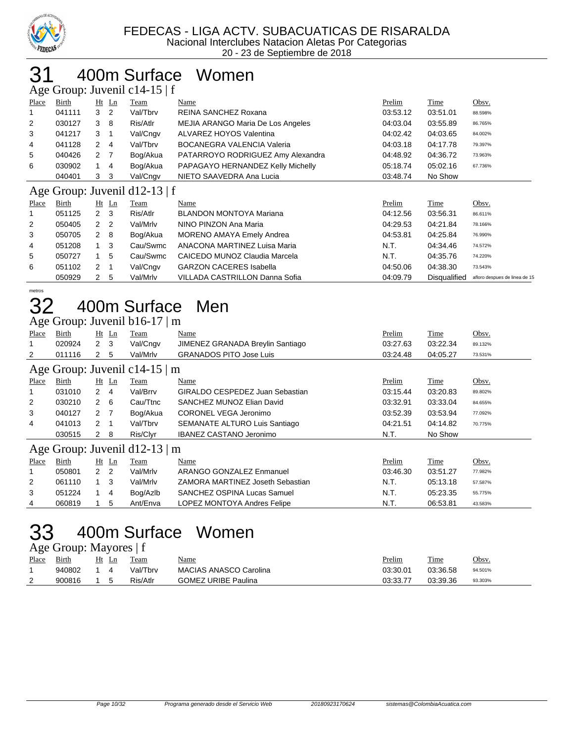

### 400m Surface Women

| Age Group: Juvenil c14-15   f |        |                |         |          |                                   |          |          |         |  |  |  |
|-------------------------------|--------|----------------|---------|----------|-----------------------------------|----------|----------|---------|--|--|--|
| Place                         | Birth  |                | $Ht$ Ln | Team     | Name                              | Prelim   | Time     | Obsv.   |  |  |  |
| 1                             | 041111 | 3              | 2       | Val/Tbrv | REINA SANCHEZ Roxana              | 03:53.12 | 03:51.01 | 88.598% |  |  |  |
| 2                             | 030127 | 3              | -8      | Ris/Atlr | MEJIA ARANGO Maria De Los Angeles | 04:03.04 | 03:55.89 | 86.765% |  |  |  |
| 3                             | 041217 | 3              |         | Val/Cngv | ALVAREZ HOYOS Valentina           | 04:02.42 | 04:03.65 | 84.002% |  |  |  |
| 4                             | 041128 | $\mathbf{2}$   | 4       | Val/Tbrv | <b>BOCANEGRA VALENCIA Valeria</b> | 04:03.18 | 04:17.78 | 79.397% |  |  |  |
| 5                             | 040426 | 2 7            |         | Bog/Akua | PATARROYO RODRIGUEZ Amy Alexandra | 04:48.92 | 04:36.72 | 73.963% |  |  |  |
| 6                             | 030902 |                | 4       | Bog/Akua | PAPAGAYO HERNANDEZ Kelly Michelly | 05:18.74 | 05:02.16 | 67.736% |  |  |  |
|                               | 040401 | 3 <sub>3</sub> |         | Val/Cngv | NIETO SAAVEDRA Ana Lucia          | 03:48.74 | No Show  |         |  |  |  |
| Age Group: Juvenil d12-13   f |        |                |         |          |                                   |          |          |         |  |  |  |

|       |              |     |                | $1.45$ $\sigma$ . $0.04$ $\sigma$ $0.04$ $\sigma$ $0.04$ $\sigma$ $0.04$ $\sigma$ |                                |          |                     |                               |
|-------|--------------|-----|----------------|-----------------------------------------------------------------------------------|--------------------------------|----------|---------------------|-------------------------------|
| Place | <b>Birth</b> |     | $Ht$ Ln        | <b>Team</b>                                                                       | <u>Name</u>                    | Prelim   | <b>Time</b>         | Obsv.                         |
|       | 051125       | 2 3 |                | Ris/Atlr                                                                          | <b>BLANDON MONTOYA Mariana</b> | 04:12.56 | 03:56.31            | 86.611%                       |
| 2     | 050405       | 2 2 |                | Val/Mrlv                                                                          | NINO PINZON Ana Maria          | 04:29.53 | 04:21.84            | 78.166%                       |
| 3     | 050705       | 2 8 |                | Bog/Akua                                                                          | MORENO AMAYA Emely Andrea      | 04:53.81 | 04:25.84            | 76.990%                       |
| 4     | 051208       |     | - 3            | Cau/Swmc                                                                          | ANACONA MARTINEZ Luisa Maria   | N.T.     | 04:34.46            | 74.572%                       |
| 5     | 050727       |     | 5              | Cau/Swmc                                                                          | CAICEDO MUNOZ Claudia Marcela  | N.T.     | 04:35.76            | 74.220%                       |
| 6     | 051102       | 2   | $\overline{1}$ | Val/Cngv                                                                          | <b>GARZON CACERES Isabella</b> | 04:50.06 | 04:38.30            | 73.543%                       |
|       | 050929       | 2   | -5             | Val/Mrlv                                                                          | VILLADA CASTRILLON Danna Sofia | 04:09.79 | <b>Disqualified</b> | afloro despues de linea de 15 |

metros

#### 400m Surface Men Age Group: Juvenil b16-17 | m

|                                                                                                                                                                                                                                                                                                                                                                                                                                                                                                                                                                                                                                                                                                                                                                                                                                                                                                                                                                                                                                                                                                                                                                                      | $1.18$ S19ap. $3.47$ Cm $1.010$ $1.7$ $1.01$ |   |   |          |                                  |          |          |         |  |  |
|--------------------------------------------------------------------------------------------------------------------------------------------------------------------------------------------------------------------------------------------------------------------------------------------------------------------------------------------------------------------------------------------------------------------------------------------------------------------------------------------------------------------------------------------------------------------------------------------------------------------------------------------------------------------------------------------------------------------------------------------------------------------------------------------------------------------------------------------------------------------------------------------------------------------------------------------------------------------------------------------------------------------------------------------------------------------------------------------------------------------------------------------------------------------------------------|----------------------------------------------|---|---|----------|----------------------------------|----------|----------|---------|--|--|
| Place                                                                                                                                                                                                                                                                                                                                                                                                                                                                                                                                                                                                                                                                                                                                                                                                                                                                                                                                                                                                                                                                                                                                                                                | Birth                                        |   |   | Team     | Name                             | Prelim   | Time     | Obsv.   |  |  |
|                                                                                                                                                                                                                                                                                                                                                                                                                                                                                                                                                                                                                                                                                                                                                                                                                                                                                                                                                                                                                                                                                                                                                                                      | 020924                                       |   |   | Val/Cngv | JIMENEZ GRANADA Breylin Santiago | 03:27.63 | 03:22.34 | 89.132% |  |  |
| 2                                                                                                                                                                                                                                                                                                                                                                                                                                                                                                                                                                                                                                                                                                                                                                                                                                                                                                                                                                                                                                                                                                                                                                                    | 011116                                       | 2 | 5 | Val/Mrlv | <b>GRANADOS PITO Jose Luis</b>   | 03:24.48 | 04:05.27 | 73.531% |  |  |
| $Ht$ Ln<br>2 <sub>3</sub><br>Age Group: Juvenil c14-15 $\mid$ m<br>Obsv.<br>Time<br>Birth<br>$Ht$ Ln<br>Name<br>Prelim<br>Place<br>Team<br>GIRALDO CESPEDEZ Juan Sebastian<br>Val/Brrv<br>031010<br>$2 \quad 4$<br>03:15.44<br>03:20.83<br>89.802%<br>SANCHEZ MUNOZ Elian David<br>2<br>$2\quad 6$<br>Cau/Ttnc<br>03:32.91<br>030210<br>03:33.04<br>84.655%<br>3<br>CORONEL VEGA Jeronimo<br>040127<br>Bog/Akua<br>03:52.39<br>2<br>- 7<br>03:53.94<br>77.092%<br>SEMANATE ALTURO Luis Santiago<br>041013<br>Val/Tbrv<br>04:21.51<br>4<br>2 1<br>04:14.82<br>70.775%<br><b>IBANEZ CASTANO Jeronimo</b><br>Ris/Clyr<br>No Show<br>N.T.<br>030515<br>2 8<br>Age Group: Juvenil d12-13 $\mid$ m<br>Birth<br>Time<br>$Ht$ Ln<br>Name<br>Prelim<br>Obsv.<br>Place<br>Team<br>ARANGO GONZALEZ Enmanuel<br>2 <sub>2</sub><br>Val/Mrlv<br>050801<br>03:46.30<br>03:51.27<br>77.982%<br>$1 \quad 3$<br>Val/Mrlv<br>N.T.<br>2<br>061110<br>ZAMORA MARTINEZ Joseth Sebastian<br>05:13.18<br>57.587%<br>3<br>051224<br>SANCHEZ OSPINA Lucas Samuel<br>N.T.<br>4<br>Bog/Azlb<br>05:23.35<br>55.775%<br>5<br>LOPEZ MONTOYA Andres Felipe<br>060819<br>Ant/Enva<br>N.T.<br>4<br>06:53.81<br>43.583% |                                              |   |   |          |                                  |          |          |         |  |  |
|                                                                                                                                                                                                                                                                                                                                                                                                                                                                                                                                                                                                                                                                                                                                                                                                                                                                                                                                                                                                                                                                                                                                                                                      |                                              |   |   |          |                                  |          |          |         |  |  |
|                                                                                                                                                                                                                                                                                                                                                                                                                                                                                                                                                                                                                                                                                                                                                                                                                                                                                                                                                                                                                                                                                                                                                                                      |                                              |   |   |          |                                  |          |          |         |  |  |
|                                                                                                                                                                                                                                                                                                                                                                                                                                                                                                                                                                                                                                                                                                                                                                                                                                                                                                                                                                                                                                                                                                                                                                                      |                                              |   |   |          |                                  |          |          |         |  |  |
|                                                                                                                                                                                                                                                                                                                                                                                                                                                                                                                                                                                                                                                                                                                                                                                                                                                                                                                                                                                                                                                                                                                                                                                      |                                              |   |   |          |                                  |          |          |         |  |  |
|                                                                                                                                                                                                                                                                                                                                                                                                                                                                                                                                                                                                                                                                                                                                                                                                                                                                                                                                                                                                                                                                                                                                                                                      |                                              |   |   |          |                                  |          |          |         |  |  |
|                                                                                                                                                                                                                                                                                                                                                                                                                                                                                                                                                                                                                                                                                                                                                                                                                                                                                                                                                                                                                                                                                                                                                                                      |                                              |   |   |          |                                  |          |          |         |  |  |
|                                                                                                                                                                                                                                                                                                                                                                                                                                                                                                                                                                                                                                                                                                                                                                                                                                                                                                                                                                                                                                                                                                                                                                                      |                                              |   |   |          |                                  |          |          |         |  |  |
|                                                                                                                                                                                                                                                                                                                                                                                                                                                                                                                                                                                                                                                                                                                                                                                                                                                                                                                                                                                                                                                                                                                                                                                      |                                              |   |   |          |                                  |          |          |         |  |  |
|                                                                                                                                                                                                                                                                                                                                                                                                                                                                                                                                                                                                                                                                                                                                                                                                                                                                                                                                                                                                                                                                                                                                                                                      |                                              |   |   |          |                                  |          |          |         |  |  |
|                                                                                                                                                                                                                                                                                                                                                                                                                                                                                                                                                                                                                                                                                                                                                                                                                                                                                                                                                                                                                                                                                                                                                                                      |                                              |   |   |          |                                  |          |          |         |  |  |
|                                                                                                                                                                                                                                                                                                                                                                                                                                                                                                                                                                                                                                                                                                                                                                                                                                                                                                                                                                                                                                                                                                                                                                                      |                                              |   |   |          |                                  |          |          |         |  |  |
|                                                                                                                                                                                                                                                                                                                                                                                                                                                                                                                                                                                                                                                                                                                                                                                                                                                                                                                                                                                                                                                                                                                                                                                      |                                              |   |   |          |                                  |          |          |         |  |  |

# 400m Surface Women

Age Group: Mayores | f

| Place    | <b>Birth</b> | Ht | Team     | <u>Name</u>                   | Prelim   | Time     | <u>Obsv.</u> |
|----------|--------------|----|----------|-------------------------------|----------|----------|--------------|
|          | 940802       |    | Val/Tbrv | <b>MACIAS ANASCO Carolina</b> | 03:30.01 | 03:36.58 | 94.501%      |
| <u>_</u> | 900816       |    | Ris/Atlr | <b>GOMEZ URIBE Paulina</b>    | 03:33.77 | 03:39.36 | 93.303%      |
|          |              |    |          |                               |          |          |              |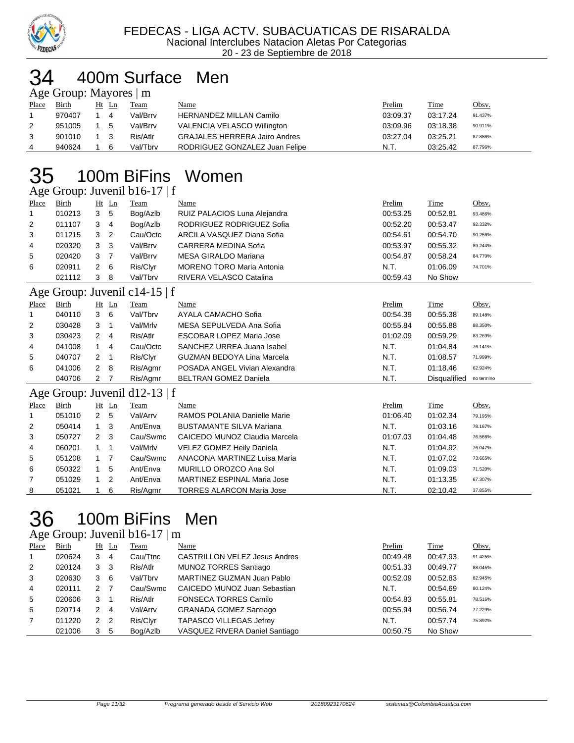

#### 400m Surface Men  $\mathbf{M}\sim\mathbf{M}$

| $\Delta \ge 0$ Oroup. Mayones $\  \text{III} \ $ |        |  |       |          |                                      |          |          |              |  |  |  |
|--------------------------------------------------|--------|--|-------|----------|--------------------------------------|----------|----------|--------------|--|--|--|
| Place                                            | Birth  |  | Ht Ln | Team     | Name                                 | Prelim   | Time     | <u>Obsv.</u> |  |  |  |
|                                                  | 970407 |  | 4     | Val/Brrv | HERNANDEZ MILLAN Camilo              | 03:09.37 | 03:17.24 | 91.437%      |  |  |  |
| 2                                                | 951005 |  | -5    | Val/Brrv | VALENCIA VELASCO Willington          | 03:09.96 | 03:18.38 | 90.911%      |  |  |  |
| 3                                                | 901010 |  | -3    | Ris/Atlr | <b>GRAJALES HERRERA Jairo Andres</b> | 03:27.04 | 03:25.21 | 87.886%      |  |  |  |
| 4                                                | 940624 |  | 6     | Val/Tbrv | RODRIGUEZ GONZALEZ Juan Felipe       | N.T.     | 03:25.42 | 87.796%      |  |  |  |

# 100m BiFins Women

Age Group: Juvenil b16-17 | f

|       | $\Delta \ge 0$ Oroup. Juvenill $UUU$ -17 |   |         |             |                                  |          |          |         |  |  |  |
|-------|------------------------------------------|---|---------|-------------|----------------------------------|----------|----------|---------|--|--|--|
| Place | <b>Birth</b>                             |   | $Ht$ Ln | <b>Team</b> | Name                             | Prelim   | Time     | Obsv.   |  |  |  |
|       | 010213                                   | 3 | - 5     | Bog/Azlb    | RUIZ PALACIOS Luna Alejandra     | 00:53.25 | 00:52.81 | 93.486% |  |  |  |
| 2     | 011107                                   | 3 | -4      | Bog/Azlb    | RODRIGUEZ RODRIGUEZ Sofia        | 00:52.20 | 00:53.47 | 92.332% |  |  |  |
| 3     | 011215                                   | 3 | -2      | Cau/Octc    | ARCILA VASQUEZ Diana Sofia       | 00:54.61 | 00:54.70 | 90.256% |  |  |  |
| 4     | 020320                                   | 3 | - 3     | Val/Brrv    | CARRERA MEDINA Sofia             | 00:53.97 | 00:55.32 | 89.244% |  |  |  |
| 5     | 020420                                   | 3 | 7       | Val/Brrv    | MESA GIRALDO Mariana             | 00:54.87 | 00:58.24 | 84.770% |  |  |  |
| 6     | 020911                                   | 2 | - 6     | Ris/Clyr    | <b>MORENO TORO Maria Antonia</b> | N.T.     | 01:06.09 | 74.701% |  |  |  |
|       | 021112                                   | 3 | -8      | Val/Tbrv    | RIVERA VELASCO Catalina          | 00:59.43 | No Show  |         |  |  |  |
|       |                                          |   |         |             |                                  |          |          |         |  |  |  |

#### Age Group: Juvenil c14-15 | f

|       | $\Delta g$ c Oroup. Juvenn C <sub>1</sub> +-19   I |     |                |          |                                   |          |                     |            |  |  |  |
|-------|----------------------------------------------------|-----|----------------|----------|-----------------------------------|----------|---------------------|------------|--|--|--|
| Place | Birth                                              |     | $Ht$ Ln        | Team     | Name                              | Prelim   | Time                | Obsv.      |  |  |  |
| -1    | 040110                                             | 3   | - 6            | Val/Tbrv | AYALA CAMACHO Sofia               | 00:54.39 | 00:55.38            | 89.148%    |  |  |  |
| 2     | 030428                                             | 3   |                | Val/Mrlv | MESA SEPULVEDA Ana Sofia          | 00:55.84 | 00:55.88            | 88.350%    |  |  |  |
| 3     | 030423                                             | 2   | $\overline{4}$ | Ris/Atlr | <b>ESCOBAR LOPEZ Maria Jose</b>   | 01:02.09 | 00:59.29            | 83.269%    |  |  |  |
| 4     | 041008                                             |     | 4              | Cau/Octc | SANCHEZ URREA Juana Isabel        | N.T.     | 01:04.84            | 76.141%    |  |  |  |
| 5     | 040707                                             | 2   |                | Ris/Clyr | <b>GUZMAN BEDOYA Lina Marcela</b> | N.T.     | 01:08.57            | 71.999%    |  |  |  |
| 6     | 041006                                             | 2 8 |                | Ris/Agmr | POSADA ANGEL Vivian Alexandra     | N.T.     | 01:18.46            | 62.924%    |  |  |  |
|       | 040706                                             |     |                | Ris/Agmr | <b>BELTRAN GOMEZ Daniela</b>      | N.T.     | <b>Disqualified</b> | no termino |  |  |  |

#### Age Group: Juvenil d12-13 | f

|                | .      |     |         |          |                                    |          |          |         |
|----------------|--------|-----|---------|----------|------------------------------------|----------|----------|---------|
| Place          | Birth  |     | $Ht$ Ln | Team     | Name                               | Prelim   | Time     | Obsv.   |
| $\overline{1}$ | 051010 | 2   | 5       | Val/Arrv | RAMOS POLANIA Danielle Marie       | 01:06.40 | 01:02.34 | 79.195% |
| 2              | 050414 |     | - 3     | Ant/Enva | <b>BUSTAMANTE SILVA Mariana</b>    | N.T.     | 01:03.16 | 78.167% |
| 3              | 050727 | 2 3 |         | Cau/Swmc | CAICEDO MUNOZ Claudia Marcela      | 01:07.03 | 01:04.48 | 76.566% |
| 4              | 060201 |     |         | Val/Mrlv | VELEZ GOMEZ Heily Daniela          | N.T.     | 01:04.92 | 76.047% |
| 5              | 051208 |     |         | Cau/Swmc | ANACONA MARTINEZ Luisa Maria       | N.T.     | 01:07.02 | 73.665% |
| 6              | 050322 |     | 5       | Ant/Enva | MURILLO OROZCO Ana Sol             | N.T.     | 01:09.03 | 71.520% |
| 7              | 051029 |     | -2      | Ant/Enva | <b>MARTINEZ ESPINAL Maria Jose</b> | N.T.     | 01:13.35 | 67.307% |
| 8              | 051021 |     | -6      | Ris/Agmr | <b>TORRES ALARCON Maria Jose</b>   | N.T.     | 02:10.42 | 37.855% |
|                |        |     |         |          |                                    |          |          |         |

# 100m BiFins Men

#### Age Group: Juvenil b16-17 | m

| Place        | Birth  |                | $Ht$ Ln | <b>Team</b> | Name                                 | Prelim   | Time     | Obsv.   |
|--------------|--------|----------------|---------|-------------|--------------------------------------|----------|----------|---------|
| $\mathbf{1}$ | 020624 | $3 \quad 4$    |         | Cau/Ttnc    | <b>CASTRILLON VELEZ Jesus Andres</b> | 00:49.48 | 00:47.93 | 91.425% |
| 2            | 020124 | 3 <sub>3</sub> |         | Ris/Atlr    | MUNOZ TORRES Santiago                | 00:51.33 | 00:49.77 | 88.045% |
| 3            | 020630 | 36             |         | Val/Tbrv    | MARTINEZ GUZMAN Juan Pablo           | 00:52.09 | 00:52.83 | 82.945% |
| 4            | 020111 | 2 7            |         | Cau/Swmc    | CAICEDO MUNOZ Juan Sebastian         | N.T.     | 00:54.69 | 80.124% |
| 5            | 020606 | 3 1            |         | Ris/Atlr    | <b>FONSECA TORRES Camilo</b>         | 00:54.83 | 00:55.81 | 78.516% |
| 6            | 020714 | 2 4            |         | Val/Arrv    | <b>GRANADA GOMEZ Santiago</b>        | 00:55.94 | 00:56.74 | 77.229% |
| 7            | 011220 | 2 2            |         | Ris/Clyr    | <b>TAPASCO VILLEGAS Jefrey</b>       | N.T.     | 00:57.74 | 75.892% |
|              | 021006 | 3 5            |         | Bog/Azlb    | VASQUEZ RIVERA Daniel Santiago       | 00:50.75 | No Show  |         |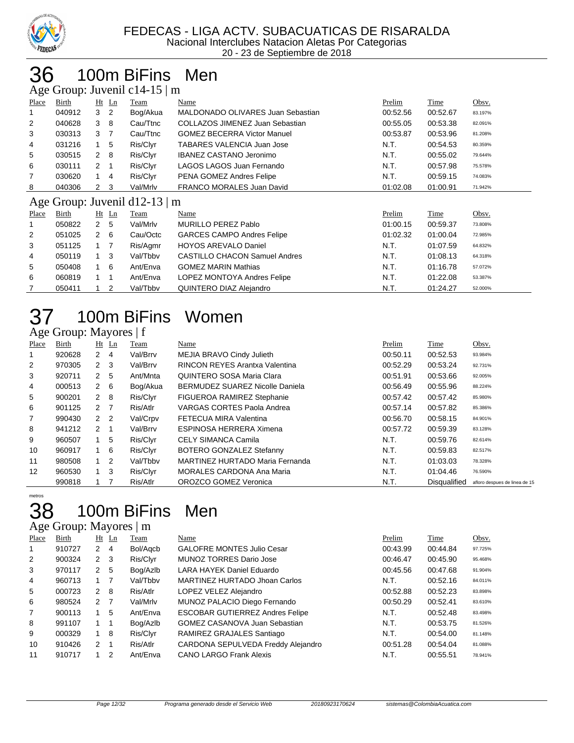

# 100m BiFins Men

Age Group: Juvenil c14-15 | m

| ັ                                  | $\mathbf{r}$ |                |                |          |                                      |          |          |         |  |  |
|------------------------------------|--------------|----------------|----------------|----------|--------------------------------------|----------|----------|---------|--|--|
| Place                              | Birth        |                | $Ht$ Ln        | Team     | Name                                 | Prelim   | Time     | Obsv.   |  |  |
|                                    | 040912       | 3              | 2              | Bog/Akua | MALDONADO OLIVARES Juan Sebastian    | 00:52.56 | 00:52.67 | 83.197% |  |  |
| $\overline{2}$                     | 040628       | 3              | 8              | Cau/Ttnc | COLLAZOS JIMENEZ Juan Sebastian      | 00:55.05 | 00:53.38 | 82.091% |  |  |
| 3                                  | 030313       | 3              | $\overline{7}$ | Cau/Ttnc | <b>GOMEZ BECERRA Victor Manuel</b>   | 00:53.87 | 00:53.96 | 81.208% |  |  |
| 4                                  | 031216       |                | 5              | Ris/Clyr | TABARES VALENCIA Juan Jose           | N.T.     | 00:54.53 | 80.359% |  |  |
| 5                                  | 030515       | $\mathbf{2}$   | 8              | Ris/Clyr | <b>IBANEZ CASTANO Jeronimo</b>       | N.T.     | 00:55.02 | 79.644% |  |  |
| 6                                  | 030111       | $\overline{2}$ |                | Ris/Clyr | LAGOS LAGOS Juan Fernando            | N.T.     | 00:57.98 | 75.578% |  |  |
| 7                                  | 030620       |                | 4              | Ris/Clyr | PENA GOMEZ Andres Felipe             | N.T.     | 00:59.15 | 74.083% |  |  |
| 8                                  | 040306       | 2              | 3              | Val/Mrlv | FRANCO MORALES Juan David            | 01:02.08 | 01:00.91 | 71.942% |  |  |
| Age Group: Juvenil d12-13 $\mid$ m |              |                |                |          |                                      |          |          |         |  |  |
| Place                              | Birth        |                | $Ht$ Ln        | Team     | Name                                 | Prelim   | Time     | Obsv.   |  |  |
|                                    | 050822       | $\mathbf{2}$   | 5              | Val/Mrlv | <b>MURILLO PEREZ Pablo</b>           | 01:00.15 | 00:59.37 | 73.808% |  |  |
| 2                                  | 051025       | $\mathbf{2}$   | 6              | Cau/Octc | <b>GARCES CAMPO Andres Felipe</b>    | 01:02.32 | 01:00.04 | 72.985% |  |  |
| 3                                  | 051125       | $1 \quad 7$    |                | Ris/Agmr | <b>HOYOS AREVALO Daniel</b>          | N.T.     | 01:07.59 | 64.832% |  |  |
| 4                                  | 050119       | $1 \quad 3$    |                | Val/Tbby | <b>CASTILLO CHACON Samuel Andres</b> | N.T.     | 01:08.13 | 64.318% |  |  |
| 5                                  | 050408       | 1 6            |                | Ant/Enva | <b>GOMEZ MARIN Mathias</b>           | N.T.     | 01:16.78 | 57.072% |  |  |
| 6                                  | 060819       |                |                | Ant/Enva | LOPEZ MONTOYA Andres Felipe          | N.T.     | 01:22.08 | 53.387% |  |  |
|                                    | 050411       | 1              | $\overline{2}$ | Val/Tbbv | QUINTERO DIAZ Alejandro              | N.T.     | 01:24.27 | 52.000% |  |  |

# 100m BiFins Women

#### Age Group: Mayores | f

| Place             | Birth  |                | $Ht$ Ln | Team     | Name                                   | Prelim   | Time                | Obsv.                         |
|-------------------|--------|----------------|---------|----------|----------------------------------------|----------|---------------------|-------------------------------|
| 1                 | 920628 | 2              | 4       | Val/Brrv | MEJIA BRAVO Cindy Julieth              | 00:50.11 | 00:52.53            | 93.984%                       |
| 2                 | 970305 | $2 \quad 3$    |         | Val/Brrv | <b>RINCON REYES Arantxa Valentina</b>  | 00:52.29 | 00:53.24            | 92.731%                       |
| 3                 | 920711 | 2 <sub>5</sub> |         | Ant/Mnta | QUINTERO SOSA Maria Clara              | 00:51.91 | 00:53.66            | 92.005%                       |
| 4                 | 000513 | 2 6            |         | Bog/Akua | <b>BERMUDEZ SUAREZ Nicolle Daniela</b> | 00:56.49 | 00:55.96            | 88.224%                       |
| 5                 | 900201 | $2 \quad 8$    |         | Ris/Clyr | FIGUEROA RAMIREZ Stephanie             | 00:57.42 | 00:57.42            | 85.980%                       |
| 6                 | 901125 | 2 <sub>7</sub> |         | Ris/Atlr | VARGAS CORTES Paola Andrea             | 00:57.14 | 00:57.82            | 85.386%                       |
| 7                 | 990430 | 2 <sub>2</sub> |         | Val/Crpv | FETECUA MIRA Valentina                 | 00:56.70 | 00:58.15            | 84.901%                       |
| 8                 | 941212 | $2 \quad 1$    |         | Val/Brrv | ESPINOSA HERRERA Ximena                | 00:57.72 | 00:59.39            | 83.128%                       |
| 9                 | 960507 |                | 5       | Ris/Clyr | <b>CELY SIMANCA Camila</b>             | N.T.     | 00:59.76            | 82.614%                       |
| 10                | 960917 | $1\quad 6$     |         | Ris/Clyr | BOTERO GONZALEZ Stefanny               | N.T.     | 00:59.83            | 82.517%                       |
| 11                | 980508 |                | -2      | Val/Tbby | MARTINEZ HURTADO Maria Fernanda        | N.T.     | 01:03.03            | 78.328%                       |
| $12 \overline{ }$ | 960530 | $1 \quad 3$    |         | Ris/Clyr | <b>MORALES CARDONA Ana Maria</b>       | N.T.     | 01:04.46            | 76.590%                       |
|                   | 990818 |                |         | Ris/Atlr | OROZCO GOMEZ Veronica                  | N.T.     | <b>Disqualified</b> | afloro despues de linea de 15 |

# metros

### 100m BiFins Men

| Age Group: Mayores   m |
|------------------------|
|------------------------|

| Place          | Birth  |               | $Ht$ Ln        | Team     | Name                                   | Prelim   | <b>Time</b> | Obsv.   |
|----------------|--------|---------------|----------------|----------|----------------------------------------|----------|-------------|---------|
| 1              | 910727 | 2             | $\overline{4}$ | Bol/Agcb | <b>GALOFRE MONTES Julio Cesar</b>      | 00:43.99 | 00:44.84    | 97.725% |
| 2              | 900324 | 2             | - 3            | Ris/Clyr | <b>MUNOZ TORRES Dario Jose</b>         | 00:46.47 | 00:45.90    | 95.468% |
| 3              | 970117 | 2             | 5              | Bog/Azlb | LARA HAYEK Daniel Eduardo              | 00:45.56 | 00:47.68    | 91.904% |
| $\overline{4}$ | 960713 |               |                | Val/Tbbv | MARTINEZ HURTADO Jhoan Carlos          | N.T.     | 00:52.16    | 84.011% |
| 5              | 000723 | $\mathcal{P}$ | 8              | Ris/Atlr | LOPEZ VELEZ Alejandro                  | 00:52.88 | 00:52.23    | 83.898% |
| 6              | 980524 | 2 7           |                | Val/Mrlv | MUNOZ PALACIO Diego Fernando           | 00:50.29 | 00:52.41    | 83.610% |
| 7              | 900113 |               | 5              | Ant/Enva | <b>ESCOBAR GUTIERREZ Andres Felipe</b> | N.T.     | 00:52.48    | 83.498% |
| 8              | 991107 | $1 \quad 1$   |                | Bog/Azlb | <b>GOMEZ CASANOVA Juan Sebastian</b>   | N.T.     | 00:53.75    | 81.526% |
| 9              | 000329 | 1             | 8              | Ris/Clyr | RAMIREZ GRAJALES Santiago              | N.T.     | 00:54.00    | 81.148% |
| 10             | 910426 | $\mathcal{P}$ |                | Ris/Atlr | CARDONA SEPULVEDA Freddy Alejandro     | 00:51.28 | 00:54.04    | 81.088% |
| 11             | 910717 |               | 2              | Ant/Enva | <b>CANO LARGO Frank Alexis</b>         | N.T.     | 00:55.51    | 78.941% |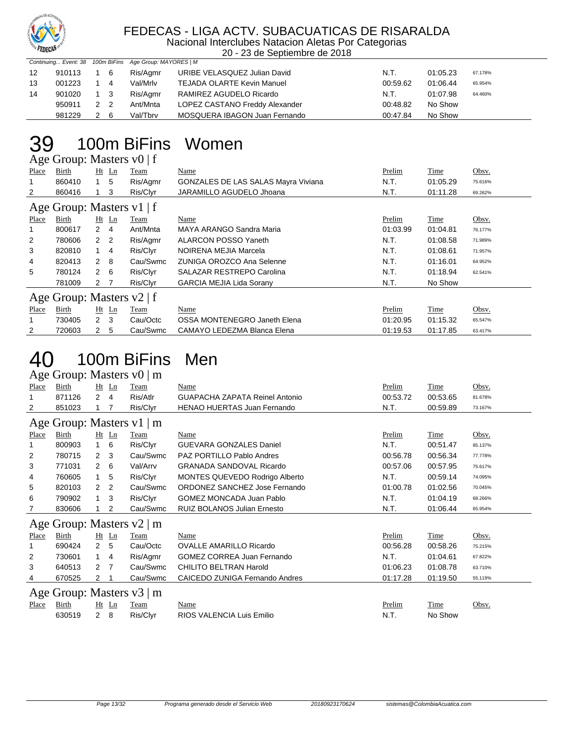

#### FEDECAS - LIGA ACTV. SUBACUATICAS DE RISARALDA

Nacional Interclubes Natacion Aletas Por Categorias 20 - 23 de Septiembre de 2018

|  | Continuing Event: 38 100m BiFins Age Group: MAYORES   M |  |
|--|---------------------------------------------------------|--|

| $\frac{1}{2}$ community in Evening to the contract of the contract of the contract of $\frac{1}{2}$ |        |             |     |          |                                |          |          |         |
|-----------------------------------------------------------------------------------------------------|--------|-------------|-----|----------|--------------------------------|----------|----------|---------|
| 12                                                                                                  | 910113 | 1 6         |     | Ris/Agmr | URIBE VELASQUEZ Julian David   | N.T.     | 01:05.23 | 67.178% |
| 13                                                                                                  | 001223 | $1 \quad 4$ |     | Val/Mrlv | TEJADA OLARTE Kevin Manuel     | 00:59.62 | 01:06.44 | 65.954% |
| 14                                                                                                  | 901020 | 1 3         |     | Ris/Aamr | RAMIREZ AGUDELO Ricardo        | N.T.     | 01:07.98 | 64.460% |
|                                                                                                     | 950911 | 2 2         |     | Ant/Mnta | LOPEZ CASTANO Freddy Alexander | 00:48.82 | No Show  |         |
|                                                                                                     | 981229 |             | - 6 | Val/Tbrv | MOSQUERA IBAGON Juan Fernando  | 00:47.84 | No Show  |         |

### 100m BiFins Women

Age Group: Masters v0 | f

| Place                       | Birth  |                | $Ht$ Ln     | Team     | Name                                       | Prelim   | Time     | Obsv.   |  |  |  |
|-----------------------------|--------|----------------|-------------|----------|--------------------------------------------|----------|----------|---------|--|--|--|
|                             | 860410 |                | - 5         | Ris/Agmr | <b>GONZALES DE LAS SALAS Mayra Viviana</b> | N.T.     | 01:05.29 | 75.616% |  |  |  |
| $\overline{2}$              | 860416 |                | 3           | Ris/Clyr | JARAMILLO AGUDELO Jhoana                   | N.T.     | 01:11.28 | 69.262% |  |  |  |
| Age Group: Masters $v1$   f |        |                |             |          |                                            |          |          |         |  |  |  |
| Place                       | Birth  |                | $Ht$ Ln     | Team     | Name                                       | Prelim   | Time     | Obsv.   |  |  |  |
|                             | 800617 | $2 \quad 4$    |             | Ant/Mnta | MAYA ARANGO Sandra Maria                   | 01:03.99 | 01:04.81 | 76.177% |  |  |  |
| $\overline{2}$              | 780606 | 2 <sub>2</sub> |             | Ris/Agmr | <b>ALARCON POSSO Yaneth</b>                | N.T.     | 01:08.58 | 71.989% |  |  |  |
| 3                           | 820810 |                | $1 \quad 4$ | Ris/Clyr | NOIRENA MEJIA Marcela                      | N.T.     | 01:08.61 | 71.957% |  |  |  |
| 4                           | 820413 | 2              | - 8         | Cau/Swmc | ZUNIGA OROZCO Ana Selenne                  | N.T.     | 01:16.01 | 64.952% |  |  |  |
| 5                           | 780124 | $2 \quad 6$    |             | Ris/Clyr | <b>SALAZAR RESTREPO Carolina</b>           | N.T.     | 01:18.94 | 62.541% |  |  |  |
|                             | 781009 | 2 7            |             | Ris/Clyr | <b>GARCIA MEJIA Lida Sorany</b>            | N.T.     | No Show  |         |  |  |  |
| Age Group: Masters v2   f   |        |                |             |          |                                            |          |          |         |  |  |  |
| Place                       | Birth  |                | $Ht$ Ln     | Team     | Name                                       | Prelim   | Time     | Obsv.   |  |  |  |
|                             | 730405 | 2              | - 3         | Cau/Octc | OSSA MONTENEGRO Janeth Elena               | 01:20.95 | 01:15.32 | 65.547% |  |  |  |
| $\overline{2}$              | 720603 | $\mathbf{2}$   | -5          | Cau/Swmc | CAMAYO LEDEZMA Blanca Elena                | 01:19.53 | 01:17.85 | 63.417% |  |  |  |

# 40 100m BiFins Men

|       | Age Group: Masters v0   m |                |         |                                |                                    |          |          |         |  |  |  |  |  |
|-------|---------------------------|----------------|---------|--------------------------------|------------------------------------|----------|----------|---------|--|--|--|--|--|
| Place | Birth                     |                | $Ht$ Ln | Team                           | Name                               | Prelim   | Time     | Obsv.   |  |  |  |  |  |
|       | 871126                    | $\overline{2}$ | 4       | Ris/Atlr                       | GUAPACHA ZAPATA Reinel Antonio     | 00:53.72 | 00:53.65 | 81.678% |  |  |  |  |  |
| 2     | 851023                    |                | 7       | Ris/Clyr                       | <b>HENAO HUERTAS Juan Fernando</b> | N.T.     | 00:59.89 | 73.167% |  |  |  |  |  |
|       | Age Group: Masters v1   m |                |         |                                |                                    |          |          |         |  |  |  |  |  |
| Place | Birth                     |                | $Ht$ Ln | Team                           | Name                               | Prelim   | Time     | Obsv.   |  |  |  |  |  |
|       | 800903                    | 1.             | 6       | Ris/Clyr                       | <b>GUEVARA GONZALES Daniel</b>     | N.T.     | 00:51.47 | 85.137% |  |  |  |  |  |
| 2     | 780715                    | 2              | 3       | Cau/Swmc                       | <b>PAZ PORTILLO Pablo Andres</b>   | 00:56.78 | 00:56.34 | 77.778% |  |  |  |  |  |
| 3     | 771031                    | $\overline{2}$ | 6       | Val/Arrv                       | <b>GRANADA SANDOVAL Ricardo</b>    | 00:57.06 | 00:57.95 | 75.617% |  |  |  |  |  |
| 4     | 760605                    | 1              | 5       | Ris/Clyr                       | MONTES QUEVEDO Rodrigo Alberto     | N.T.     | 00:59.14 | 74.095% |  |  |  |  |  |
| 5     | 820103                    | 2              | 2       | Cau/Swmc                       | ORDONEZ SANCHEZ Jose Fernando      | 01:00.78 | 01:02.56 | 70.045% |  |  |  |  |  |
| 6     | 790902                    | 1              | 3       | Ris/Clyr                       | GOMEZ MONCADA Juan Pablo           | N.T.     | 01:04.19 | 68.266% |  |  |  |  |  |
| 7     | 830606                    |                | 2       | Cau/Swmc                       | <b>RUIZ BOLANOS Julian Ernesto</b> | N.T.     | 01:06.44 | 65.954% |  |  |  |  |  |
|       |                           |                |         | Age Group: Masters v2   m      |                                    |          |          |         |  |  |  |  |  |
| Place | Birth                     |                | $Ht$ Ln | Team                           | Name                               | Prelim   | Time     | Obsv.   |  |  |  |  |  |
|       | 690424                    | $\overline{2}$ | 5       | Cau/Octc                       | <b>OVALLE AMARILLO Ricardo</b>     | 00:56.28 | 00:58.26 | 75.215% |  |  |  |  |  |
| 2     | 730601                    | 1              | 4       | Ris/Agmr                       | <b>GOMEZ CORREA Juan Fernando</b>  | N.T.     | 01:04.61 | 67.822% |  |  |  |  |  |
| 3     | 640513                    | 2              | 7       | Cau/Swmc                       | CHILITO BELTRAN Harold             | 01:06.23 | 01:08.78 | 63.710% |  |  |  |  |  |
| 4     | 670525                    | 2              |         | Cau/Swmc                       | CAICEDO ZUNIGA Fernando Andres     | 01:17.28 | 01:19.50 | 55.119% |  |  |  |  |  |
|       |                           |                |         | Age Group: Masters $v3 \mid m$ |                                    |          |          |         |  |  |  |  |  |
| Place | Birth                     |                | $Ht$ Ln | Team                           | Name                               | Prelim   | Time     | Obsv.   |  |  |  |  |  |
|       | 630519                    | $\overline{2}$ | 8       | Ris/Clyr                       | RIOS VALENCIA Luis Emilio          | N.T.     | No Show  |         |  |  |  |  |  |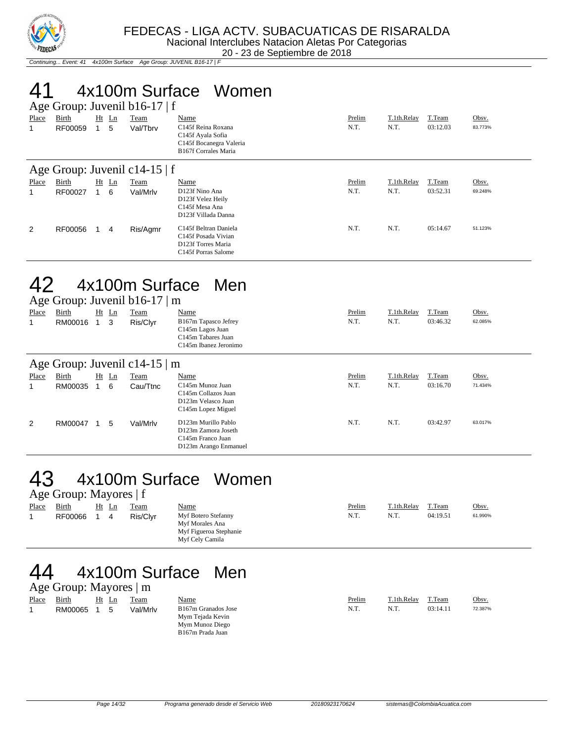

Continuing... Event: 41 4x100m Surface Age Group: JUVENIL B16-17 | F

# 41 4x100m Surface Women

| Age Group: Juvenil b16-17   f |                  |  |              |                         |                                                                                                                       |                |                     |                    |                  |  |  |
|-------------------------------|------------------|--|--------------|-------------------------|-----------------------------------------------------------------------------------------------------------------------|----------------|---------------------|--------------------|------------------|--|--|
| Place<br>1                    | Birth<br>RF00059 |  | $Ht$ Ln<br>5 | <b>Team</b><br>Val/Tbrv | Name<br>C <sub>145f</sub> Reina Roxana<br>C145f Ayala Sofia<br>C145f Bocanegra Valeria<br><b>B167f Corrales Maria</b> | Prelim<br>N.T. | T.1th.Relay<br>N.T. | T.Team<br>03:12.03 | Obsv.<br>83.773% |  |  |
| Age Group: Juvenil c14-15   f |                  |  |              |                         |                                                                                                                       |                |                     |                    |                  |  |  |
| Place                         | Birth            |  | $Ht$ Ln      | Team                    | Name                                                                                                                  | Prelim         | T.1th.Relay         | T.Team             | Obsv.            |  |  |
|                               | RF00027          |  | 6            | Val/Mrlv                | D123f Nino Ana<br>D123f Velez Heily<br>C145f Mesa Ana<br>D123f Villada Danna                                          | N.T.           | N.T.                | 03:52.31           | 69.248%          |  |  |
| 2                             | RF00056          |  | 4            | Ris/Agmr                | C145f Beltran Daniela<br>C <sub>145f</sub> Posada Vivian<br>D123f Torres Maria<br>C145f Porras Salome                 | N.T.           | N.T.                | 05:14.67           | 51.123%          |  |  |

### 42 4x100m Surface Men

|            | Age Group: Juvenil $b16-17 \mid m$ |  |              |                                    |                                                                                                        |                |                     |                    |                  |  |  |  |
|------------|------------------------------------|--|--------------|------------------------------------|--------------------------------------------------------------------------------------------------------|----------------|---------------------|--------------------|------------------|--|--|--|
| Place<br>1 | Birth<br>RM00016                   |  | $Ht$ Ln<br>3 | Team<br>Ris/Clyr                   | <b>Name</b><br>B167m Tapasco Jefrey<br>C145m Lagos Juan<br>C145m Tabares Juan<br>C145m Ibanez Jeronimo | Prelim<br>N.T. | T.1th.Relay<br>N.T. | T.Team<br>03:46.32 | Obsv.<br>62.085% |  |  |  |
|            |                                    |  |              | Age Group: Juvenil c14-15 $\mid$ m |                                                                                                        |                |                     |                    |                  |  |  |  |
| Place      | Birth                              |  | $Ht$ Ln      | Team                               | Name                                                                                                   | Prelim         | T.1th.Relay         | T.Team             | Obsv.            |  |  |  |
| 1          | RM00035                            |  | 6            | Cau/Ttnc                           | C <sub>145</sub> m Munoz Juan<br>C145m Collazos Juan<br>D123m Velasco Juan<br>C145m Lopez Miguel       | N.T.           | N.T.                | 03:16.70           | 71.434%          |  |  |  |
| 2          | RM00047                            |  | 5            | Val/Mrlv                           | D123m Murillo Pablo<br>D123m Zamora Joseth<br>C <sub>145</sub> m Franco Juan<br>D123m Arango Enmanuel  | N.T.           | N.T.                | 03:42.97           | 63.017%          |  |  |  |

#### 43 4x100m Surface Women Age Group: Mayores | f

| Place | Birth   | Ht | Ln | Team     | Name                                                                                | Prelim | T.1th.Relav | T.Team   | Obsv.   |
|-------|---------|----|----|----------|-------------------------------------------------------------------------------------|--------|-------------|----------|---------|
|       | RF00066 |    |    | Ris/Clvr | Myf Botero Stefanny<br>Myf Morales Ana<br>Myf Figueroa Stephanie<br>Myf Cely Camila | N.T.   | N.T.        | 04:19.51 | 61.990% |

#### 44 4x100m Surface Men

|       | Age Group: Mayores $\mid$ m |       |          |                                                                                |        |             |          |         |
|-------|-----------------------------|-------|----------|--------------------------------------------------------------------------------|--------|-------------|----------|---------|
| Place | Birth                       | Ht Ln | Team     | <u>Name</u>                                                                    | Prelim | T.1th.Relay | T.Team   | Obsv.   |
|       | RM00065                     | 5     | Val/Mrlv | B167m Granados Jose<br>Mym Tejada Kevin<br>Mym Munoz Diego<br>B167m Prada Juan | N.T.   | N.T.        | 03:14.11 | 72.387% |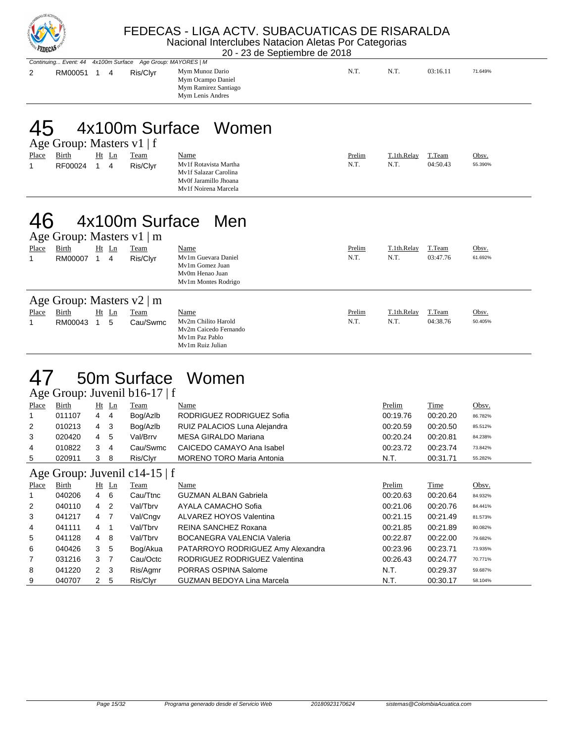

#### FEDECAS - LIGA ACTV. SUBACUATICAS DE RISARALDA Nacional Interclubes Natacion Aletas Por Categorias

20 - 23 de Septiembre de 2018

|             |  | Continuing Event: 44 4x100m Surface Age Group: MAYORES   M |                                                                                  |      |      |          |         |  |
|-------------|--|------------------------------------------------------------|----------------------------------------------------------------------------------|------|------|----------|---------|--|
| RM00051 1 4 |  | Ris/Clyr                                                   | Mym Munoz Dario<br>Mym Ocampo Daniel<br>Mym Ramirez Santiago<br>Mym Lenis Andres | N.T. | N.T. | 03:16.11 | 71.649% |  |
|             |  |                                                            |                                                                                  |      |      |          |         |  |

### 45 4x100m Surface Women

|       | Age Group: Masters $v1$   f |     |    |          |                                                                                                 |        |             |          |              |
|-------|-----------------------------|-----|----|----------|-------------------------------------------------------------------------------------------------|--------|-------------|----------|--------------|
| Place | Birth                       | Ht  | Ln | Team     | Name                                                                                            | Prelim | T.1th.Relay | T.Team   | <u>Obsv.</u> |
|       | RF00024                     | 1 4 |    | Ris/Clvr | My1f Rotavista Martha<br>My1f Salazar Carolina<br>Mv0f Jaramillo Jhoana<br>My1f Noirena Marcela | N.T.   | N.T.        | 04:50.43 | 55.390%      |

### 46 4x100m Surface Men

|              |         |              | Age Group: Masters $v1 \mid m$ |                                                                                  |        |             |          |         |
|--------------|---------|--------------|--------------------------------|----------------------------------------------------------------------------------|--------|-------------|----------|---------|
| Place        | Birth   | $Ht$ Ln      | Team                           | Name                                                                             | Prelim | T.1th.Relay | T.Team   | Obsv.   |
|              | RM00007 | 4            | Ris/Clyr                       | My1m Guevara Daniel<br>My1m Gomez Juan<br>My0m Henao Juan<br>My1m Montes Rodrigo | N.T.   | N.T.        | 03:47.76 | 61.692% |
|              |         |              | Age Group: Masters $v2 \mid m$ |                                                                                  |        |             |          |         |
| <b>Place</b> | Birth   | <u>Ht Ln</u> | Team                           | Name                                                                             | Prelim | T.1th.Relay | T.Team   | Obsv.   |
|              | RM00043 | 5            | Cau/Swmc                       | My2m Chilito Harold                                                              | N.T.   | N.T.        | 04:38.76 | 50.405% |
|              |         |              |                                | My2m Caicedo Fernando                                                            |        |             |          |         |
|              |         |              |                                | My1m Paz Pablo                                                                   |        |             |          |         |
|              |         |              |                                | My1m Ruiz Julian                                                                 |        |             |          |         |

#### 47 50m Surface Women

#### Age Group: Juvenil b16-17 | f

| Place          | Birth  | Ht             | Ln | Team     | Name                             | Prelim   | Time     | <u>Obsv.</u> |
|----------------|--------|----------------|----|----------|----------------------------------|----------|----------|--------------|
|                | 011107 | $\overline{4}$ | 4  | Bog/Azlb | RODRIGUEZ RODRIGUEZ Sofia        | 00:19.76 | 00:20.20 | 86.782%      |
| $\overline{2}$ | 010213 | $\overline{4}$ | 3  | Bog/Azlb | RUIZ PALACIOS Luna Alejandra     | 00:20.59 | 00:20.50 | 85.512%      |
| 3              | 020420 | 4              | -5 | Val/Brrv | MESA GIRALDO Mariana             | 00:20.24 | 00:20.81 | 84.238%      |
| 4              | 010822 | 3              | 4  | Cau/Swmc | CAICEDO CAMAYO Ana Isabel        | 00:23.72 | 00:23.74 | 73.842%      |
| 5              | 020911 |                | 8  | Ris/Clvr | <b>MORENO TORO Maria Antonia</b> | N.T.     | 00:31.71 | 55.282%      |

#### Age Group: Juvenil c14-15 | f

| Place          | <b>Birth</b> |             | $Ht$ Ln | <b>Team</b> | Name                              | Prelim   | Time     | Obsv.   |
|----------------|--------------|-------------|---------|-------------|-----------------------------------|----------|----------|---------|
|                | 040206       | 4           | - 6     | Cau/Ttnc    | <b>GUZMAN ALBAN Gabriela</b>      | 00:20.63 | 00:20.64 | 84.932% |
| 2              | 040110       | 4           | -2      | Val/Tbrv    | AYALA CAMACHO Sofia               | 00:21.06 | 00:20.76 | 84.441% |
| 3              | 041217       | 4           | 7       | Val/Cngv    | ALVAREZ HOYOS Valentina           | 00:21.15 | 00:21.49 | 81.573% |
| 4              | 041111       | 4           |         | Val/Tbrv    | REINA SANCHEZ Roxana              | 00:21.85 | 00:21.89 | 80.082% |
| 5              | 041128       | 4           | -8      | Val/Tbrv    | <b>BOCANEGRA VALENCIA Valeria</b> | 00:22.87 | 00:22.00 | 79.682% |
| 6              | 040426       | 3           | -5      | Bog/Akua    | PATARROYO RODRIGUEZ Amy Alexandra | 00:23.96 | 00:23.71 | 73.935% |
| $\overline{7}$ | 031216       | 3           | 7       | Cau/Octc    | RODRIGUEZ RODRIGUEZ Valentina     | 00:26.43 | 00:24.77 | 70.771% |
| 8              | 041220       | $2 \quad 3$ |         | Ris/Agmr    | PORRAS OSPINA Salome              | N.T.     | 00:29.37 | 59.687% |
| 9              | 040707       | 2           | -5      | Ris/Clyr    | <b>GUZMAN BEDOYA Lina Marcela</b> | N.T.     | 00:30.17 | 58.104% |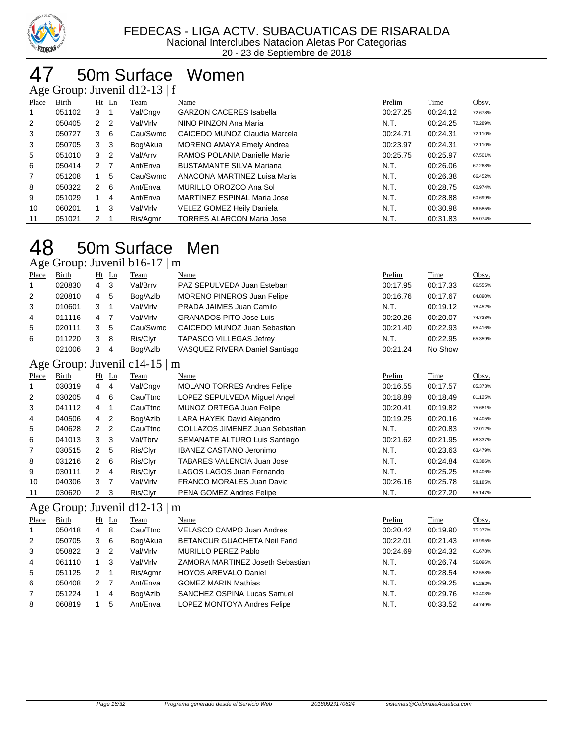

#### 50m Surface Women

Age Group: Juvenil d12-13 | f

| ັ              |        |                |                |          |                                  |          |          |         |
|----------------|--------|----------------|----------------|----------|----------------------------------|----------|----------|---------|
| Place          | Birth  |                | $Ht$ Ln        | Team     | Name                             | Prelim   | Time     | Obsv.   |
| 1              | 051102 | 3              |                | Val/Cngv | <b>GARZON CACERES Isabella</b>   | 00:27.25 | 00:24.12 | 72.678% |
| $\overline{2}$ | 050405 | 2 <sub>2</sub> |                | Val/Mrlv | NINO PINZON Ana Maria            | N.T.     | 00:24.25 | 72.289% |
| 3              | 050727 | 3              | - 6            | Cau/Swmc | CAICEDO MUNOZ Claudia Marcela    | 00:24.71 | 00:24.31 | 72.110% |
| 3              | 050705 | 3              | - 3            | Bog/Akua | MORENO AMAYA Emely Andrea        | 00:23.97 | 00:24.31 | 72.110% |
| 5              | 051010 | 3              | $\overline{2}$ | Val/Arrv | RAMOS POLANIA Danielle Marie     | 00:25.75 | 00:25.97 | 67.501% |
| 6              | 050414 | 2              | $\overline{7}$ | Ant/Enva | <b>BUSTAMANTE SILVA Mariana</b>  | N.T.     | 00:26.06 | 67.268% |
| $\overline{7}$ | 051208 |                | 5              | Cau/Swmc | ANACONA MARTINEZ Luisa Maria     | N.T.     | 00:26.38 | 66.452% |
| 8              | 050322 | $\overline{2}$ | - 6            | Ant/Enva | MURILLO OROZCO Ana Sol           | N.T.     | 00:28.75 | 60.974% |
| 9              | 051029 |                | 4              | Ant/Enva | MARTINEZ ESPINAL Maria Jose      | N.T.     | 00:28.88 | 60.699% |
| 10             | 060201 | 1.             | -3             | Val/Mrlv | VELEZ GOMEZ Heily Daniela        | N.T.     | 00:30.98 | 56.585% |
| 11             | 051021 | $2 \quad 1$    |                | Ris/Agmr | <b>TORRES ALARCON Maria Jose</b> | N.T.     | 00:31.83 | 55.074% |

#### 50m Surface Men Age Group: Juvenil b16-17  $\mid$  m

| ັ            |        |                |                |                               |                                     |          |          |         |
|--------------|--------|----------------|----------------|-------------------------------|-------------------------------------|----------|----------|---------|
| Place        | Birth  |                | $Ht$ Ln        | Team                          | Name                                | Prelim   | Time     | Obsv.   |
| 1            | 020830 | 4              | 3              | Val/Brrv                      | PAZ SEPULVEDA Juan Esteban          | 00:17.95 | 00:17.33 | 86.555% |
| 2            | 020810 | 4              | 5              | Bog/Azlb                      | <b>MORENO PINEROS Juan Felipe</b>   | 00:16.76 | 00:17.67 | 84.890% |
| 3            | 010601 | 3              | $\mathbf{1}$   | Val/Mrlv                      | PRADA JAIMES Juan Camilo            | N.T.     | 00:19.12 | 78.452% |
| 4            | 011116 | 4              | 7              | Val/Mrlv                      | <b>GRANADOS PITO Jose Luis</b>      | 00:20.26 | 00:20.07 | 74.738% |
| 5            | 020111 | 3              | 5              | Cau/Swmc                      | CAICEDO MUNOZ Juan Sebastian        | 00:21.40 | 00:22.93 | 65.416% |
| 6            | 011220 | 3              | 8              | Ris/Clyr                      | <b>TAPASCO VILLEGAS Jefrey</b>      | N.T.     | 00:22.95 | 65.359% |
|              | 021006 | 3              | 4              | Bog/Azlb                      | VASQUEZ RIVERA Daniel Santiago      | 00:21.24 | No Show  |         |
|              |        |                |                | Age Group: Juvenil c14-15   m |                                     |          |          |         |
| Place        | Birth  |                | $Ht$ Ln        | Team                          | Name                                | Prelim   | Time     | Obsv.   |
| 1            | 030319 | $\overline{4}$ | $\overline{4}$ | Val/Cngv                      | <b>MOLANO TORRES Andres Felipe</b>  | 00:16.55 | 00:17.57 | 85.373% |
| 2            | 030205 | 4              | 6              | Cau/Ttnc                      | LOPEZ SEPULVEDA Miguel Angel        | 00:18.89 | 00:18.49 | 81.125% |
| 3            | 041112 | 4              | $\mathbf{1}$   | Cau/Ttnc                      | MUNOZ ORTEGA Juan Felipe            | 00:20.41 | 00:19.82 | 75.681% |
| 4            | 040506 | 4              | 2              | Bog/Azlb                      | LARA HAYEK David Alejandro          | 00:19.25 | 00:20.16 | 74.405% |
| 5            | 040628 | 2              | $\overline{2}$ | Cau/Ttnc                      | COLLAZOS JIMENEZ Juan Sebastian     | N.T.     | 00:20.83 | 72.012% |
| 6            | 041013 | 3              | 3              | Val/Tbrv                      | SEMANATE ALTURO Luis Santiago       | 00:21.62 | 00:21.95 | 68.337% |
| 7            | 030515 | $\overline{2}$ | 5              | Ris/Clyr                      | <b>IBANEZ CASTANO Jeronimo</b>      | N.T.     | 00:23.63 | 63.479% |
| 8            | 031216 | $\overline{2}$ | 6              | Ris/Clyr                      | <b>TABARES VALENCIA Juan Jose</b>   | N.T.     | 00:24.84 | 60.386% |
| 9            | 030111 | $\overline{2}$ | 4              | Ris/Clyr                      | LAGOS LAGOS Juan Fernando           | N.T.     | 00:25.25 | 59.406% |
| 10           | 040306 | 3              | 7              | Val/Mrlv                      | FRANCO MORALES Juan David           | 00:26.16 | 00:25.78 | 58.185% |
| 11           | 030620 | $\mathbf{2}$   | 3              | Ris/Clyr                      | PENA GOMEZ Andres Felipe            | N.T.     | 00:27.20 | 55.147% |
|              |        |                |                | Age Group: Juvenil d12-13   m |                                     |          |          |         |
| <b>Place</b> | Birth  |                | $Ht$ Ln        | Team                          | Name                                | Prelim   | Time     | Obsv.   |
| 1            | 050418 | 4              | 8              | Cau/Ttnc                      | <b>VELASCO CAMPO Juan Andres</b>    | 00:20.42 | 00:19.90 | 75.377% |
| 2            | 050705 | 3              | 6              | Bog/Akua                      | <b>BETANCUR GUACHETA Neil Farid</b> | 00:22.01 | 00:21.43 | 69.995% |
| 3            | 050822 | 3              | 2              | Val/Mrlv                      | <b>MURILLO PEREZ Pablo</b>          | 00:24.69 | 00:24.32 | 61.678% |
| 4            | 061110 | $\mathbf{1}$   | 3              | Val/Mrlv                      | ZAMORA MARTINEZ Joseth Sebastian    | N.T.     | 00:26.74 | 56.096% |
| 5            | 051125 | 2              | $\overline{1}$ | Ris/Agmr                      | <b>HOYOS AREVALO Daniel</b>         | N.T.     | 00:28.54 | 52.558% |
| 6            | 050408 | $\overline{2}$ | $\overline{7}$ | Ant/Enva                      | <b>GOMEZ MARIN Mathias</b>          | N.T.     | 00:29.25 | 51.282% |
| 7            | 051224 | 1              | 4              | Bog/Azlb                      | SANCHEZ OSPINA Lucas Samuel         | N.T.     | 00:29.76 | 50.403% |

8 060819 1 5 Ant/Enva LOPEZ MONTOYA Andres Felipe N.T. 00:33.52 44.749%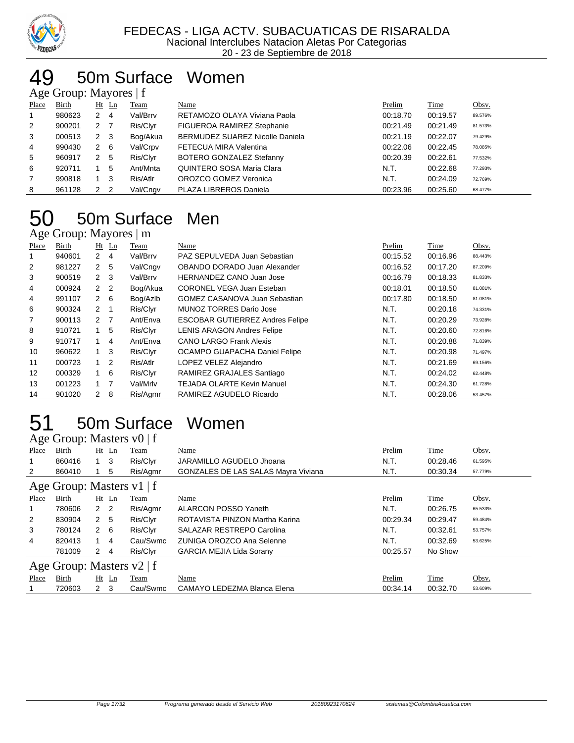

#### 50m Surface Women Age Group: Mayores | f

|                | $\frac{1}{2}$ $\frac{1}{2}$ $\frac{1}{2}$ $\frac{1}{2}$ $\frac{1}{2}$ $\frac{1}{2}$ $\frac{1}{2}$ $\frac{1}{2}$ $\frac{1}{2}$ $\frac{1}{2}$ |                     |          |                                        |          |          |         |
|----------------|---------------------------------------------------------------------------------------------------------------------------------------------|---------------------|----------|----------------------------------------|----------|----------|---------|
| Place          | Birth                                                                                                                                       | Ht Ln               | Team     | Name                                   | Prelim   | Time     | Obsv.   |
|                | 980623                                                                                                                                      | 2<br>- 4            | Val/Brrv | RETAMOZO OLAYA Viviana Paola           | 00:18.70 | 00:19.57 | 89.576% |
| 2              | 900201                                                                                                                                      | 2 7                 | Ris/Clyr | FIGUEROA RAMIREZ Stephanie             | 00:21.49 | 00:21.49 | 81.573% |
| 3              | 000513                                                                                                                                      | $2 \quad 3$         | Bog/Akua | <b>BERMUDEZ SUAREZ Nicolle Daniela</b> | 00:21.19 | 00:22.07 | 79.429% |
| $\overline{4}$ | 990430                                                                                                                                      | $2 \quad 6$         | Val/Crpv | FETECUA MIRA Valentina                 | 00:22.06 | 00:22.45 | 78.085% |
| 5              | 960917                                                                                                                                      | 2 5                 | Ris/Clyr | BOTERO GONZALEZ Stefanny               | 00:20.39 | 00:22.61 | 77.532% |
| 6              | 920711                                                                                                                                      | 5                   | Ant/Mnta | QUINTERO SOSA Maria Clara              | N.T.     | 00:22.68 | 77.293% |
| 7              | 990818                                                                                                                                      | - 3                 | Ris/Atlr | OROZCO GOMEZ Veronica                  | N.T.     | 00:24.09 | 72.769% |
| 8              | 961128                                                                                                                                      | 2<br>$\overline{2}$ | Val/Cngv | PLAZA LIBREROS Daniela                 | 00:23.96 | 00:25.60 | 68.477% |

#### 50m Surface Men Age Group: Mayores | m

| Place | Birth  |                  | $Ht$ Ln | Team     | Name                                   | Prelim   | Time     | Obsv.   |
|-------|--------|------------------|---------|----------|----------------------------------------|----------|----------|---------|
|       | 940601 | $2 \quad 4$      |         | Val/Brrv | PAZ SEPULVEDA Juan Sebastian           | 00:15.52 | 00:16.96 | 88.443% |
| 2     | 981227 | 2 <sub>5</sub>   |         | Val/Cngv | OBANDO DORADO Juan Alexander           | 00:16.52 | 00:17.20 | 87.209% |
| 3     | 900519 | $2 \quad 3$      |         | Val/Brrv | <b>HERNANDEZ CANO Juan Jose</b>        | 00:16.79 | 00:18.33 | 81.833% |
| 4     | 000924 | 2 <sub>2</sub>   |         | Bog/Akua | CORONEL VEGA Juan Esteban              | 00:18.01 | 00:18.50 | 81.081% |
| 4     | 991107 | $2 \quad 6$      |         | Bog/Azlb | <b>GOMEZ CASANOVA Juan Sebastian</b>   | 00:17.80 | 00:18.50 | 81.081% |
| 6     | 900324 | $2 \quad 1$      |         | Ris/Clyr | <b>MUNOZ TORRES Dario Jose</b>         | N.T.     | 00:20.18 | 74.331% |
| 7     | 900113 | $2 \overline{7}$ |         | Ant/Enva | <b>ESCOBAR GUTIERREZ Andres Felipe</b> | N.T.     | 00:20.29 | 73.928% |
| 8     | 910721 | 1                | 5       | Ris/Clyr | <b>LENIS ARAGON Andres Felipe</b>      | N.T.     | 00:20.60 | 72.816% |
| 9     | 910717 |                  | 4       | Ant/Enva | <b>CANO LARGO Frank Alexis</b>         | N.T.     | 00:20.88 | 71.839% |
| 10    | 960622 | 1                | 3       | Ris/Clyr | OCAMPO GUAPACHA Daniel Felipe          | N.T.     | 00:20.98 | 71.497% |
| 11    | 000723 | $1\quad 2$       |         | Ris/Atlr | LOPEZ VELEZ Alejandro                  | N.T.     | 00:21.69 | 69.156% |
| 12    | 000329 | 1                | - 6     | Ris/Clyr | RAMIREZ GRAJALES Santiago              | N.T.     | 00:24.02 | 62.448% |
| 13    | 001223 | $1 \quad 7$      |         | Val/Mrlv | <b>TEJADA OLARTE Kevin Manuel</b>      | N.T.     | 00:24.30 | 61.728% |
| 14    | 901020 | $2 \quad 8$      |         | Ris/Agmr | RAMIREZ AGUDELO Ricardo                | N.T.     | 00:28.06 | 53.457% |

#### 50m Surface Women  $\Lambda$ ge Group: Masters v $0 \mid f$

|              | $\Delta$ gu Oroup. Masiurs $\mathcal{V}(\mathcal{V})$ |                |         |             |                                            |          |             |         |
|--------------|-------------------------------------------------------|----------------|---------|-------------|--------------------------------------------|----------|-------------|---------|
| Place        | Birth                                                 |                | $Ht$ Ln | <b>Team</b> | Name                                       | Prelim   | <b>Time</b> | Obsv.   |
|              | 860416                                                | $1 \quad 3$    |         | Ris/Clyr    | JARAMILLO AGUDELO Jhoana                   | N.T.     | 00:28.46    | 61.595% |
| 2            | 860410                                                |                | 5       | Ris/Agmr    | <b>GONZALES DE LAS SALAS Mayra Viviana</b> | N.T.     | 00:30.34    | 57.779% |
|              | Age Group: Masters $v1$   f                           |                |         |             |                                            |          |             |         |
| Place        | Birth                                                 |                | $Ht$ Ln | Team        | Name                                       | Prelim   | <b>Time</b> | Obsv.   |
|              | 780606                                                | 2 <sub>2</sub> |         | Ris/Agmr    | <b>ALARCON POSSO Yaneth</b>                | N.T.     | 00:26.75    | 65.533% |
| 2            | 830904                                                | 2 <sub>5</sub> |         | Ris/Clyr    | ROTAVISTA PINZON Martha Karina             | 00:29.34 | 00:29.47    | 59.484% |
| 3            | 780124                                                | $2 \quad 6$    |         | Ris/Clyr    | <b>SALAZAR RESTREPO Carolina</b>           | N.T.     | 00:32.61    | 53.757% |
| 4            | 820413                                                |                | 4       | Cau/Swmc    | ZUNIGA OROZCO Ana Selenne                  | N.T.     | 00:32.69    | 53.625% |
|              | 781009                                                | $2 \quad 4$    |         | Ris/Clyr    | <b>GARCIA MEJIA Lida Sorany</b>            | 00:25.57 | No Show     |         |
|              | Age Group: Masters $v2$   f                           |                |         |             |                                            |          |             |         |
| <b>Place</b> | Birth                                                 |                | $Ht$ Ln | Team        | Name                                       | Prelim   | <b>Time</b> | Obsv.   |
|              | 720603                                                | $\overline{2}$ | - 3     | Cau/Swmc    | CAMAYO LEDEZMA Blanca Elena                | 00:34.14 | 00:32.70    | 53.609% |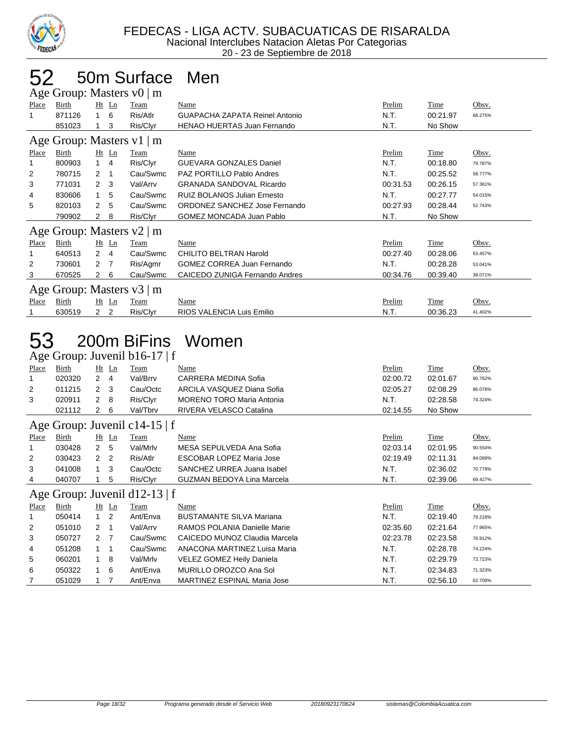

# 52 50m Surface Men

|              |                  |                                |                                | Age Group: Masters $v0 \mid m$ |                                                                      |                  |                      |                    |
|--------------|------------------|--------------------------------|--------------------------------|--------------------------------|----------------------------------------------------------------------|------------------|----------------------|--------------------|
| Place        | Birth            |                                | Ht Ln                          | Team                           | Name                                                                 | Prelim           | Time                 | Obsv.              |
| 1            | 871126           | 1                              | 6                              | Ris/Atlr                       | GUAPACHA ZAPATA Reinel Antonio                                       | N.T.             | 00:21.97             | 68.275%            |
|              | 851023           | $\mathbf{1}$                   | 3                              | Ris/Clyr                       | <b>HENAO HUERTAS Juan Fernando</b>                                   | N.T.             | No Show              |                    |
|              |                  |                                |                                | Age Group: Masters v1   m      |                                                                      |                  |                      |                    |
| Place        | <b>Birth</b>     |                                | $Ht$ Ln                        | Team                           | <b>Name</b>                                                          | Prelim           | <b>Time</b>          | Obsv.              |
| 1            | 800903           | $\mathbf{1}$                   | $\overline{4}$                 | Ris/Clyr                       | <b>GUEVARA GONZALES Daniel</b>                                       | N.T.             | 00:18.80             | 79.787%            |
| 2            | 780715           | 2                              | $\mathbf{1}$                   | Cau/Swmc                       | PAZ PORTILLO Pablo Andres                                            | N.T.             | 00:25.52             | 58.777%            |
| 3            | 771031           | $\overline{2}$                 | 3                              | Val/Arrv                       | <b>GRANADA SANDOVAL Ricardo</b>                                      | 00:31.53         | 00:26.15             | 57.361%            |
| 4            | 830606           | $\mathbf{1}$                   | 5                              | Cau/Swmc                       | <b>RUIZ BOLANOS Julian Ernesto</b>                                   | N.T.             | 00:27.77             | 54.015%            |
| 5            | 820103           | $\overline{2}$                 | 5                              | Cau/Swmc                       | ORDONEZ SANCHEZ Jose Fernando                                        | 00:27.93         | 00:28.44             | 52.743%            |
|              | 790902           | $\overline{2}$                 | 8                              | Ris/Clyr                       | <b>GOMEZ MONCADA Juan Pablo</b>                                      | N.T.             | No Show              |                    |
|              |                  |                                |                                | Age Group: Masters v2   m      |                                                                      |                  |                      |                    |
| Place        | <b>Birth</b>     |                                | Ht Ln                          | Team                           | Name                                                                 | Prelim           | Time                 | Obsv.              |
| 1            | 640513           | $\overline{2}$                 | $\overline{4}$                 | Cau/Swmc                       | <b>CHILITO BELTRAN Harold</b>                                        | 00:27.40         | 00:28.06             | 53.457%            |
| 2            | 730601           | $\overline{2}$                 | $\overline{7}$                 | Ris/Agmr                       | <b>GOMEZ CORREA Juan Fernando</b>                                    | N.T.             | 00:28.28             | 53.041%            |
| 3            | 670525           | $\overline{2}$                 | 6                              | Cau/Swmc                       | CAICEDO ZUNIGA Fernando Andres                                       | 00:34.76         | 00:39.40             | 38.071%            |
|              |                  |                                |                                | Age Group: Masters v3   m      |                                                                      |                  |                      |                    |
| <b>Place</b> | Birth            |                                | Ht Ln                          | Team                           | Name                                                                 | Prelim           | <b>Time</b>          | Obsv.              |
| 1            | 630519           | $\overline{2}$                 | $\overline{2}$                 | Ris/Clyr                       | RIOS VALENCIA Luis Emilio                                            | N.T.             | 00:36.23             | 41.402%            |
|              |                  |                                |                                |                                |                                                                      |                  |                      |                    |
| 53           |                  |                                |                                |                                | 200m BiFins Women                                                    |                  |                      |                    |
|              |                  |                                |                                | Age Group: Juvenil b16-17   f  |                                                                      |                  |                      |                    |
| Place        | Birth            |                                | Ht Ln                          | <b>Team</b>                    | Name                                                                 | Prelim           | <b>Time</b>          | Obsv.              |
| 1            | 020320           | $\overline{2}$                 | $\overline{4}$                 | Val/Brrv                       | CARRERA MEDINA Sofia                                                 | 02:00.72         | 02:01.67             | 90.762%            |
| 2            | 011215           | $\overline{2}$                 | 3                              | Cau/Octc                       | ARCILA VASQUEZ Diana Sofia                                           | 02:05.27         | 02:08.29             | 86.078%            |
| 3            | 020911           | $\boldsymbol{2}$               | 8                              | Ris/Clyr                       | <b>MORENO TORO Maria Antonia</b>                                     | N.T.             | 02:28.58             | 74.324%            |
|              | 021112           | $\overline{2}$                 | 6                              | Val/Tbrv                       | RIVERA VELASCO Catalina                                              | 02:14.55         | No Show              |                    |
|              |                  |                                |                                | Age Group: Juvenil c14-15   f  |                                                                      |                  |                      |                    |
| Place        | Birth            |                                | Ht Ln                          | <b>Team</b>                    | Name                                                                 | Prelim           | <b>Time</b>          | Obsv.              |
| 1            | 030428           | $\overline{2}$                 | 5                              | Val/Mrlv                       | MESA SEPULVEDA Ana Sofia                                             | 02:03.14         | 02:01.95             | 90.554%            |
| 2            | 030423           | $\overline{2}$                 | 2                              | Ris/Atlr                       | ESCOBAR LOPEZ Maria Jose                                             | 02:19.49         | 02:11.31             | 84.099%            |
| 3            | 041008           | $\mathbf{1}$                   | 3                              | Cau/Octc                       | SANCHEZ URREA Juana Isabel                                           | N.T.             | 02:36.02             | 70.779%            |
| 4            | 040707           | $\mathbf{1}$                   | 5                              | Ris/Clyr                       | GUZMAN BEDOYA Lina Marcela                                           | N.T.             | 02:39.06             | 69.427%            |
|              |                  |                                |                                | Age Group: Juvenil d12-13   f  |                                                                      |                  |                      |                    |
| Place        | <b>Birth</b>     |                                | Ht Ln                          | Team                           | Name                                                                 | Prelim           | Time                 | Obsv.              |
| 1            | 050414           | 1                              | 2                              | Ant/Enva                       | <b>BUSTAMANTE SILVA Mariana</b>                                      | N.T.             | 02:19.40             | 79.218%<br>77.965% |
| 2            | 051010           | 2                              | $\overline{1}$                 | Val/Arrv                       | RAMOS POLANIA Danielle Marie                                         | 02:35.60         | 02:21.64             | 76.912%            |
| 3<br>4       | 050727<br>051208 | $\overline{2}$<br>$\mathbf{1}$ | $\overline{7}$<br>$\mathbf{1}$ | Cau/Swmc<br>Cau/Swmc           | CAICEDO MUNOZ Claudia Marcela<br><b>ANACONA MARTINEZ Luisa Maria</b> | 02:23.78<br>N.T. | 02:23.58<br>02:28.78 | 74.224%            |

6 050322 1 6 Ant/Enva MURILLO OROZCO Ana Sol N.T. 02:34.83 71.323% 7 051029 1 7 Ant/Enva MARTINEZ ESPINAL Maria Jose N.T. 02:56.10 62.709%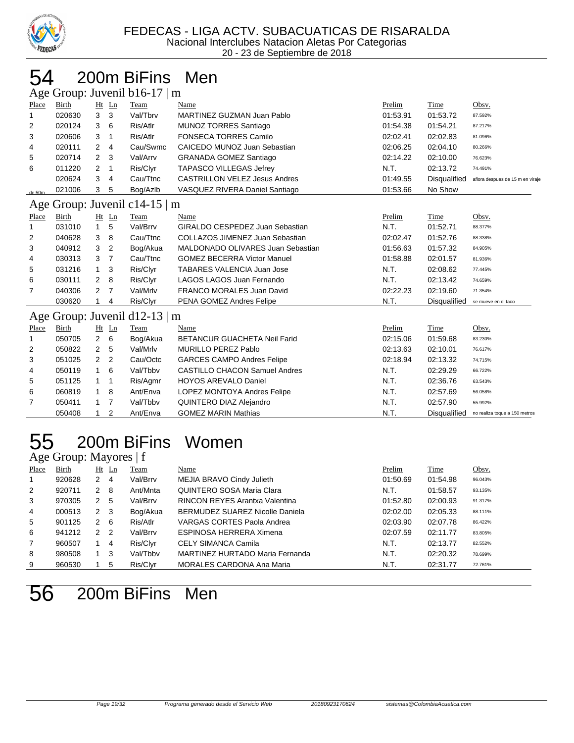

### 200m BiFins Men

Age Group: Juvenil b16-17 | m

|        | $1.18$ S19ap. $84.6$ and $0.19$ $17$ $1\text{m}$ |     |    |          |                                      |          |                     |                                  |  |  |  |
|--------|--------------------------------------------------|-----|----|----------|--------------------------------------|----------|---------------------|----------------------------------|--|--|--|
| Place  | Birth                                            | Ht  | Ln | Team     | Name                                 | Prelim   | <b>Time</b>         | Obsv.                            |  |  |  |
|        | 020630                                           | 3 3 |    | Val/Tbrv | MARTINEZ GUZMAN Juan Pablo           | 01:53.91 | 01:53.72            | 87.592%                          |  |  |  |
| 2      | 020124                                           | 3   | 6  | Ris/Atlr | MUNOZ TORRES Santiago                | 01:54.38 | 01:54.21            | 87.217%                          |  |  |  |
| 3      | 020606                                           | 3   |    | Ris/Atlr | <b>FONSECA TORRES Camilo</b>         | 02:02.41 | 02:02.83            | 81.096%                          |  |  |  |
| 4      | 020111                                           | 2   | 4  | Cau/Swmc | CAICEDO MUNOZ Juan Sebastian         | 02:06.25 | 02:04.10            | 80.266%                          |  |  |  |
| 5      | 020714                                           | 2 3 |    | Val/Arrv | <b>GRANADA GOMEZ Santiago</b>        | 02:14.22 | 02:10.00            | 76.623%                          |  |  |  |
| 6      | 011220                                           | 2   |    | Ris/Clyr | <b>TAPASCO VILLEGAS Jefrey</b>       | N.T.     | 02:13.72            | 74.491%                          |  |  |  |
|        | 020624                                           | 3   | 4  | Cau/Ttnc | <b>CASTRILLON VELEZ Jesus Andres</b> | 01:49.55 | <b>Disqualified</b> | aflora despues de 15 m en viraje |  |  |  |
| de 50m | 021006                                           | 3   | 5  | Bog/Azlb | VASQUEZ RIVERA Daniel Santiago       | 01:53.66 | No Show             |                                  |  |  |  |

#### Age Group: Juvenil c14-15 | m

|              | .      |   |         |             |                                    |          |                     |                     |
|--------------|--------|---|---------|-------------|------------------------------------|----------|---------------------|---------------------|
| Place        | Birth  |   | $Ht$ Ln | <b>Team</b> | Name                               | Prelim   | Time                | Obsv.               |
| $\mathbf{1}$ | 031010 |   | 5       | Val/Brrv    | GIRALDO CESPEDEZ Juan Sebastian    | N.T.     | 01:52.71            | 88.377%             |
| 2            | 040628 | 3 | -8      | Cau/Ttnc    | COLLAZOS JIMENEZ Juan Sebastian    | 02:02.47 | 01:52.76            | 88.338%             |
| 3            | 040912 | 3 | -2      | Bog/Akua    | MALDONADO OLIVARES Juan Sebastian  | 01:56.63 | 01:57.32            | 84.905%             |
| 4            | 030313 | 3 |         | Cau/Ttnc    | <b>GOMEZ BECERRA Victor Manuel</b> | 01:58.88 | 02:01.57            | 81.936%             |
| -5           | 031216 |   | -3      | Ris/Clyr    | <b>TABARES VALENCIA Juan Jose</b>  | N.T.     | 02:08.62            | 77.445%             |
| 6            | 030111 | 2 | - 8     | Ris/Clyr    | LAGOS LAGOS Juan Fernando          | N.T.     | 02:13.42            | 74.659%             |
| 7            | 040306 | 2 |         | Val/Mrlv    | <b>FRANCO MORALES Juan David</b>   | 02:22.23 | 02:19.60            | 71.354%             |
|              | 030620 |   | 4       | Ris/Clyr    | PENA GOMEZ Andres Felipe           | N.T.     | <b>Disqualified</b> | se mueve en el taco |
|              |        |   |         |             |                                    |          |                     |                     |

#### Age Group: Juvenil d12-13 | m

|       | $T_{\rm LSC}$ Oroup. Juvenil G12 19   III |         |                |             |                                      |          |                     |                               |  |  |  |
|-------|-------------------------------------------|---------|----------------|-------------|--------------------------------------|----------|---------------------|-------------------------------|--|--|--|
| Place | <b>Birth</b>                              | $Ht$ Ln |                | <b>Team</b> | Name                                 | Prelim   | Time                | Obsv.                         |  |  |  |
|       | 050705                                    | 2 6     |                | Bog/Akua    | <b>BETANCUR GUACHETA Neil Farid</b>  | 02:15.06 | 01:59.68            | 83.230%                       |  |  |  |
| 2     | 050822                                    | 2       | -5             | Val/Mrlv    | MURILLO PEREZ Pablo                  | 02:13.63 | 02:10.01            | 76.617%                       |  |  |  |
| 3     | 051025                                    | 2       | $\overline{2}$ | Cau/Octc    | <b>GARCES CAMPO Andres Felipe</b>    | 02:18.94 | 02:13.32            | 74.715%                       |  |  |  |
| 4     | 050119                                    |         | - 6            | Val/Tbbv    | <b>CASTILLO CHACON Samuel Andres</b> | N.T.     | 02:29.29            | 66.722%                       |  |  |  |
| 5     | 051125                                    |         |                | Ris/Agmr    | <b>HOYOS AREVALO Daniel</b>          | N.T.     | 02:36.76            | 63.543%                       |  |  |  |
| 6     | 060819                                    | 1 8     |                | Ant/Enva    | LOPEZ MONTOYA Andres Felipe          | N.T.     | 02:57.69            | 56.058%                       |  |  |  |
| 7     | 050411                                    |         |                | Val/Tbby    | QUINTERO DIAZ Alejandro              | N.T.     | 02:57.90            | 55.992%                       |  |  |  |
|       | 050408                                    |         |                | Ant/Enva    | <b>GOMEZ MARIN Mathias</b>           | N.T.     | <b>Disqualified</b> | no realiza toque a 150 metros |  |  |  |

# 200m BiFins Women

#### Age Group: Mayores | f

| Place          | Birth  | Ht  | Ln  | Team     | <u>Name</u>                            | Prelim   | <b>Time</b> | Obsv.   |
|----------------|--------|-----|-----|----------|----------------------------------------|----------|-------------|---------|
| $\mathbf{1}$   | 920628 | 2   | 4   | Val/Brrv | MEJIA BRAVO Cindy Julieth              | 01:50.69 | 01:54.98    | 96.043% |
| 2              | 920711 | 2   | - 8 | Ant/Mnta | QUINTERO SOSA Maria Clara              | N.T.     | 01:58.57    | 93.135% |
| 3              | 970305 | 2   | 5   | Val/Brrv | RINCON REYES Arantxa Valentina         | 01:52.80 | 02:00.93    | 91.317% |
| 4              | 000513 | 2   | - 3 | Bog/Akua | <b>BERMUDEZ SUAREZ Nicolle Daniela</b> | 02:02.00 | 02:05.33    | 88.111% |
| 5              | 901125 | 2   | - 6 | Ris/Atlr | VARGAS CORTES Paola Andrea             | 02:03.90 | 02:07.78    | 86.422% |
| 6              | 941212 | 2   | 2   | Val/Brrv | ESPINOSA HERRERA Ximena                | 02:07.59 | 02:11.77    | 83.805% |
| $\overline{7}$ | 960507 |     | 4   | Ris/Clyr | CELY SIMANCA Camila                    | N.T.     | 02:13.77    | 82.552% |
| 8              | 980508 | 1 3 |     | Val/Tbby | MARTINEZ HURTADO Maria Fernanda        | N.T.     | 02:20.32    | 78.699% |
| 9              | 960530 |     | 5   | Ris/Clyr | MORALES CARDONA Ana Maria              | N.T.     | 02:31.77    | 72.761% |

# 200m BiFins Men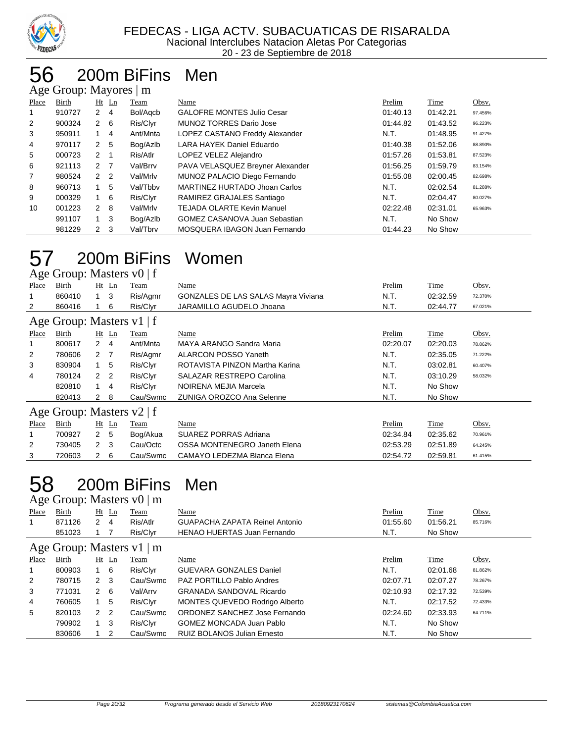

#### 200m BiFins Men

|       | Age Group: Mayores   m |                      |                |          |                                      |          |          |         |  |
|-------|------------------------|----------------------|----------------|----------|--------------------------------------|----------|----------|---------|--|
| Place | Birth                  |                      | $Ht$ Ln        | Team     | Name                                 | Prelim   | Time     | Obsv.   |  |
| 1     | 910727                 | $\mathbf{2}$         | -4             | Bol/Agcb | <b>GALOFRE MONTES Julio Cesar</b>    | 01:40.13 | 01:42.21 | 97.456% |  |
| 2     | 900324                 | $2\quad 6$           |                | Ris/Clyr | MUNOZ TORRES Dario Jose              | 01:44.82 | 01:43.52 | 96.223% |  |
| 3     | 950911                 | $\mathbf{1}$         | $\overline{4}$ | Ant/Mnta | LOPEZ CASTANO Freddy Alexander       | N.T.     | 01:48.95 | 91.427% |  |
| 4     | 970117                 | $\mathbf{2}$         | -5             | Bog/Azlb | LARA HAYEK Daniel Eduardo            | 01:40.38 | 01:52.06 | 88.890% |  |
| 5     | 000723                 | $2 \quad 1$          |                | Ris/Atlr | LOPEZ VELEZ Alejandro                | 01:57.26 | 01:53.81 | 87.523% |  |
| 6     | 921113                 | 2 <sub>7</sub>       |                | Val/Brrv | PAVA VELASQUEZ Breyner Alexander     | 01:56.25 | 01:59.79 | 83.154% |  |
| 7     | 980524                 | $\mathbf{2}$         | $\overline{2}$ | Val/Mrlv | MUNOZ PALACIO Diego Fernando         | 01:55.08 | 02:00.45 | 82.698% |  |
| 8     | 960713                 |                      | 5              | Val/Tbby | MARTINEZ HURTADO Jhoan Carlos        | N.T.     | 02:02.54 | 81.288% |  |
| 9     | 000329                 | $\mathbf 1$          | - 6            | Ris/Clyr | RAMIREZ GRAJALES Santiago            | N.T.     | 02:04.47 | 80.027% |  |
| 10    | 001223                 | $\mathbf{2}^{\circ}$ | - 8            | Val/Mrlv | <b>TEJADA OLARTE Kevin Manuel</b>    | 02:22.48 | 02:31.01 | 65.963% |  |
|       | 991107                 |                      | -3             | Bog/Azlb | <b>GOMEZ CASANOVA Juan Sebastian</b> | N.T.     | No Show  |         |  |
|       | 981229                 | $\mathbf{2}$         | -3             | Val/Tbrv | MOSQUERA IBAGON Juan Fernando        | 01:44.23 | No Show  |         |  |

#### 200m BiFins Women Age Group: Masters  $v0 \mid f$

| - -0                      | -----r                         |                |                |          |                                     |          |          |         |  |
|---------------------------|--------------------------------|----------------|----------------|----------|-------------------------------------|----------|----------|---------|--|
| Place                     | Birth                          |                | $Ht$ Ln        | Team     | Name                                | Prelim   | Time     | Obsv.   |  |
|                           | 860410                         |                | $1 \quad 3$    | Ris/Agmr | GONZALES DE LAS SALAS Mayra Viviana | N.T.     | 02:32.59 | 72.370% |  |
| $\overline{2}$            | 860416                         |                | 6              | Ris/Clyr | JARAMILLO AGUDELO Jhoana            | N.T.     | 02:44.77 | 67.021% |  |
| Age Group: Masters v1   f |                                |                |                |          |                                     |          |          |         |  |
| Place                     | Birth                          |                | $Ht$ Ln        | Team     | Name                                | Prelim   | Time     | Obsv.   |  |
|                           | 800617                         | 2              | -4             | Ant/Mnta | MAYA ARANGO Sandra Maria            | 02:20.07 | 02:20.03 | 78.862% |  |
| 2                         | 780606                         | 2 7            |                | Ris/Agmr | ALARCON POSSO Yaneth                | N.T.     | 02:35.05 | 71.222% |  |
| 3                         | 830904                         |                | $1\quad 5$     | Ris/Clyr | ROTAVISTA PINZON Martha Karina      | N.T.     | 03:02.81 | 60.407% |  |
| 4                         | 780124                         | $\overline{2}$ | $\overline{2}$ | Ris/Clyr | SALAZAR RESTREPO Carolina           | N.T.     | 03:10.29 | 58.032% |  |
|                           | 820810                         |                | $\overline{4}$ | Ris/Clyr | NOIRENA MEJIA Marcela               | N.T.     | No Show  |         |  |
|                           | 820413                         | $\mathbf{2}$   | -8             | Cau/Swmc | ZUNIGA OROZCO Ana Selenne           | N.T.     | No Show  |         |  |
|                           | Age Group: Masters $v2 \mid f$ |                |                |          |                                     |          |          |         |  |
| Place                     | Birth                          |                | $Ht$ Ln        | Team     | Name                                | Prelim   | Time     | Obsv.   |  |
|                           | 700927                         | $\overline{2}$ | -5             | Bog/Akua | SUAREZ PORRAS Adriana               | 02:34.84 | 02:35.62 | 70.961% |  |
| 2                         | 730405                         | $\mathcal{P}$  | -3             | Cau/Octc | OSSA MONTENEGRO Janeth Elena        | 02:53.29 | 02:51.89 | 64.245% |  |
| 3                         | 720603                         | $\overline{2}$ | 6              | Cau/Swmc | CAMAYO LEDEZMA Blanca Elena         | 02:54.72 | 02:59.81 | 61.415% |  |

#### 200m BiFins Men Age Group: Masters v0 | m

|                | $1.45$ $\sigma$ . $1.44$ $\sigma$ $\sigma$ $\sigma$ $\sigma$ $\sigma$ |                |                |          |                                       |          |             |         |  |  |  |
|----------------|-----------------------------------------------------------------------|----------------|----------------|----------|---------------------------------------|----------|-------------|---------|--|--|--|
| Place          | Birth                                                                 |                | $Ht$ Ln        | Team     | Name                                  | Prelim   | <b>Time</b> | Obsv.   |  |  |  |
| 1              | 871126                                                                | $2 \quad 4$    |                | Ris/Atlr | <b>GUAPACHA ZAPATA Reinel Antonio</b> | 01:55.60 | 01:56.21    | 85.716% |  |  |  |
|                | 851023                                                                |                |                | Ris/Clyr | <b>HENAO HUERTAS Juan Fernando</b>    | N.T.     | No Show     |         |  |  |  |
|                | Age Group: Masters $v1 \mid m$                                        |                |                |          |                                       |          |             |         |  |  |  |
| Place          | Birth                                                                 |                | $Ht$ Ln        | Team     | Name                                  | Prelim   | <b>Time</b> | Obsv.   |  |  |  |
| 1              | 800903                                                                |                | $1\quad 6$     | Ris/Clyr | <b>GUEVARA GONZALES Daniel</b>        | N.T.     | 02:01.68    | 81.862% |  |  |  |
| $\overline{2}$ | 780715                                                                | $2 \quad 3$    |                | Cau/Swmc | PAZ PORTILLO Pablo Andres             | 02:07.71 | 02:07.27    | 78.267% |  |  |  |
| 3              | 771031                                                                | $2 \quad 6$    |                | Val/Arry | <b>GRANADA SANDOVAL Ricardo</b>       | 02:10.93 | 02:17.32    | 72.539% |  |  |  |
| 4              | 760605                                                                |                | $1\quad 5$     | Ris/Clyr | MONTES QUEVEDO Rodrigo Alberto        | N.T.     | 02:17.52    | 72.433% |  |  |  |
| 5              | 820103                                                                | 2 <sub>2</sub> |                | Cau/Swmc | ORDONEZ SANCHEZ Jose Fernando         | 02:24.60 | 02:33.93    | 64.711% |  |  |  |
|                | 790902                                                                |                | $1 \quad 3$    | Ris/Clyr | <b>GOMEZ MONCADA Juan Pablo</b>       | N.T.     | No Show     |         |  |  |  |
|                | 830606                                                                |                | $\overline{2}$ | Cau/Swmc | <b>RUIZ BOLANOS Julian Ernesto</b>    | N.T.     | No Show     |         |  |  |  |
|                |                                                                       |                |                |          |                                       |          |             |         |  |  |  |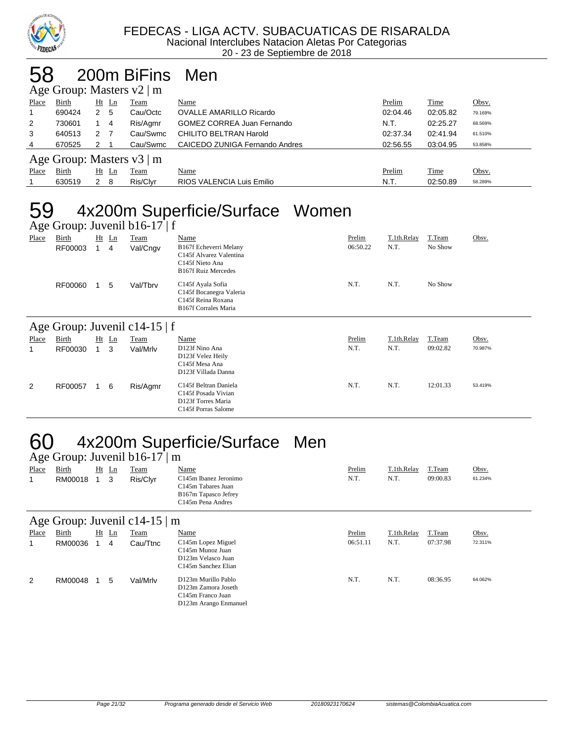

## 58 200m BiFins Men

|                | Age Group: Masters $v2 \mid m$ |   |         |                           |                                   |          |          |         |  |  |
|----------------|--------------------------------|---|---------|---------------------------|-----------------------------------|----------|----------|---------|--|--|
| Place          | Birth                          |   | $Ht$ Ln | Team                      | Name                              | Prelim   | Time     | Obsv.   |  |  |
|                | 690424                         | 2 | - 5     | Cau/Octc                  | <b>OVALLE AMARILLO Ricardo</b>    | 02:04.46 | 02:05.82 | 79.169% |  |  |
| $\overline{2}$ | 730601                         |   | 4       | Ris/Agmr                  | <b>GOMEZ CORREA Juan Fernando</b> | N.T.     | 02:25.27 | 68.569% |  |  |
| 3              | 640513                         | 2 |         | Cau/Swmc                  | CHILITO BELTRAN Harold            | 02:37.34 | 02:41.94 | 61.510% |  |  |
| 4              | 670525                         | 2 |         | Cau/Swmc                  | CAICEDO ZUNIGA Fernando Andres    | 02:56.55 | 03:04.95 | 53.858% |  |  |
|                |                                |   |         | Age Group: Masters v3   m |                                   |          |          |         |  |  |
| Place          | Birth                          |   | $Ht$ Ln | <b>Team</b>               | Name                              | Prelim   | Time     | Obsv.   |  |  |
|                | 630519                         | 2 | - 8     | Ris/Clvr                  | RIOS VALENCIA Luis Emilio         | N.T.     | 02:50.89 | 58.289% |  |  |

# 59 4x200m Superficie/Surface Women

| Age Group: Juvenil $b16-17 \mid f$ |                  |   |              |                  |                                                                                                                          |                    |                     |                   |         |  |
|------------------------------------|------------------|---|--------------|------------------|--------------------------------------------------------------------------------------------------------------------------|--------------------|---------------------|-------------------|---------|--|
| Place                              | Birth<br>RF00003 | 1 | $Ht$ Ln<br>4 | Team<br>Val/Cngv | Name<br>B167f Echeverri Melany<br>C145f Alvarez Valentina<br>C145f Nieto Ana                                             | Prelim<br>06:50.22 | T.1th.Relay<br>N.T. | T.Team<br>No Show | Obsv.   |  |
|                                    | RF00060          |   | 5            | Val/Tbrv         | <b>B167f Ruiz Mercedes</b><br>C145f Ayala Sofia<br>C145f Bocanegra Valeria<br>C145f Reina Roxana<br>B167f Corrales Maria | N.T.               | N.T.                | No Show           |         |  |
| Age Group: Juvenil c14-15   f      |                  |   |              |                  |                                                                                                                          |                    |                     |                   |         |  |
|                                    |                  |   |              |                  |                                                                                                                          |                    |                     |                   |         |  |
| Place                              | Birth            |   | $Ht$ Ln      | Team             | Name                                                                                                                     | Prelim             | T.1th.Relay         | T.Team            | Obsv.   |  |
| 1                                  | RF00030          | 1 | 3            | Val/Mrlv         | D123f Nino Ana<br>D123f Velez Heily<br>C145f Mesa Ana<br>D123f Villada Danna                                             | N.T.               | N.T.                | 09:02.82          | 70.987% |  |

# 60 4x200m Superficie/Surface Men

|       | Age Group: Juvenil $b16-17 \mid m$ |  |       |             |                                                                                                                    |        |             |          |         |  |  |
|-------|------------------------------------|--|-------|-------------|--------------------------------------------------------------------------------------------------------------------|--------|-------------|----------|---------|--|--|
| Place | <b>Birth</b>                       |  | Ht Ln | <b>Team</b> | <u>Name</u>                                                                                                        | Prelim | T.1th.Relay | T.Team   | Obsv.   |  |  |
|       | RM00018 1 3                        |  |       | Ris/Clvr    | C <sub>145</sub> m Ibanez Jeronimo<br>C145m Tabares Juan<br>B167m Tapasco Jefrey<br>C <sub>145</sub> m Pena Andres | N.T.   | N.T.        | 09:00.83 | 61.234% |  |  |

#### Age Group: Juvenil c14-15 | m

|       | $\frac{1}{2}$<br>---- |  |       |             |                                                                                                       |          |             |          |         |  |
|-------|-----------------------|--|-------|-------------|-------------------------------------------------------------------------------------------------------|----------|-------------|----------|---------|--|
| Place | Birth                 |  | Ht Ln | <b>Team</b> | <u>Name</u>                                                                                           | Prelim   | T.1th.Relay | T.Team   | Obsv.   |  |
|       | RM00036               |  | 4     | Cau/Ttnc    | C145m Lopez Miguel<br>C145m Munoz Juan<br>D123m Velasco Juan<br>C <sub>145</sub> m Sanchez Elian      | 06:51.11 | N.T.        | 07:37.98 | 72.311% |  |
| 2     | RM00048               |  | 5     | Val/Mrlv    | D123m Murillo Pablo<br>D123m Zamora Joseth<br>C <sub>145</sub> m Franco Juan<br>D123m Arango Enmanuel | N.T.     | N.T.        | 08:36.95 | 64.062% |  |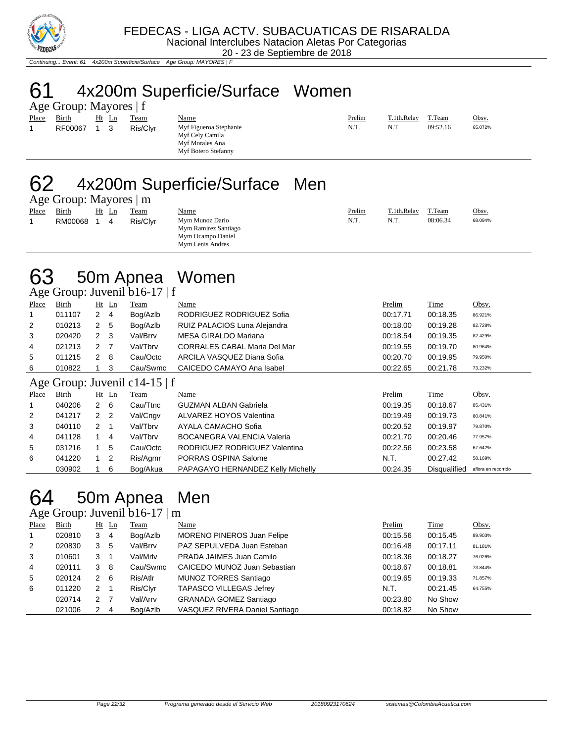

Continuing... Event: 61 4x200m Superficie/Surface Age Group: MAYORES | F

# 61 4x200m Superficie/Surface Women

|             | Age Group: Mayores   f |             |          |
|-------------|------------------------|-------------|----------|
|             | Place Birth Ht Ln Team |             |          |
| $\mathbf 1$ | RF00067                | $1 \quad 3$ | Ris/Clyr |

Myf Figueroa Stephanie Myf Cely Camila Myf Morales Ana Myf Botero Stefanny

| <b>Place</b> | Birth       | Ht Ln | Team     | Name                        | $P$ relim | $T$ 1th Relay | T.Team   | Obsv.   |
|--------------|-------------|-------|----------|-----------------------------|-----------|---------------|----------|---------|
|              | RF00067 1 3 |       | Ris/Clyr | Myf Figueroa Stephanie<br>. | N.T       | N.T           | 09:52.16 | 65.072% |

### 62 4x200m Superficie/Surface Men

Age Group: Mayores | m Place Birth Ht Ln Team Name Prelim T.1th.Relay T.Team Obsv. 1 RM00068 1 4 Ris/Clyr Mym Munoz Dario N.T. N.T. 08:06.34 68.094%

Mym Ramirez Santiago Mym Ocampo Daniel Mym Lenis Andres

| 63 | 50m Apnea Women |  |
|----|-----------------|--|
|    |                 |  |

Age Group: Juvenil b16-17 | f

|       | ----------- |                |         |                               |                                     |          |          |         |
|-------|-------------|----------------|---------|-------------------------------|-------------------------------------|----------|----------|---------|
| Place | Birth       |                | $Ht$ Ln | Team                          | Name                                | Prelim   | Time     | Obsv.   |
|       | 011107      | $\mathbf{2}$   | 4       | Bog/Azlb                      | RODRIGUEZ RODRIGUEZ Sofia           | 00:17.71 | 00:18.35 | 86.921% |
| 2     | 010213      | $\mathbf{2}$   | 5       | Bog/Azlb                      | RUIZ PALACIOS Luna Alejandra        | 00:18.00 | 00:19.28 | 82.728% |
| 3     | 020420      | $2 \quad 3$    |         | Val/Brrv                      | <b>MESA GIRALDO Mariana</b>         | 00:18.54 | 00:19.35 | 82.429% |
| 4     | 021213      | 2 <sub>7</sub> |         | Val/Tbrv                      | <b>CORRALES CABAL Maria Del Mar</b> | 00:19.55 | 00:19.70 | 80.964% |
| 5     | 011215      | $2 \quad 8$    |         | Cau/Octc                      | ARCILA VASQUEZ Diana Sofia          | 00:20.70 | 00:19.95 | 79.950% |
| 6     | 010822      |                | 3       | Cau/Swmc                      | CAICEDO CAMAYO Ana Isabel           | 00:22.65 | 00:21.78 | 73.232% |
|       |             |                |         | Age Group: Juvenil c14-15   f |                                     |          |          |         |
| Place | Birth       |                | Ht Ln   | Team                          | Name                                | Prelim   | Time     | Obsv.   |
|       | 040206      | $2 \quad 6$    |         | Cau/Ttnc                      | <b>GUZMAN ALBAN Gabriela</b>        | 00:19.35 | 00:18.67 | 85.431% |
| 2     | 041217      | 2 <sub>2</sub> |         | Val/Cngv                      | ALVAREZ HOYOS Valentina             | 00:19.49 | 00:19.73 | 80.841% |
| 3     | 040110      | $2 \quad 1$    |         | Val/Tbrv                      | AYALA CAMACHO Sofia                 | 00:20.52 | 00:19.97 | 79.870% |
| 4     | 041128      | 1              | 4       | Val/Tbrv                      | <b>BOCANEGRA VALENCIA Valeria</b>   | 00:21.70 | 00:20.46 | 77.957% |
| 5     | 031216      |                | 5       | Cau/Octc                      | RODRIGUEZ RODRIGUEZ Valentina       | 00:22.56 | 00:23.58 | 67.642% |

030902 1 6 Bog/Akua PAPAGAYO HERNANDEZ Kelly Michelly 00:24.35 Disqualified aflora en recorrido

6 041220 1 2 Ris/Agmr PORRAS OSPINA Salome N.T. 00:27.42 58.169%

# 64 50m Apnea Men

#### Age Group: Juvenil b16-17 | m

| Place          | <b>Birth</b> |     | $Ht$ Ln        | <b>Team</b> | Name                              | Prelim   | Time     | Obsv.   |
|----------------|--------------|-----|----------------|-------------|-----------------------------------|----------|----------|---------|
| $\overline{1}$ | 020810       | 3   | - 4            | Bog/Azlb    | <b>MORENO PINEROS Juan Felipe</b> | 00:15.56 | 00:15.45 | 89.903% |
| 2              | 020830       | 3   | 5              | Val/Brrv    | PAZ SEPULVEDA Juan Esteban        | 00:16.48 | 00:17.11 | 81.181% |
| 3              | 010601       | 3   |                | Val/Mrlv    | PRADA JAIMES Juan Camilo          | 00:18.36 | 00:18.27 | 76.026% |
| 4              | 020111       | 3   | - 8            | Cau/Swmc    | CAICEDO MUNOZ Juan Sebastian      | 00:18.67 | 00:18.81 | 73.844% |
| 5              | 020124       | 2 6 |                | Ris/Atlr    | <b>MUNOZ TORRES Santiago</b>      | 00:19.65 | 00:19.33 | 71.857% |
| 6              | 011220       | 2   |                | Ris/Clyr    | <b>TAPASCO VILLEGAS Jefrey</b>    | N.T.     | 00:21.45 | 64.755% |
|                | 020714       | 2   | $\overline{7}$ | Val/Arrv    | <b>GRANADA GOMEZ Santiago</b>     | 00:23.80 | No Show  |         |
|                | 021006       | 2   | -4             | Bog/Azlb    | VASQUEZ RIVERA Daniel Santiago    | 00:18.82 | No Show  |         |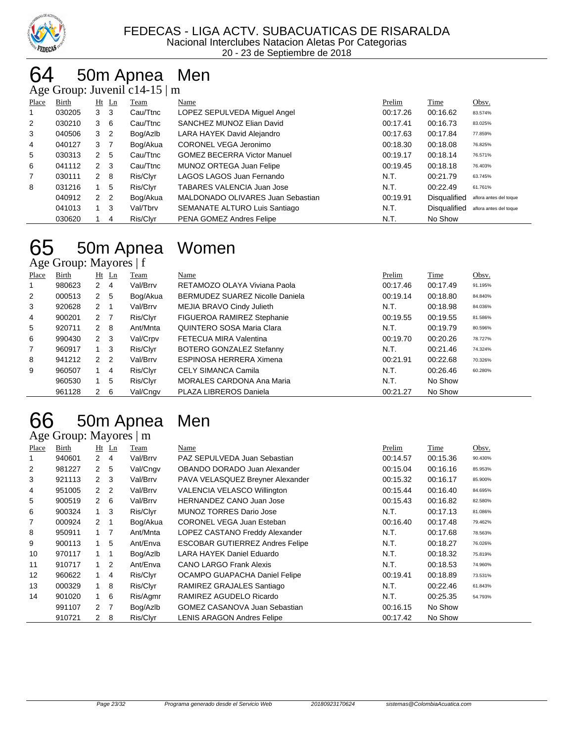

# 50m Apnea Men

Age Group: Juvenil c14-15 | m

| ີ              |        |                |                |          |                                   |          |                     |                        |
|----------------|--------|----------------|----------------|----------|-----------------------------------|----------|---------------------|------------------------|
| Place          | Birth  |                | $Ht$ Ln        | Team     | Name                              | Prelim   | Time                | Obsv.                  |
|                | 030205 | 3              | -3             | Cau/Ttnc | LOPEZ SEPULVEDA Miguel Angel      | 00:17.26 | 00:16.62            | 83.574%                |
| 2              | 030210 | 3              | - 6            | Cau/Ttnc | SANCHEZ MUNOZ Elian David         | 00:17.41 | 00:16.73            | 83.025%                |
| 3              | 040506 | 3              | $\overline{2}$ | Bog/Azlb | LARA HAYEK David Alejandro        | 00:17.63 | 00:17.84            | 77.859%                |
| 4              | 040127 | 3              | $\overline{7}$ | Bog/Akua | CORONEL VEGA Jeronimo             | 00:18.30 | 00:18.08            | 76.825%                |
| 5              | 030313 | 2              | -5             | Cau/Ttnc | GOMEZ BECERRA Victor Manuel       | 00:19.17 | 00:18.14            | 76.571%                |
| 6              | 041112 | $\overline{2}$ | -3             | Cau/Ttnc | MUNOZ ORTEGA Juan Felipe          | 00:19.45 | 00:18.18            | 76.403%                |
| $\overline{7}$ | 030111 | $2 \quad 8$    |                | Ris/Clyr | LAGOS LAGOS Juan Fernando         | N.T.     | 00:21.79            | 63.745%                |
| 8              | 031216 |                | 5              | Ris/Clyr | TABARES VALENCIA Juan Jose        | N.T.     | 00:22.49            | 61.761%                |
|                | 040912 | 2 <sub>2</sub> |                | Bog/Akua | MALDONADO OLIVARES Juan Sebastian | 00:19.91 | <b>Disqualified</b> | aflora antes del toque |
|                | 041013 |                | -3             | Val/Tbrv | SEMANATE ALTURO Luis Santiago     | N.T.     | <b>Disqualified</b> | aflora antes del toque |
|                | 030620 |                | 4              | Ris/Clyr | PENA GOMEZ Andres Felipe          | N.T.     | No Show             |                        |

#### 50m Apnea Women Age Group: Mayores | f

| ັ              |        |                |                |          |                                        |          |             |         |
|----------------|--------|----------------|----------------|----------|----------------------------------------|----------|-------------|---------|
| Place          | Birth  |                | $Ht$ Ln        | Team     | Name                                   | Prelim   | <b>Time</b> | Obsv.   |
| 1              | 980623 | $\mathbf{2}$   | 4              | Val/Brrv | RETAMOZO OLAYA Viviana Paola           | 00:17.46 | 00:17.49    | 91.195% |
| 2              | 000513 | 2 <sub>5</sub> |                | Bog/Akua | <b>BERMUDEZ SUAREZ Nicolle Daniela</b> | 00:19.14 | 00:18.80    | 84.840% |
| 3              | 920628 | $2 \quad 1$    |                | Val/Brrv | MEJIA BRAVO Cindy Julieth              | N.T.     | 00:18.98    | 84.036% |
| 4              | 900201 | 2 <sub>7</sub> |                | Ris/Clyr | FIGUEROA RAMIREZ Stephanie             | 00:19.55 | 00:19.55    | 81.586% |
| 5              | 920711 | 2              | - 8            | Ant/Mnta | QUINTERO SOSA Maria Clara              | N.T.     | 00:19.79    | 80.596% |
| 6              | 990430 | $2 \quad 3$    |                | Val/Crpv | FETECUA MIRA Valentina                 | 00:19.70 | 00:20.26    | 78.727% |
| $\overline{7}$ | 960917 |                | - 3            | Ris/Clyr | BOTERO GONZALEZ Stefanny               | N.T.     | 00:21.46    | 74.324% |
| 8              | 941212 | 2 <sub>2</sub> |                | Val/Brrv | ESPINOSA HERRERA Ximena                | 00:21.91 | 00:22.68    | 70.326% |
| 9              | 960507 |                | $\overline{4}$ | Ris/Clyr | <b>CELY SIMANCA Camila</b>             | N.T.     | 00:26.46    | 60.280% |
|                | 960530 |                | 5              | Ris/Clyr | <b>MORALES CARDONA Ana Maria</b>       | N.T.     | No Show     |         |
|                | 961128 | 2 6            |                | Val/Cngv | PLAZA LIBREROS Daniela                 | 00:21.27 | No Show     |         |

#### 50m Apnea Men Age Group: Mayores | m

| ັ     |        |                      |                |          |                                        |          |          |         |
|-------|--------|----------------------|----------------|----------|----------------------------------------|----------|----------|---------|
| Place | Birth  |                      | $Ht$ Ln        | Team     | Name                                   | Prelim   | Time     | Obsv.   |
|       | 940601 | $\mathbf{2}$         | -4             | Val/Brrv | PAZ SEPULVEDA Juan Sebastian           | 00:14.57 | 00:15.36 | 90.430% |
| 2     | 981227 | $\mathbf{2}$         | -5             | Val/Cngv | OBANDO DORADO Juan Alexander           | 00:15.04 | 00:16.16 | 85.953% |
| 3     | 921113 |                      | $2 \quad 3$    | Val/Brrv | PAVA VELASQUEZ Breyner Alexander       | 00:15.32 | 00:16.17 | 85.900% |
| 4     | 951005 | $\mathbf{2}$         | $\overline{2}$ | Val/Brrv | <b>VALENCIA VELASCO Willington</b>     | 00:15.44 | 00:16.40 | 84.695% |
| 5     | 900519 |                      | $2\quad 6$     | Val/Brrv | <b>HERNANDEZ CANO Juan Jose</b>        | 00:15.43 | 00:16.82 | 82.580% |
| 6     | 900324 |                      | $1 \quad 3$    | Ris/Clyr | <b>MUNOZ TORRES Dario Jose</b>         | N.T.     | 00:17.13 | 81.086% |
| 7     | 000924 | $\mathbf{2}^{\circ}$ | $\overline{1}$ | Bog/Akua | <b>CORONEL VEGA Juan Esteban</b>       | 00:16.40 | 00:17.48 | 79.462% |
| 8     | 950911 |                      | $1 \quad 7$    | Ant/Mnta | LOPEZ CASTANO Freddy Alexander         | N.T.     | 00:17.68 | 78.563% |
| 9     | 900113 | $\mathbf{1}$         | 5              | Ant/Enva | <b>ESCOBAR GUTIERREZ Andres Felipe</b> | N.T.     | 00:18.27 | 76.026% |
| 10    | 970117 | 1                    | -1             | Bog/Azlb | LARA HAYEK Daniel Eduardo              | N.T.     | 00:18.32 | 75.819% |
| 11    | 910717 | $\mathbf{1}$         | $\overline{2}$ | Ant/Enva | <b>CANO LARGO Frank Alexis</b>         | N.T.     | 00:18.53 | 74.960% |
| 12    | 960622 |                      | 4              | Ris/Clyr | OCAMPO GUAPACHA Daniel Felipe          | 00:19.41 | 00:18.89 | 73.531% |
| 13    | 000329 | 1.                   | 8              | Ris/Clyr | RAMIREZ GRAJALES Santiago              | N.T.     | 00:22.46 | 61.843% |
| 14    | 901020 | 1                    | 6              | Ris/Agmr | RAMIREZ AGUDELO Ricardo                | N.T.     | 00:25.35 | 54.793% |
|       | 991107 | 2                    | $\overline{7}$ | Bog/Azlb | GOMEZ CASANOVA Juan Sebastian          | 00:16.15 | No Show  |         |
|       | 910721 | 2                    | 8              | Ris/Clyr | <b>LENIS ARAGON Andres Felipe</b>      | 00:17.42 | No Show  |         |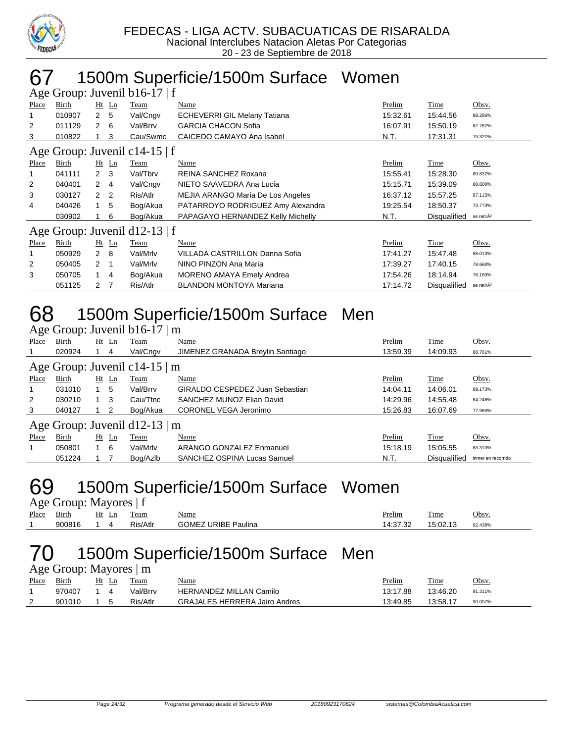

#### 67 1500m Superficie/1500m Surface Women

| Age Group: Juvenil $b16-17 \mid f$ |        |                |                |                               |                                     |          |              |                        |  |  |
|------------------------------------|--------|----------------|----------------|-------------------------------|-------------------------------------|----------|--------------|------------------------|--|--|
| Place                              | Birth  |                | $Ht$ Ln        | Team                          | Name                                | Prelim   | Time         | Obsv.                  |  |  |
|                                    | 010907 | $\mathbf{2}$   | -5             | Val/Cngv                      | <b>ECHEVERRI GIL Melany Tatiana</b> | 15:32.61 | 15:44.56     | 88.286%                |  |  |
| $\overline{2}$                     | 011129 | $\mathbf{2}$   | 6              | Val/Brrv                      | <b>GARCIA CHACON Sofia</b>          | 16:07.91 | 15:50.19     | 87.762%                |  |  |
| 3                                  | 010822 |                | 3              | Cau/Swmc                      | CAICEDO CAMAYO Ana Isabel           | N.T.     | 17:31.31     | 79.321%                |  |  |
| Age Group: Juvenil c14-15   f      |        |                |                |                               |                                     |          |              |                        |  |  |
| Place                              | Birth  |                | $Ht$ Ln        | Team                          | Name                                | Prelim   | Time         | Obsv.                  |  |  |
|                                    | 041111 | $2 \quad 3$    |                | Val/Tbrv                      | REINA SANCHEZ Roxana                | 15:55.41 | 15:28.30     | 89.832%                |  |  |
| 2                                  | 040401 | $\mathbf{2}$   | -4             | Val/Cngv                      | NIETO SAAVEDRA Ana Lucia            | 15:15.71 | 15:39.09     | 88.800%                |  |  |
| 3                                  | 030127 | $\mathcal{P}$  | $\overline{2}$ | Ris/Atlr                      | MEJIA ARANGO Maria De Los Angeles   | 16:37.12 | 15:57.25     | 87.115%                |  |  |
| 4                                  | 040426 |                | 5              | Bog/Akua                      | PATARROYO RODRIGUEZ Amy Alexandra   | 19:25.54 | 18:50.37     | 73.773%                |  |  |
|                                    | 030902 |                | 6              | Bog/Akua                      | PAPAGAYO HERNANDEZ Kelly Michelly   | N.T.     | Disqualified | se retirÃ <sup>3</sup> |  |  |
|                                    |        |                |                | Age Group: Juvenil d12-13   f |                                     |          |              |                        |  |  |
| Place                              | Birth  |                | $Ht$ Ln        | Team                          | Name                                | Prelim   | Time         | Obsv.                  |  |  |
|                                    | 050929 | $\mathbf{2}$   | -8             | Val/Mrlv                      | VILLADA CASTRILLON Danna Sofia      | 17:41.27 | 15:47.48     | 88.013%                |  |  |
| 2                                  | 050405 | $\overline{2}$ |                | Val/Mrlv                      | NINO PINZON Ana Maria               | 17:39.27 | 17:40.15     | 78.660%                |  |  |
| 3                                  | 050705 | $\mathbf{1}$   | 4              | Bog/Akua                      | <b>MORENO AMAYA Emely Andrea</b>    | 17:54.26 | 18:14.94     | 76.160%                |  |  |
|                                    | 051125 | 2              | 7              | Ris/Atlr                      | <b>BLANDON MONTOYA Mariana</b>      | 17:14.72 | Disqualified | se retirÃ <sup>3</sup> |  |  |

#### 68 1500m Superficie/1500m Surface Men

|                               | Age Group: Juvenil b16-17   m |             |              |                               |                                  |          |                     |                    |  |  |  |  |
|-------------------------------|-------------------------------|-------------|--------------|-------------------------------|----------------------------------|----------|---------------------|--------------------|--|--|--|--|
| Place                         | Birth                         |             | $Ht$ Ln      | Team                          | Name                             | Prelim   | <b>Time</b>         | Obsv.              |  |  |  |  |
|                               | 020924                        |             | 4            | Val/Cngv                      | JIMENEZ GRANADA Breylin Santiago | 13:59.39 | 14:09.93            | 88.761%            |  |  |  |  |
| Age Group: Juvenil c14-15   m |                               |             |              |                               |                                  |          |                     |                    |  |  |  |  |
| Place                         | Birth                         |             | <u>Ht Ln</u> | <u>Team</u>                   | <b>Name</b>                      | Prelim   | <b>Time</b>         | Obsv.              |  |  |  |  |
|                               | 031010                        |             | 5            | Val/Brrv                      | GIRALDO CESPEDEZ Juan Sebastian  | 14:04.11 | 14:06.01            | 89.173%            |  |  |  |  |
| 2                             | 030210                        | $1 \quad 3$ |              | Cau/Ttnc                      | SANCHEZ MUNOZ Elian David        | 14:29.96 | 14:55.48            | 84.246%            |  |  |  |  |
| 3                             | 040127                        |             | 2            | Bog/Akua                      | CORONEL VEGA Jeronimo            | 15:26.83 | 16:07.69            | 77.960%            |  |  |  |  |
|                               |                               |             |              | Age Group: Juvenil d12-13   m |                                  |          |                     |                    |  |  |  |  |
| Place                         | Birth                         |             | $Ht$ Ln      | Team                          | Name                             | Prelim   | Time                | Obsv.              |  |  |  |  |
|                               | 050801                        |             | - 6          | Val/Mrlv                      | ARANGO GONZALEZ Enmanuel         | 15:18.19 | 15:05.55            | 83.310%            |  |  |  |  |
|                               | 051224                        |             |              | Bog/Azlb                      | SANCHEZ OSPINA Lucas Samuel      | N.T.     | <b>Disqualified</b> | inmer en recorrido |  |  |  |  |

#### 69 1500m Superficie/1500m Surface Women

Age Group: Mayores | f

| --    |                 |          |          |                                      |                              |                 |         |
|-------|-----------------|----------|----------|--------------------------------------|------------------------------|-----------------|---------|
| Place | $\sim$<br>Birth | Ht<br>Ln | eam      | <u>Name</u>                          | Prelim                       | $\sim$<br>1'ıme | Obsv    |
|       | 900816          | ,,,      | Ris/Atlr | JRIBE<br>Paulina<br>′ JME.<br>ີ<br>ີ | ממידה.<br>4<br>. 7. ت<br>، ب | 5:02.13         | 92.438% |
|       |                 |          |          |                                      |                              |                 |         |

2 901010 1 5 Ris/Atlr GRAJALES HERRERA Jairo Andres 13:49.85 13:58.17 90.007%

#### 70 1500m Superficie/1500m Surface Men

|       | Age Group: Mayores   m |            |            |                                |          |          |         |
|-------|------------------------|------------|------------|--------------------------------|----------|----------|---------|
| Place | Birth                  |            | Ht Ln Team | <u>Name</u>                    | Prelim   | Time     | Obsv.   |
|       | 970407                 | $1\quad 4$ | Val/Brrv   | <b>HERNANDEZ MILLAN Camilo</b> | 13:17.88 | 13:46.20 | 91.311% |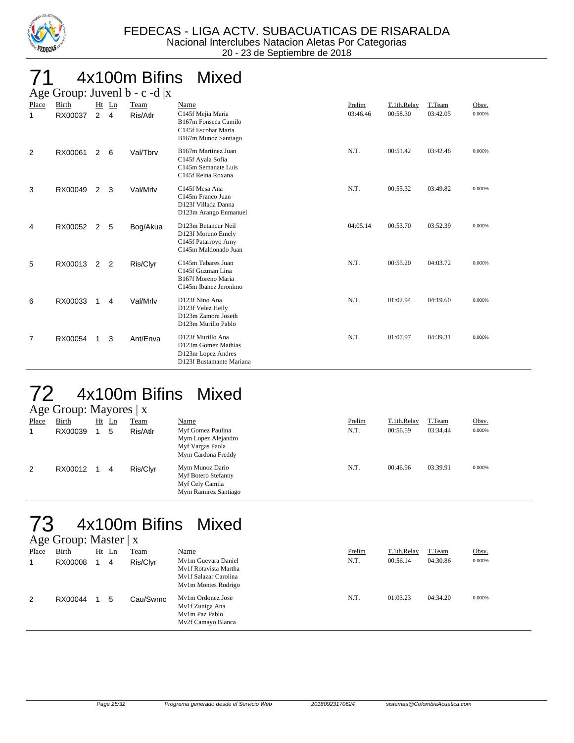

# 4x100m Bifins Mixed

|            | Age Group: Juvenl $b - c - d   x$ |                |            |                  |                                                                                                  |                    |                         |                    |                 |  |  |  |  |  |
|------------|-----------------------------------|----------------|------------|------------------|--------------------------------------------------------------------------------------------------|--------------------|-------------------------|--------------------|-----------------|--|--|--|--|--|
| Place<br>1 | <b>Birth</b><br>RX00037           | $2^{\circ}$    | Ht Ln<br>4 | Team<br>Ris/Atlr | Name<br>C145f Mejia Maria<br>B167m Fonseca Camilo<br>C145f Escobar Maria<br>B167m Munoz Santiago | Prelim<br>03:46.46 | T.1th.Relay<br>00:58.30 | T.Team<br>03:42.05 | Obsv.<br>0.000% |  |  |  |  |  |
| 2          | RX00061                           | $\overline{2}$ | 6          | Val/Tbrv         | B167m Martinez Juan<br>C145f Ayala Sofia<br>C145m Semanate Luis<br>C145f Reina Roxana            | N.T.               | 00:51.42                | 03:42.46           | 0.000%          |  |  |  |  |  |
| 3          | RX00049                           | $\overline{2}$ | 3          | Val/Mrlv         | C145f Mesa Ana<br>C145m Franco Juan<br>D123f Villada Danna<br>D123m Arango Enmanuel              | N.T.               | 00:55.32                | 03:49.82           | 0.000%          |  |  |  |  |  |
| 4          | RX00052                           | 2              | 5          | Bog/Akua         | D123m Betancur Neil<br>D123f Moreno Emely<br>C145f Patarroyo Amy<br>C145m Maldonado Juan         | 04:05.14           | 00:53.70                | 03:52.39           | 0.000%          |  |  |  |  |  |
| 5          | RX00013                           | 2              | 2          | Ris/Clyr         | C145m Tabares Juan<br>C145f Guzman Lina<br>B167f Moreno Maria<br>C145m Ibanez Jeronimo           | N.T.               | 00:55.20                | 04:03.72           | 0.000%          |  |  |  |  |  |
| 6          | RX00033                           | 1              | 4          | Val/Mrlv         | D123f Nino Ana<br>D123f Velez Heily<br>D123m Zamora Joseth<br>D123m Murillo Pablo                | N.T.               | 01:02.94                | 04:19.60           | 0.000%          |  |  |  |  |  |
| 7          | RX00054                           |                | 3          | Ant/Enva         | D123f Murillo Ana<br>D123m Gomez Mathias<br>D123m Lopez Andres<br>D123f Bustamante Mariana       | N.T.               | 01:07.97                | 04:39.31           | 0.000%          |  |  |  |  |  |

### 72 4x100m Bifins Mixed

|       | Age Group: Mayores   x |    |    |             |                                                                                    |        |             |          |        |  |
|-------|------------------------|----|----|-------------|------------------------------------------------------------------------------------|--------|-------------|----------|--------|--|
| Place | <b>Birth</b>           | Ht | Ln | <b>Team</b> | <b>Name</b>                                                                        | Prelim | T.1th.Relay | T.Team   | Obsv.  |  |
|       | RX00039                |    | 5  | Ris/Atlr    | Myf Gomez Paulina<br>Mym Lopez Alejandro<br>Myf Vargas Paola<br>Mym Cardona Freddy | N.T.   | 00:56.59    | 03:34.44 | 0.000% |  |
| 2     | RX00012                |    | 4  | Ris/Clyr    | Mym Munoz Dario<br>Myf Botero Stefanny<br>Myf Cely Camila<br>Mym Ramirez Santiago  | N.T.   | 00:46.96    | 03:39.91 | 0.000% |  |

#### 73 4x100m Bifins Mixed Age Group: Master | x

|       | $\Gamma$ gu Oroup. Mastur $\Gamma$ |    |    |             |                                                                                              |        |             |          |        |
|-------|------------------------------------|----|----|-------------|----------------------------------------------------------------------------------------------|--------|-------------|----------|--------|
| Place | Birth                              | Ht | Ln | <b>Team</b> | Name                                                                                         | Prelim | T.1th.Relay | T.Team   | Obsv.  |
|       | RX00008                            |    | 4  | Ris/Clyr    | My1m Guevara Daniel<br>My1f Rotavista Martha<br>My1f Salazar Carolina<br>My1m Montes Rodrigo | N.T.   | 00:56.14    | 04:30.86 | 0.000% |
| 2     | RX00044                            |    | 5  | Cau/Swmc    | My1m Ordonez Jose<br>My1f Zuniga Ana<br>My1m Paz Pablo<br>Mv2f Camayo Blanca                 | N.T.   | 01:03.23    | 04:34.20 | 0.000% |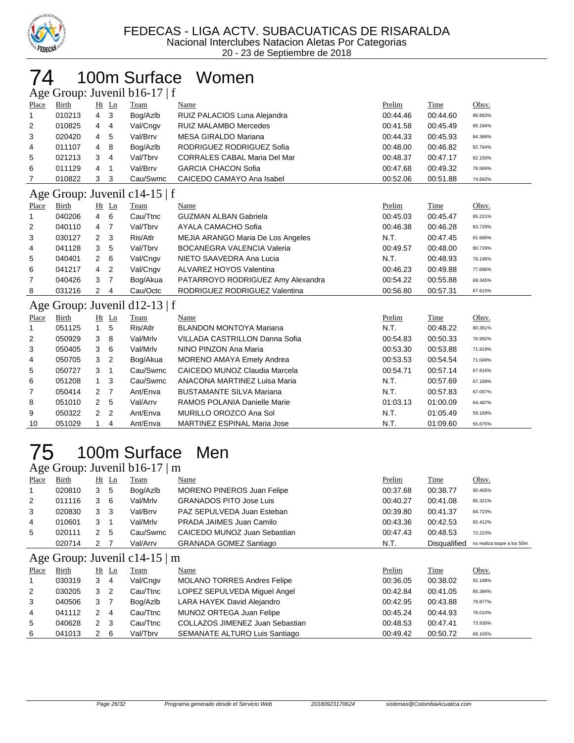

# 100m Surface Women

| Age Group: Juvenil b16-17   f<br>Prelim<br>Time<br>Obsv.<br>$Ht$ Ln<br>Place<br>Birth<br>Name<br>Team<br>3<br>RUIZ PALACIOS Luna Alejandra<br>010213<br>4<br>Bog/Azlb<br>00:44.60<br>00:44.46<br>1<br>86.883%<br><b>RUIZ MALAMBO Mercedes</b><br>2<br>010825<br>Val/Cngv<br>00:41.58<br>00:45.49<br>4<br>4<br>85.184%<br>3<br>Val/Brrv<br><b>MESA GIRALDO Mariana</b><br>00:45.93<br>020420<br>5<br>00:44.33<br>4<br>84.368%<br>RODRIGUEZ RODRIGUEZ Sofia<br>011107<br>Bog/Azlb<br>00:48.00<br>00:46.82<br>8<br>4<br>4<br>82.764%<br>021213<br>3<br>Val/Tbrv<br><b>CORRALES CABAL Maria Del Mar</b><br>00:48.37<br>00:47.17<br>5<br>4<br>82.150% |              |                |         |                               |                                          |          |             |         |  |
|--------------------------------------------------------------------------------------------------------------------------------------------------------------------------------------------------------------------------------------------------------------------------------------------------------------------------------------------------------------------------------------------------------------------------------------------------------------------------------------------------------------------------------------------------------------------------------------------------------------------------------------------------|--------------|----------------|---------|-------------------------------|------------------------------------------|----------|-------------|---------|--|
|                                                                                                                                                                                                                                                                                                                                                                                                                                                                                                                                                                                                                                                  |              |                |         |                               |                                          |          |             |         |  |
|                                                                                                                                                                                                                                                                                                                                                                                                                                                                                                                                                                                                                                                  |              |                |         |                               |                                          |          |             |         |  |
|                                                                                                                                                                                                                                                                                                                                                                                                                                                                                                                                                                                                                                                  |              |                |         |                               |                                          |          |             |         |  |
|                                                                                                                                                                                                                                                                                                                                                                                                                                                                                                                                                                                                                                                  |              |                |         |                               |                                          |          |             |         |  |
|                                                                                                                                                                                                                                                                                                                                                                                                                                                                                                                                                                                                                                                  |              |                |         |                               |                                          |          |             |         |  |
|                                                                                                                                                                                                                                                                                                                                                                                                                                                                                                                                                                                                                                                  |              |                |         |                               |                                          |          |             |         |  |
| 6                                                                                                                                                                                                                                                                                                                                                                                                                                                                                                                                                                                                                                                | 011129       | 4              | 1       | Val/Brrv                      | <b>GARCIA CHACON Sofia</b>               | 00:47.68 | 00:49.32    | 78.569% |  |
| 7                                                                                                                                                                                                                                                                                                                                                                                                                                                                                                                                                                                                                                                | 010822       | 3              | 3       | Cau/Swmc                      | CAICEDO CAMAYO Ana Isabel                | 00:52.06 | 00:51.88    | 74.692% |  |
|                                                                                                                                                                                                                                                                                                                                                                                                                                                                                                                                                                                                                                                  |              |                |         | Age Group: Juvenil c14-15   f |                                          |          |             |         |  |
| Place                                                                                                                                                                                                                                                                                                                                                                                                                                                                                                                                                                                                                                            | Birth        |                | $Ht$ Ln | Team                          | Name                                     | Prelim   | Time        | Obsv.   |  |
|                                                                                                                                                                                                                                                                                                                                                                                                                                                                                                                                                                                                                                                  | 040206       | $\overline{4}$ | 6       | Cau/Ttnc                      | <b>GUZMAN ALBAN Gabriela</b>             | 00:45.03 | 00:45.47    | 85.221% |  |
| 2                                                                                                                                                                                                                                                                                                                                                                                                                                                                                                                                                                                                                                                | 040110       | $\overline{4}$ | 7       | Val/Tbrv                      | AYALA CAMACHO Sofia                      | 00:46.38 | 00:46.28    | 83.729% |  |
| 3                                                                                                                                                                                                                                                                                                                                                                                                                                                                                                                                                                                                                                                | 030127       | 2              | 3       | Ris/Atlr                      | <b>MEJIA ARANGO Maria De Los Angeles</b> | N.T.     | 00:47.45    | 81.665% |  |
| 4                                                                                                                                                                                                                                                                                                                                                                                                                                                                                                                                                                                                                                                | 041128       | 3              | 5       | Val/Tbrv                      | <b>BOCANEGRA VALENCIA Valeria</b>        | 00:49.57 | 00:48.00    | 80.729% |  |
| 5                                                                                                                                                                                                                                                                                                                                                                                                                                                                                                                                                                                                                                                | 040401       | $\overline{2}$ | 6       | Val/Cngv                      | NIETO SAAVEDRA Ana Lucia                 | N.T.     | 00:48.93    | 79.195% |  |
| 6                                                                                                                                                                                                                                                                                                                                                                                                                                                                                                                                                                                                                                                | 041217       | 4              | 2       | Val/Cngv                      | ALVAREZ HOYOS Valentina                  | 00:46.23 | 00:49.88    | 77.686% |  |
| 7                                                                                                                                                                                                                                                                                                                                                                                                                                                                                                                                                                                                                                                | 040426       | 3              | 7       | Bog/Akua                      | PATARROYO RODRIGUEZ Amy Alexandra        | 00:54.22 | 00:55.88    | 69.345% |  |
| 8                                                                                                                                                                                                                                                                                                                                                                                                                                                                                                                                                                                                                                                | 031216       | 2              | 4       | Cau/Octc                      | RODRIGUEZ RODRIGUEZ Valentina            | 00:56.80 | 00:57.31    | 67.615% |  |
|                                                                                                                                                                                                                                                                                                                                                                                                                                                                                                                                                                                                                                                  |              |                |         | Age Group: Juvenil d12-13   f |                                          |          |             |         |  |
| Place                                                                                                                                                                                                                                                                                                                                                                                                                                                                                                                                                                                                                                            | <b>Birth</b> |                | $Ht$ Ln | Team                          | Name                                     | Prelim   | <b>Time</b> | Obsv.   |  |
|                                                                                                                                                                                                                                                                                                                                                                                                                                                                                                                                                                                                                                                  |              |                |         |                               |                                          |          |             |         |  |

| $-$ | $-$    | --- | $-$                      | $   -$   |                                    |          |          | $\sim$  |
|-----|--------|-----|--------------------------|----------|------------------------------------|----------|----------|---------|
| -1  | 051125 |     | 5                        | Ris/Atlr | <b>BLANDON MONTOYA Mariana</b>     | N.T.     | 00:48.22 | 80.361% |
| 2   | 050929 | 3   | 8                        | Val/Mrlv | VILLADA CASTRILLON Danna Sofia     | 00:54.83 | 00:50.33 | 76.992% |
| 3   | 050405 | 3   | - 6                      | Val/Mrlv | NINO PINZON Ana Maria              | 00:53.30 | 00:53.88 | 71.919% |
| 4   | 050705 | 3   | $\overline{\phantom{a}}$ | Bog/Akua | MORENO AMAYA Emely Andrea          | 00:53.53 | 00:54.54 | 71.049% |
| 5   | 050727 | 3   |                          | Cau/Swmc | CAICEDO MUNOZ Claudia Marcela      | 00:54.71 | 00:57.14 | 67.816% |
| 6   | 051208 |     | - 3                      | Cau/Swmc | ANACONA MARTINEZ Luisa Maria       | N.T.     | 00:57.69 | 67.169% |
| 7   | 050414 | 2 7 |                          | Ant/Enva | <b>BUSTAMANTE SILVA Mariana</b>    | N.T.     | 00:57.83 | 67.007% |
| 8   | 051010 | 2   | - 5                      | Val/Arrv | RAMOS POLANIA Danielle Marie       | 01:03.13 | 01:00.09 | 64.487% |
| 9   | 050322 | 2   | $\overline{2}$           | Ant/Enva | MURILLO OROZCO Ana Sol             | N.T.     | 01:05.49 | 59.169% |
| 10  | 051029 |     | 4                        | Ant/Enva | <b>MARTINEZ ESPINAL Maria Jose</b> | N.T.     | 01:09.60 | 55.675% |

# 100m Surface Men

Age Group: Juvenil b16-17 | m

| ັ              |        |                |                |                                    |                                    |          |                     |                            |
|----------------|--------|----------------|----------------|------------------------------------|------------------------------------|----------|---------------------|----------------------------|
| Place          | Birth  | Ht             | Ln             | Team                               | Name                               | Prelim   | Time                | Obsv.                      |
|                | 020810 | 3              | -5             | Bog/Azlb                           | <b>MORENO PINEROS Juan Felipe</b>  | 00:37.68 | 00:38.77            | 90.405%                    |
| 2              | 011116 | 3              | - 6            | Val/Mrlv                           | <b>GRANADOS PITO Jose Luis</b>     | 00:40.27 | 00:41.08            | 85.321%                    |
| 3              | 020830 | 3              | -3             | Val/Brrv                           | PAZ SEPULVEDA Juan Esteban         | 00:39.80 | 00:41.37            | 84.723%                    |
| 4              | 010601 | 3              |                | Val/Mrlv                           | PRADA JAIMES Juan Camilo           | 00:43.36 | 00:42.53            | 82.412%                    |
| 5              | 020111 | $\overline{2}$ | 5              | Cau/Swmc                           | CAICEDO MUNOZ Juan Sebastian       | 00:47.43 | 00:48.53            | 72.223%                    |
|                | 020714 | 2              |                | Val/Arrv                           | <b>GRANADA GOMEZ Santiago</b>      | N.T.     | <b>Disqualified</b> | no realiza toque a los 50m |
|                |        |                |                | Age Group: Juvenil c14-15 $\mid$ m |                                    |          |                     |                            |
| Place          | Birth  |                | $Ht$ Ln        | Team                               | Name                               | Prelim   | Time                | Obsv.                      |
|                | 030319 | $3 \quad 4$    |                | Val/Cngv                           | <b>MOLANO TORRES Andres Felipe</b> | 00:36.05 | 00:38.02            | 92.188%                    |
| $\overline{2}$ | 030205 | 3              | $\overline{2}$ | Cau/Ttnc                           | LOPEZ SEPULVEDA Miguel Angel       | 00:42.84 | 00:41.05            | 85.384%                    |
| 3              | 040506 | 3 <sub>7</sub> |                | Bog/Azlb                           | LARA HAYEK David Alejandro         | 00:42.95 | 00:43.88            | 79.877%                    |
| 4              | 041112 | 2              | 4              | Cau/Ttnc                           | MUNOZ ORTEGA Juan Felipe           | 00:45.24 | 00:44.93            | 78.010%                    |
| 5              | 040628 | 2              | 3              | Cau/Ttnc                           | COLLAZOS JIMENEZ Juan Sebastian    | 00:48.53 | 00:47.41            | 73.930%                    |

041013 2 6 Val/Tbrv SEMANATE ALTURO Luis Santiago 00:49.42 00:50.72 69.105%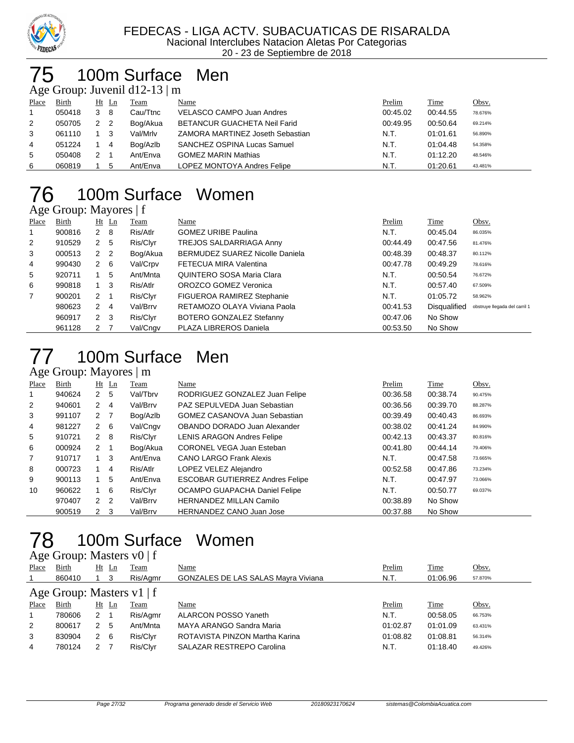

### 100m Surface Men

Age Group: Juvenil d12-13 | m

| Place | Birth  |   | Ht Ln          | Team     | Name                             | Prelim   | Time     | <u>Obsv.</u> |
|-------|--------|---|----------------|----------|----------------------------------|----------|----------|--------------|
|       | 050418 | 3 | 8              | Cau/Ttnc | VELASCO CAMPO Juan Andres        | 00:45.02 | 00:44.55 | 78.676%      |
| 2     | 050705 |   | $\overline{2}$ | Bog/Akua | BETANCUR GUACHETA Neil Farid     | 00:49.95 | 00:50.64 | 69.214%      |
| 3     | 061110 |   |                | Val/Mrlv | ZAMORA MARTINEZ Joseth Sebastian | N.T.     | 01:01.61 | 56.890%      |
| 4     | 051224 |   | 4              | Bog/Azlb | SANCHEZ OSPINA Lucas Samuel      | N.T.     | 01:04.48 | 54.358%      |
| 5     | 050408 |   |                | Ant/Enva | <b>GOMEZ MARIN Mathias</b>       | N.T.     | 01:12.20 | 48.546%      |
| 6     | 060819 |   | 5              | Ant/Enva | LOPEZ MONTOYA Andres Felipe      | N.T.     | 01:20.61 | 43.481%      |

### 100m Surface Women

#### Age Group: Mayores | f

| Place          | Birth  | $Ht$ Ln             | <u>Team</u> | Name                                   | Prelim   | <b>Time</b>         | Obsv.                         |
|----------------|--------|---------------------|-------------|----------------------------------------|----------|---------------------|-------------------------------|
| 1              | 900816 | $2 \quad 8$         | Ris/Atlr    | <b>GOMEZ URIBE Paulina</b>             | N.T.     | 00:45.04            | 86.035%                       |
| 2              | 910529 | 2 <sub>5</sub>      | Ris/Clyr    | TREJOS SALDARRIAGA Anny                | 00:44.49 | 00:47.56            | 81.476%                       |
| 3              | 000513 | 2 2                 | Bog/Akua    | <b>BERMUDEZ SUAREZ Nicolle Daniela</b> | 00:48.39 | 00:48.37            | 80.112%                       |
| 4              | 990430 | $2\quad 6$          | Val/Crpv    | FETECUA MIRA Valentina                 | 00:47.78 | 00:49.29            | 78.616%                       |
| 5              | 920711 | 5                   | Ant/Mnta    | QUINTERO SOSA Maria Clara              | N.T.     | 00:50.54            | 76.672%                       |
| 6              | 990818 | $1 \quad 3$         | Ris/Atlr    | OROZCO GOMEZ Veronica                  | N.T.     | 00:57.40            | 67.509%                       |
| $\overline{7}$ | 900201 | $2 \quad 1$         | Ris/Clyr    | FIGUEROA RAMIREZ Stephanie             | N.T.     | 01:05.72            | 58.962%                       |
|                | 980623 | 2<br>$\overline{4}$ | Val/Brrv    | RETAMOZO OLAYA Viviana Paola           | 00:41.53 | <b>Disqualified</b> | obstruye llegada del carril 1 |
|                | 960917 | $2 \quad 3$         | Ris/Clyr    | BOTERO GONZALEZ Stefanny               | 00:47.06 | No Show             |                               |
|                | 961128 | 2                   | Val/Cngv    | PLAZA LIBREROS Daniela                 | 00:53.50 | No Show             |                               |

#### 100m Surface Men Age Group: Mayores | m

|                | $1.5$ Oroup. $1.4$ $1.4$ Oros $1.4$ |                  |                |          |                                        |          |          |         |
|----------------|-------------------------------------|------------------|----------------|----------|----------------------------------------|----------|----------|---------|
| Place          | <b>Birth</b>                        |                  | $Ht$ Ln        | Team     | Name                                   | Prelim   | Time     | Obsv.   |
|                | 940624                              | 2 <sub>5</sub>   |                | Val/Tbrv | RODRIGUEZ GONZALEZ Juan Felipe         | 00:36.58 | 00:38.74 | 90.475% |
| 2              | 940601                              | $\mathbf{2}$     | -4             | Val/Brrv | PAZ SEPULVEDA Juan Sebastian           | 00:36.56 | 00:39.70 | 88.287% |
| 3              | 991107                              | $2 \overline{7}$ |                | Bog/Azlb | <b>GOMEZ CASANOVA Juan Sebastian</b>   | 00:39.49 | 00:40.43 | 86.693% |
| 4              | 981227                              | $2\quad 6$       |                | Val/Cngv | OBANDO DORADO Juan Alexander           | 00:38.02 | 00:41.24 | 84.990% |
| 5              | 910721                              | $2 \quad 8$      |                | Ris/Clyr | <b>LENIS ARAGON Andres Felipe</b>      | 00:42.13 | 00:43.37 | 80.816% |
| 6              | 000924                              | $2 \quad 1$      |                | Bog/Akua | <b>CORONEL VEGA Juan Esteban</b>       | 00:41.80 | 00:44.14 | 79.406% |
| $\overline{7}$ | 910717                              |                  | -3             | Ant/Enva | <b>CANO LARGO Frank Alexis</b>         | N.T.     | 00:47.58 | 73.665% |
| 8              | 000723                              |                  | $\overline{4}$ | Ris/Atlr | LOPEZ VELEZ Alejandro                  | 00:52.58 | 00:47.86 | 73.234% |
| 9              | 900113                              |                  | 5              | Ant/Enva | <b>ESCOBAR GUTIERREZ Andres Felipe</b> | N.T.     | 00:47.97 | 73.066% |
| 10             | 960622                              | $1\quad 6$       |                | Ris/Clyr | OCAMPO GUAPACHA Daniel Felipe          | N.T.     | 00:50.77 | 69.037% |
|                | 970407                              | 2                | -2             | Val/Brrv | <b>HERNANDEZ MILLAN Camilo</b>         | 00:38.89 | No Show  |         |
|                | 900519                              | $2 \quad 3$      |                | Val/Brrv | <b>HERNANDEZ CANO Juan Jose</b>        | 00:37.88 | No Show  |         |

# 100m Surface Women

| Age Group: Masters $v0 \mid f$ |        |              |         |             |                                            |          |          |         |  |  |
|--------------------------------|--------|--------------|---------|-------------|--------------------------------------------|----------|----------|---------|--|--|
| Place                          | Birth  |              | $Ht$ Ln | <b>Team</b> | Name                                       | Prelim   | Time     | Obsv.   |  |  |
|                                | 860410 |              | -3      | Ris/Agmr    | <b>GONZALES DE LAS SALAS Mayra Viviana</b> | N.T.     | 01:06.96 | 57.870% |  |  |
| Age Group: Masters $v1$   f    |        |              |         |             |                                            |          |          |         |  |  |
| Place                          | Birth  |              | $Ht$ Ln | Team        | Name                                       | Prelim   | Time     | Obsv.   |  |  |
|                                | 780606 | $\mathbf{2}$ |         | Ris/Agmr    | <b>ALARCON POSSO Yaneth</b>                | N.T.     | 00:58.05 | 66.753% |  |  |
| 2                              | 800617 | 2            | -5      | Ant/Mnta    | MAYA ARANGO Sandra Maria                   | 01:02.87 | 01:01.09 | 63.431% |  |  |
| 3                              | 830904 | 2            | - 6     | Ris/Clyr    | ROTAVISTA PINZON Martha Karina             | 01:08.82 | 01:08.81 | 56.314% |  |  |
| 4                              | 780124 | 2            |         | Ris/Clyr    | <b>SALAZAR RESTREPO Carolina</b>           | N.T.     | 01:18.40 | 49.426% |  |  |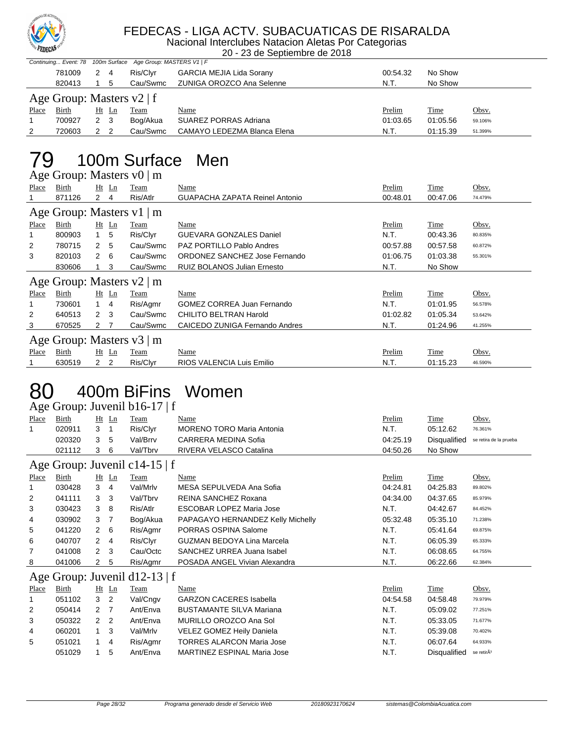

#### FEDECAS - LIGA ACTV. SUBACUATICAS DE RISARALDA

Nacional Interclubes Natacion Aletas Por Categorias 20 - 23 de Septiembre de 2018

| Continuing Event: 78 100m Surface Age Group: MASTERS V1   F<br><b>GARCIA MEJIA Lida Sorany</b><br>Ris/Clvr<br>2<br>00:54.32<br>No Show<br>781009<br>4<br>ZUNIGA OROZCO Ana Selenne<br>No Show<br>Cau/Swmc<br>820413<br>N.T.<br>Age Group: Masters $v2 \mid f$<br>Time<br>Birth<br>Ht Ln<br>Prelim<br><u>Obsv.</u><br>Team<br>Name<br>SUAREZ PORRAS Adriana<br>01:03.65<br>01:05.56<br>Bog/Akua<br>700927<br>2 3<br>59.106% |        |   |   |          |                             |      |          |         |  |  |
|----------------------------------------------------------------------------------------------------------------------------------------------------------------------------------------------------------------------------------------------------------------------------------------------------------------------------------------------------------------------------------------------------------------------------|--------|---|---|----------|-----------------------------|------|----------|---------|--|--|
|                                                                                                                                                                                                                                                                                                                                                                                                                            |        |   |   |          |                             |      |          |         |  |  |
|                                                                                                                                                                                                                                                                                                                                                                                                                            |        |   |   |          |                             |      |          |         |  |  |
|                                                                                                                                                                                                                                                                                                                                                                                                                            |        |   |   |          |                             |      |          |         |  |  |
| Place                                                                                                                                                                                                                                                                                                                                                                                                                      |        |   |   |          |                             |      |          |         |  |  |
|                                                                                                                                                                                                                                                                                                                                                                                                                            |        |   |   |          |                             |      |          |         |  |  |
| 2                                                                                                                                                                                                                                                                                                                                                                                                                          | 720603 | 2 | 2 | Cau/Swmc | CAMAYO LEDEZMA Blanca Elena | N.T. | 01:15.39 | 51.399% |  |  |

# 79 100m Surface Men

|              | Age Group: Masters v0   m |                      |                |             |                                    |          |          |         |  |  |
|--------------|---------------------------|----------------------|----------------|-------------|------------------------------------|----------|----------|---------|--|--|
| Place        | Birth                     |                      | $Ht$ Ln        | Team        | Name                               | Prelim   | Time     | Obsv.   |  |  |
|              | 871126                    | $\overline{2}$       | 4              | Ris/Atlr    | GUAPACHA ZAPATA Reinel Antonio     | 00:48.01 | 00:47.06 | 74.479% |  |  |
|              | Age Group: Masters v1   m |                      |                |             |                                    |          |          |         |  |  |
| Place        | Birth                     |                      | $Ht$ Ln        | Team        | Name                               | Prelim   | Time     | Obsv.   |  |  |
| 1            | 800903                    | $1 \quad$            | -5             | Ris/Clyr    | <b>GUEVARA GONZALES Daniel</b>     | N.T.     | 00:43.36 | 80.835% |  |  |
| 2            | 780715                    | $\overline{2}$       | -5             | Cau/Swmc    | <b>PAZ PORTILLO Pablo Andres</b>   | 00:57.88 | 00:57.58 | 60.872% |  |  |
| 3            | 820103                    | $\overline{2}$       | - 6            | Cau/Swmc    | ORDONEZ SANCHEZ Jose Fernando      | 01:06.75 | 01:03.38 | 55.301% |  |  |
|              | 830606                    |                      | 3              | Cau/Swmc    | <b>RUIZ BOLANOS Julian Ernesto</b> | N.T.     | No Show  |         |  |  |
|              | Age Group: Masters v2   m |                      |                |             |                                    |          |          |         |  |  |
| <b>Place</b> | Birth                     |                      | $Ht$ Ln        | <b>Team</b> | Name                               | Prelim   | Time     | Obsv.   |  |  |
| 1            | 730601                    | $1 \quad 4$          |                | Ris/Agmr    | <b>GOMEZ CORREA Juan Fernando</b>  | N.T.     | 01:01.95 | 56.578% |  |  |
| 2            | 640513                    | $2 \quad 3$          |                | Cau/Swmc    | CHILITO BELTRAN Harold             | 01:02.82 | 01:05.34 | 53.642% |  |  |
| 3            | 670525                    | $\mathbf{2}$         | $\overline{7}$ | Cau/Swmc    | CAICEDO ZUNIGA Fernando Andres     | N.T.     | 01:24.96 | 41.255% |  |  |
|              | Age Group: Masters v3   m |                      |                |             |                                    |          |          |         |  |  |
| Place        | Birth                     |                      | $Ht$ Ln        | Team        | Name                               | Prelim   | Time     | Obsv.   |  |  |
|              | 630519                    | $\mathbf{2}^{\circ}$ | $\overline{2}$ | Ris/Clyr    | RIOS VALENCIA Luis Emilio          | N.T.     | 01:15.23 | 46.590% |  |  |

### 80 400m BiFins Women

Age Group: Juvenil b16-17 | f

| ັ                             |              |                |                |                               |                                    |          |              |                        |  |
|-------------------------------|--------------|----------------|----------------|-------------------------------|------------------------------------|----------|--------------|------------------------|--|
| Place                         | Birth        | Ht             | Ln             | Team                          | Name                               | Prelim   | Time         | Obsv.                  |  |
| 1                             | 020911       | 3              | -1             | Ris/Clyr                      | <b>MORENO TORO Maria Antonia</b>   | N.T.     | 05:12.62     | 76.361%                |  |
|                               | 020320       | 3              | 5              | Val/Brrv                      | CARRERA MEDINA Sofia               | 04:25.19 | Disqualified | se retira de la prueba |  |
|                               | 021112       | 3              | 6              | Val/Tbrv                      | RIVERA VELASCO Catalina            | 04:50.26 | No Show      |                        |  |
| Age Group: Juvenil c14-15   f |              |                |                |                               |                                    |          |              |                        |  |
| Place                         | Birth        |                | $Ht$ Ln        | Team                          | Name                               | Prelim   | Time         | Obsv.                  |  |
| 1                             | 030428       | 3              | 4              | Val/Mrlv                      | MESA SEPULVEDA Ana Sofia           | 04:24.81 | 04:25.83     | 89.802%                |  |
| 2                             | 041111       | 3              | 3              | Val/Tbrv                      | REINA SANCHEZ Roxana               | 04:34.00 | 04:37.65     | 85.979%                |  |
| 3                             | 030423       | $3 \quad 8$    |                | Ris/Atlr                      | <b>ESCOBAR LOPEZ Maria Jose</b>    | N.T.     | 04:42.67     | 84.452%                |  |
| 4                             | 030902       | 3              | - 7            | Bog/Akua                      | PAPAGAYO HERNANDEZ Kelly Michelly  | 05:32.48 | 05:35.10     | 71.238%                |  |
| 5                             | 041220       | $\overline{2}$ | 6              | Ris/Agmr                      | PORRAS OSPINA Salome               | N.T.     | 05:41.64     | 69.875%                |  |
| 6                             | 040707       | $\overline{2}$ | 4              | Ris/Clyr                      | <b>GUZMAN BEDOYA Lina Marcela</b>  | N.T.     | 06:05.39     | 65.333%                |  |
| 7                             | 041008       | $\overline{2}$ | 3              | Cau/Octc                      | SANCHEZ URREA Juana Isabel         | N.T.     | 06:08.65     | 64.755%                |  |
| 8                             | 041006       | 2              | 5              | Ris/Agmr                      | POSADA ANGEL Vivian Alexandra      | N.T.     | 06:22.66     | 62.384%                |  |
|                               |              |                |                | Age Group: Juvenil d12-13   f |                                    |          |              |                        |  |
| Place                         | <b>Birth</b> |                | $Ht$ Ln        | <b>Team</b>                   | Name                               | Prelim   | <b>Time</b>  | Obsv.                  |  |
| 1                             | 051102       | 3              | $\overline{2}$ | Val/Cngv                      | <b>GARZON CACERES Isabella</b>     | 04:54.58 | 04:58.48     | 79.979%                |  |
| $\overline{2}$                | 050414       | $\overline{2}$ | 7              | Ant/Enva                      | <b>BUSTAMANTE SILVA Mariana</b>    | N.T.     | 05:09.02     | 77.251%                |  |
| 3                             | 050322       | 2              | $\overline{2}$ | Ant/Enva                      | MURILLO OROZCO Ana Sol             | N.T.     | 05:33.05     | 71.677%                |  |
| 4                             | 060201       | $\mathbf{1}$   | 3              | Val/Mrlv                      | VELEZ GOMEZ Heily Daniela          | N.T.     | 05:39.08     | 70.402%                |  |
| 5                             | 051021       | 1.             | $\overline{4}$ | Ris/Agmr                      | <b>TORRES ALARCON Maria Jose</b>   | N.T.     | 06:07.64     | 64.933%                |  |
|                               | 051029       | 1.             | 5              | Ant/Enva                      | <b>MARTINEZ ESPINAL Maria Jose</b> | N.T.     | Disqualified | se retirÃ <sup>3</sup> |  |
|                               |              |                |                |                               |                                    |          |              |                        |  |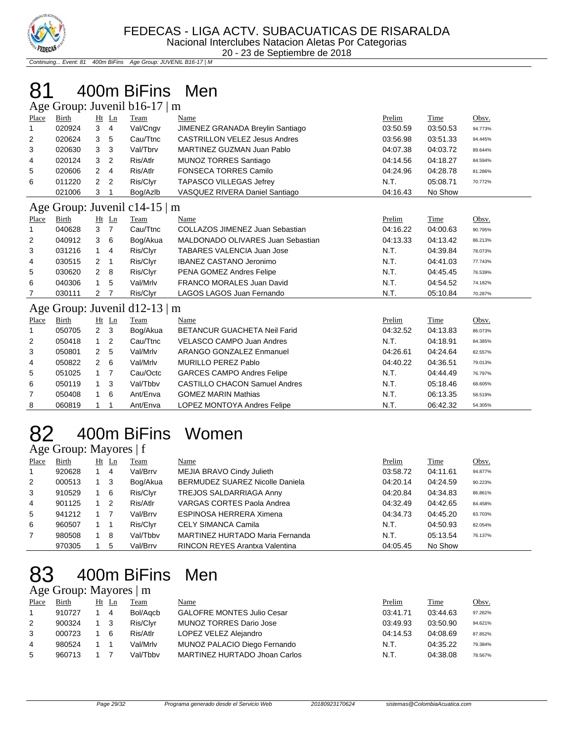

Continuing... Event: 81 400m BiFins Age Group: JUVENIL B16-17 | M

# 81 400m BiFins Men

| Age Group: Juvenil b16-17   m |              |                |                |                                |                                      |             |          |         |
|-------------------------------|--------------|----------------|----------------|--------------------------------|--------------------------------------|-------------|----------|---------|
| Place                         | Birth        |                | Ht Ln          | Team                           | Name                                 | <b>Time</b> | Obsv.    |         |
| 1                             | 020924       | 3              | $\overline{4}$ | Val/Cngv                       | JIMENEZ GRANADA Breylin Santiago     | 03:50.59    | 03:50.53 | 94.773% |
| 2                             | 020624       | 3              | 5              | Cau/Ttnc                       | <b>CASTRILLON VELEZ Jesus Andres</b> | 03:56.98    | 03:51.33 | 94.445% |
| 3                             | 020630       | 3              | 3              | Val/Tbrv                       | <b>MARTINEZ GUZMAN Juan Pablo</b>    | 04:07.38    | 04:03.72 | 89.644% |
| 4                             | 020124       | 3              | $\overline{2}$ | Ris/Atlr                       | <b>MUNOZ TORRES Santiago</b>         | 04:14.56    | 04:18.27 | 84.594% |
| 5                             | 020606       | 2              | 4              | Ris/Atlr                       | <b>FONSECA TORRES Camilo</b>         | 04:24.96    | 04:28.78 | 81.286% |
| 6                             | 011220       | 2              | $\overline{2}$ | Ris/Clyr                       | <b>TAPASCO VILLEGAS Jefrey</b>       | N.T.        | 05:08.71 | 70.772% |
|                               | 021006       | 3              | 1              | Bog/Azlb                       | VASQUEZ RIVERA Daniel Santiago       | 04:16.43    | No Show  |         |
|                               |              |                |                | Age Group: Juvenil c14-15   m  |                                      |             |          |         |
| Place                         | Birth        |                | $Ht$ Ln        | Team                           | Name                                 | Prelim      | Time     | Obsv.   |
|                               | 040628       | 3              | 7              | Cau/Ttnc                       | COLLAZOS JIMENEZ Juan Sebastian      | 04:16.22    | 04:00.63 | 90.795% |
| 2                             | 040912       | 3              | 6              | Bog/Akua                       | MALDONADO OLIVARES Juan Sebastian    | 04:13.33    | 04:13.42 | 86.213% |
| 3                             | 031216       | $\mathbf{1}$   | 4              | Ris/Clyr                       | <b>TABARES VALENCIA Juan Jose</b>    | N.T.        | 04:39.84 | 78.073% |
| 4                             | 030515       | 2              | -1             | Ris/Clyr                       | <b>IBANEZ CASTANO Jeronimo</b>       | N.T.        | 04:41.03 | 77.743% |
| 5                             | 030620       | $\overline{2}$ | 8              | Ris/Clyr                       | PENA GOMEZ Andres Felipe             | N.T.        | 04:45.45 | 76.539% |
| 6                             | 040306       | 1              | 5              | Val/Mrlv                       | <b>FRANCO MORALES Juan David</b>     | N.T.        | 04:54.52 | 74.182% |
| 7                             | 030111       | $\overline{2}$ | 7              | Ris/Clyr                       | LAGOS LAGOS Juan Fernando            | N.T.        | 05:10.84 | 70.287% |
| Age                           |              |                |                | Group: Juvenil $d12-13 \mid m$ |                                      |             |          |         |
| Place                         | <b>Birth</b> |                | $Ht$ Ln        | Team                           | Name                                 | Prelim      | Time     | Obsv.   |
| 1                             | 050705       | 2              | 3              | Bog/Akua                       | <b>BETANCUR GUACHETA Neil Farid</b>  | 04:32.52    | 04:13.83 | 86.073% |
| 2                             | 050418       | $\mathbf{1}$   | 2              | Cau/Ttnc                       | <b>VELASCO CAMPO Juan Andres</b>     | N.T.        | 04:18.91 | 84.385% |
| 3                             | 050801       | 2              | 5              | Val/Mrlv                       | <b>ARANGO GONZALEZ Enmanuel</b>      | 04:26.61    | 04:24.64 | 82.557% |
| 4                             | 050822       | $\overline{2}$ | 6              | Val/Mrlv                       | <b>MURILLO PEREZ Pablo</b>           | 04:40.22    | 04:36.51 | 79.013% |
| 5                             | 051025       | 1              | 7              | Cau/Octc                       | <b>GARCES CAMPO Andres Felipe</b>    | N.T.        | 04:44.49 | 76.797% |
| 6                             | 050119       | 1              | 3              | Val/Tbbv                       | <b>CASTILLO CHACON Samuel Andres</b> | N.T.        | 05:18.46 | 68.605% |
| 7                             | 050408       | 1              | 6              | Ant/Enva                       | <b>GOMEZ MARIN Mathias</b>           | N.T.        | 06:13.35 | 58.519% |
| 8                             | 060819       | 1              | 1              | Ant/Enva                       | <b>LOPEZ MONTOYA Andres Felipe</b>   | N.T.        | 06:42.32 | 54.305% |

#### 400m BiFins Women Age Group: Mayores | f

| Place          | Birth  | $Ht$ Ln | Team     | Name                                   | Prelim   | Time     | Obsv.   |
|----------------|--------|---------|----------|----------------------------------------|----------|----------|---------|
|                | 920628 | 4       | Val/Brrv | MEJIA BRAVO Cindy Julieth              | 03:58.72 | 04:11.61 | 94.877% |
| 2              | 000513 | -3      | Bog/Akua | <b>BERMUDEZ SUAREZ Nicolle Daniela</b> | 04:20.14 | 04:24.59 | 90.223% |
| 3              | 910529 | 6       | Ris/Clyr | TREJOS SALDARRIAGA Anny                | 04:20.84 | 04:34.83 | 86.861% |
| $\overline{4}$ | 901125 | -2      | Ris/Atlr | <b>VARGAS CORTES Paola Andrea</b>      | 04:32.49 | 04:42.65 | 84.458% |
| 5              | 941212 |         | Val/Brrv | <b>ESPINOSA HERRERA Ximena</b>         | 04:34.73 | 04:45.20 | 83.703% |
| 6              | 960507 |         | Ris/Clyr | <b>CELY SIMANCA Camila</b>             | N.T.     | 04:50.93 | 82.054% |
| $\overline{7}$ | 980508 | 8       | Val/Tbby | MARTINEZ HURTADO Maria Fernanda        | N.T.     | 05:13.54 | 76.137% |
|                | 970305 | 5       | Val/Brrv | RINCON REYES Arantxa Valentina         | 04:05.45 | No Show  |         |

#### 400m BiFins Men Age Group: Mayores | m

| Place | Birth  | Ht Ln |   | Team     | Name                              | Prelim   | <b>Time</b> | Obsv.   |
|-------|--------|-------|---|----------|-----------------------------------|----------|-------------|---------|
|       | 910727 |       | 4 | Bol/Aacb | <b>GALOFRE MONTES Julio Cesar</b> | 03:41.71 | 03:44.63    | 97.262% |
| 2     | 900324 |       |   | Ris/Clvr | <b>MUNOZ TORRES Dario Jose</b>    | 03:49.93 | 03:50.90    | 94.621% |
| 3     | 000723 |       | 6 | Ris/Atlr | LOPEZ VELEZ Alejandro             | 04:14.53 | 04:08.69    | 87.852% |
| 4     | 980524 |       |   | Val/Mrlv | MUNOZ PALACIO Diego Fernando      | N.T.     | 04:35.22    | 79.384% |
| 5     | 960713 |       |   | Val/Tbbv | MARTINEZ HURTADO Jhoan Carlos     | N.T.     | 04:38.08    | 78.567% |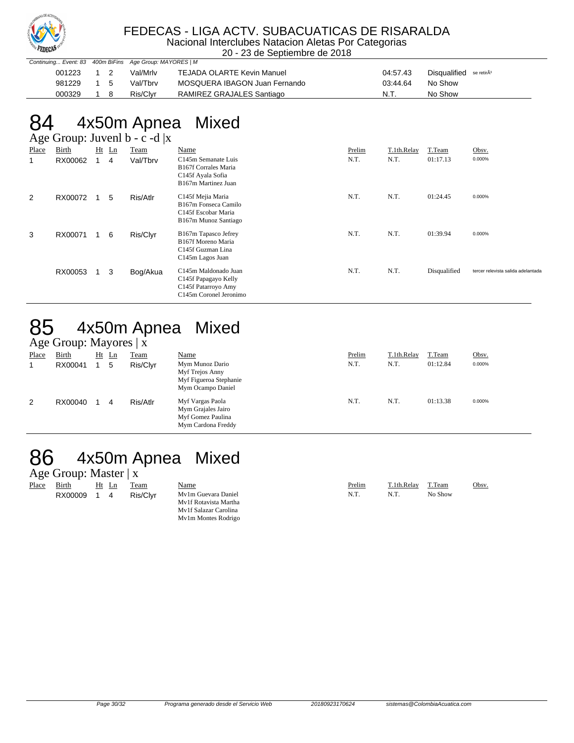

#### FEDECAS - LIGA ACTV. SUBACUATICAS DE RISARALDA

Nacional Interclubes Natacion Aletas Por Categorias 20 - 23 de Septiembre de 2018

| Continuing Event: 83 400m BiFins Age Group: MAYORES   M |           |          |                               |          |                                     |
|---------------------------------------------------------|-----------|----------|-------------------------------|----------|-------------------------------------|
| 001223                                                  |           | Val/Mrlv | TEJADA OLARTE Kevin Manuel    | 04:57.43 | Disqualified se retirÃ <sup>3</sup> |
| 981229                                                  | $1\quad5$ | Val/Tbrv | MOSQUERA IBAGON Juan Fernando | 03:44.64 | No Show                             |
| 000329                                                  |           | Ris/Clvr | RAMIREZ GRAJALES Santiago     | N.T      | No Show                             |

# 84 4x50m Apnea Mixed

|       | Age Group: Juvenl $b - c - d  x $ |    |         |          |                                                                                                             |        |             |              |                                    |  |  |
|-------|-----------------------------------|----|---------|----------|-------------------------------------------------------------------------------------------------------------|--------|-------------|--------------|------------------------------------|--|--|
| Place | Birth                             |    | $Ht$ Ln | Team     | Name                                                                                                        | Prelim | T.1th.Relay | T.Team       | Obsv.                              |  |  |
| -1    | RX00062                           | 1. | 4       | Val/Tbrv | C <sub>145</sub> m Semanate Luis<br><b>B167f Corrales Maria</b><br>C145f Ayala Sofia<br>B167m Martinez Juan | N.T.   | N.T.        | 01:17.13     | 0.000%                             |  |  |
| 2     | RX00072                           |    | 5       | Ris/Atlr | C145f Mejia Maria<br>B167m Fonseca Camilo<br>C145f Escobar Maria<br>B167m Munoz Santiago                    | N.T.   | N.T.        | 01:24.45     | 0.000%                             |  |  |
| 3     | RX00071                           |    | 6       | Ris/Clyr | B167m Tapasco Jefrey<br>B167f Moreno Maria<br>C145f Guzman Lina<br>C <sub>145</sub> m Lagos Juan            | N.T.   | N.T.        | 01:39.94     | 0.000%                             |  |  |
|       | RX00053                           |    | 3       | Bog/Akua | C145m Maldonado Juan<br>C145f Papagayo Kelly<br>C145f Patarroyo Amy<br>C145m Coronel Jeronimo               | N.T.   | N.T.        | Disqualified | tercer relevista salida adelantada |  |  |

# 85 4x50m Apnea Mixed

|              | Age Group: Mayores $ x $ |    |    |             |                                                                                   |        |             |          |        |  |
|--------------|--------------------------|----|----|-------------|-----------------------------------------------------------------------------------|--------|-------------|----------|--------|--|
| <b>Place</b> | <b>Birth</b>             | Ht | Ln | <u>Team</u> | Name                                                                              | Prelim | T.1th.Relay | T.Team   | Obsv.  |  |
|              | RX00041                  |    | 5  | Ris/Clyr    | Mym Munoz Dario<br>Myf Trejos Anny<br>Myf Figueroa Stephanie<br>Mym Ocampo Daniel | N.T.   | N.T.        | 01:12.84 | 0.000% |  |
| 2            | RX00040                  |    | 4  | Ris/Atlr    | Myf Vargas Paola<br>Mym Grajales Jairo<br>Myf Gomez Paulina<br>Mym Cardona Freddy | N.T.   | N.T.        | 01:13.38 | 0.000% |  |

#### 86 4x50m Apnea Mixed

#### Age Group: Master | x

| -     |         |    |    |          |                       |        |             |         |       |
|-------|---------|----|----|----------|-----------------------|--------|-------------|---------|-------|
| Place | Birth   | Ht | Ln | Team     | Name                  | Prelim | T.1th.Relav | T.Team  | Obsv. |
|       | RX00009 |    | 4  | Ris/Clvr | My1m Guevara Daniel   | N.T.   | N.T.        | No Show |       |
|       |         |    |    |          | My1f Rotavista Martha |        |             |         |       |
|       |         |    |    |          | My1f Salazar Carolina |        |             |         |       |
|       |         |    |    |          | My1m Montes Rodrigo   |        |             |         |       |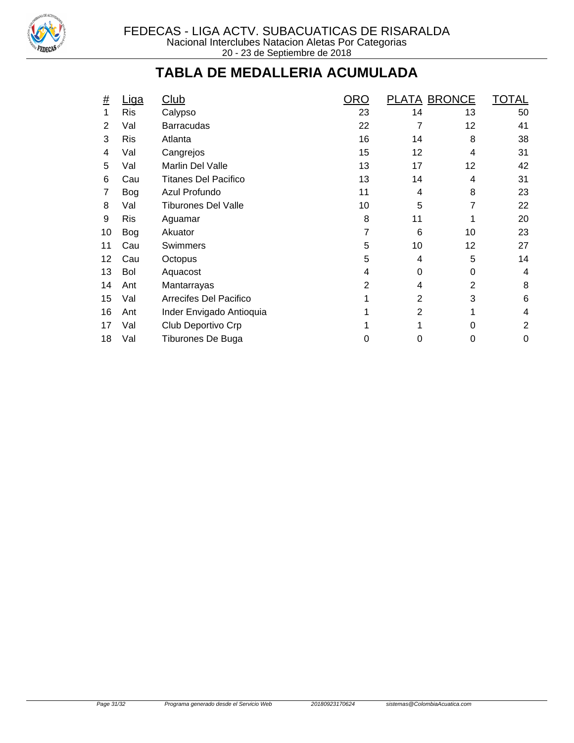

#### **TABLA DE MEDALLERIA ACUMULADA**

| <u>#</u> | Liga       | Club                        | <b>ORO</b>     | <b>PLATA BRONCE</b> |    | <b>TOTAL</b>   |
|----------|------------|-----------------------------|----------------|---------------------|----|----------------|
| 1        | <b>Ris</b> | Calypso                     | 23             | 14                  | 13 | 50             |
| 2        | Val        | <b>Barracudas</b>           | 22             | 7                   | 12 | 41             |
| 3        | <b>Ris</b> | Atlanta                     | 16             | 14                  | 8  | 38             |
| 4        | Val        | Cangrejos                   | 15             | 12                  | 4  | 31             |
| 5        | Val        | Marlin Del Valle            | 13             | 17                  | 12 | 42             |
| 6        | Cau        | <b>Titanes Del Pacifico</b> | 13             | 14                  | 4  | 31             |
| 7        | <b>Bog</b> | Azul Profundo               | 11             | 4                   | 8  | 23             |
| 8        | Val        | <b>Tiburones Del Valle</b>  | 10             | 5                   | 7  | 22             |
| 9        | <b>Ris</b> | Aguamar                     | 8              | 11                  |    | 20             |
| 10       | Bog        | Akuator                     | 7              | 6                   | 10 | 23             |
| 11       | Cau        | Swimmers                    | 5              | 10                  | 12 | 27             |
| 12       | Cau        | Octopus                     | 5              | 4                   | 5  | 14             |
| 13       | Bol        | Aquacost                    | 4              | 0                   | 0  | 4              |
| 14       | Ant        | Mantarrayas                 | $\overline{2}$ | 4                   | 2  | 8              |
| 15       | Val        | Arrecifes Del Pacifico      |                | $\overline{2}$      | 3  | 6              |
| 16       | Ant        | Inder Envigado Antioquia    |                | $\overline{2}$      | 1  | 4              |
| 17       | Val        | Club Deportivo Crp          |                |                     | 0  | $\overline{2}$ |
| 18       | Val        | Tiburones De Buga           | 0              | 0                   | 0  | 0              |